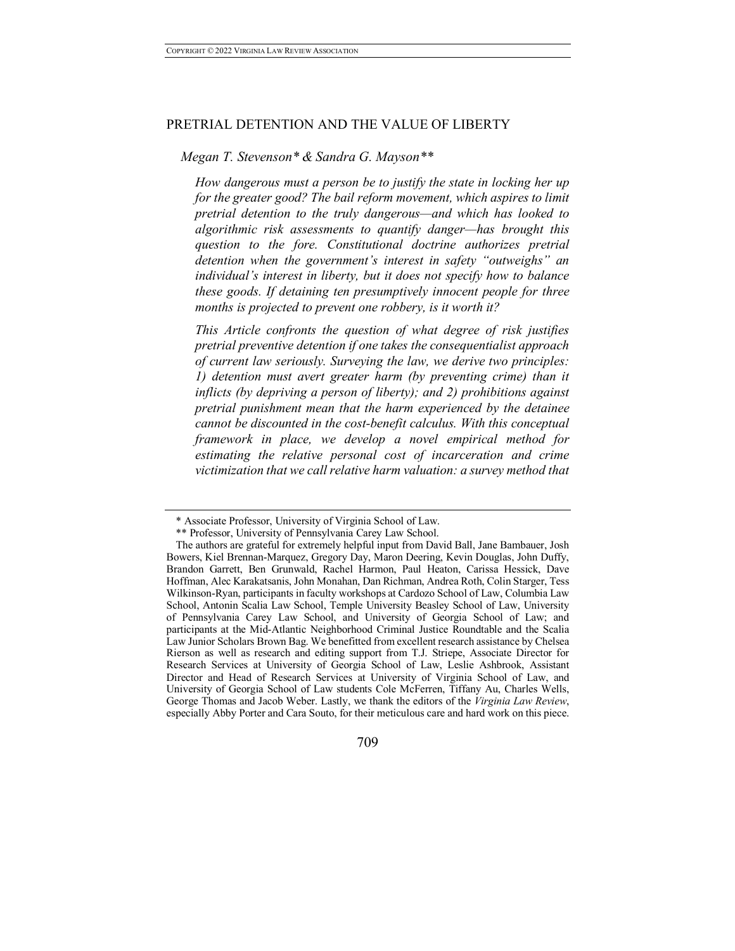### PRETRIAL DETENTION AND THE VALUE OF LIBERTY

# *Megan T. Stevenson\* & Sandra G. Mayson\*\**

*How dangerous must a person be to justify the state in locking her up for the greater good? The bail reform movement, which aspires to limit pretrial detention to the truly dangerous—and which has looked to algorithmic risk assessments to quantify danger—has brought this question to the fore. Constitutional doctrine authorizes pretrial detention when the government's interest in safety "outweighs" an individual's interest in liberty, but it does not specify how to balance these goods. If detaining ten presumptively innocent people for three months is projected to prevent one robbery, is it worth it?*

*This Article confronts the question of what degree of risk justifies pretrial preventive detention if one takes the consequentialist approach of current law seriously. Surveying the law, we derive two principles: 1) detention must avert greater harm (by preventing crime) than it inflicts (by depriving a person of liberty); and 2) prohibitions against pretrial punishment mean that the harm experienced by the detainee cannot be discounted in the cost-benefit calculus. With this conceptual framework in place, we develop a novel empirical method for estimating the relative personal cost of incarceration and crime victimization that we call relative harm valuation: a survey method that* 

<sup>\*</sup> Associate Professor, University of Virginia School of Law.

<sup>\*\*</sup> Professor, University of Pennsylvania Carey Law School.

The authors are grateful for extremely helpful input from David Ball, Jane Bambauer, Josh Bowers, Kiel Brennan-Marquez, Gregory Day, Maron Deering, Kevin Douglas, John Duffy, Brandon Garrett, Ben Grunwald, Rachel Harmon, Paul Heaton, Carissa Hessick, Dave Hoffman, Alec Karakatsanis, John Monahan, Dan Richman, Andrea Roth, Colin Starger, Tess Wilkinson-Ryan, participants in faculty workshops at Cardozo School of Law, Columbia Law School, Antonin Scalia Law School, Temple University Beasley School of Law, University of Pennsylvania Carey Law School, and University of Georgia School of Law; and participants at the Mid-Atlantic Neighborhood Criminal Justice Roundtable and the Scalia Law Junior Scholars Brown Bag. We benefitted from excellent research assistance by Chelsea Rierson as well as research and editing support from T.J. Striepe, Associate Director for Research Services at University of Georgia School of Law, Leslie Ashbrook, Assistant Director and Head of Research Services at University of Virginia School of Law, and University of Georgia School of Law students Cole McFerren, Tiffany Au, Charles Wells, George Thomas and Jacob Weber. Lastly, we thank the editors of the *Virginia Law Review*, especially Abby Porter and Cara Souto, for their meticulous care and hard work on this piece.

<sup>709</sup>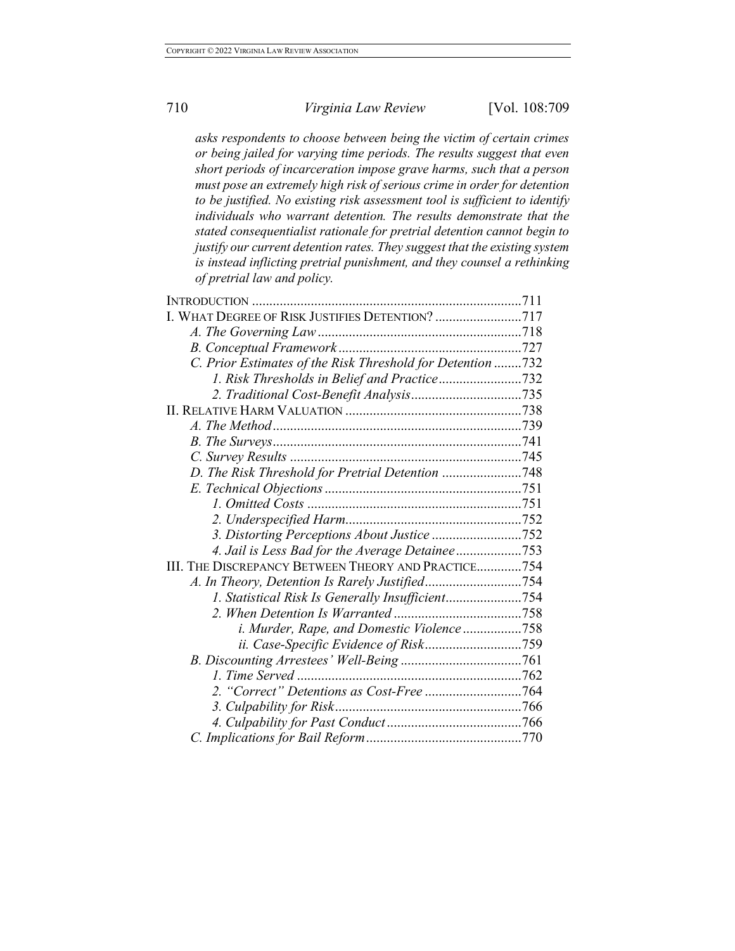*asks respondents to choose between being the victim of certain crimes or being jailed for varying time periods. The results suggest that even short periods of incarceration impose grave harms, such that a person must pose an extremely high risk of serious crime in order for detention to be justified. No existing risk assessment tool is sufficient to identify individuals who warrant detention. The results demonstrate that the stated consequentialist rationale for pretrial detention cannot begin to justify our current detention rates. They suggest that the existing system is instead inflicting pretrial punishment, and they counsel a rethinking of pretrial law and policy.*

| I. WHAT DEGREE OF RISK JUSTIFIES DETENTION? 717            |  |
|------------------------------------------------------------|--|
|                                                            |  |
|                                                            |  |
| C. Prior Estimates of the Risk Threshold for Detention 732 |  |
|                                                            |  |
|                                                            |  |
|                                                            |  |
|                                                            |  |
|                                                            |  |
|                                                            |  |
| D. The Risk Threshold for Pretrial Detention 748           |  |
|                                                            |  |
|                                                            |  |
|                                                            |  |
| 3. Distorting Perceptions About Justice 752                |  |
|                                                            |  |
| III. THE DISCREPANCY BETWEEN THEORY AND PRACTICE754        |  |
|                                                            |  |
|                                                            |  |
|                                                            |  |
| i. Murder, Rape, and Domestic Violence758                  |  |
|                                                            |  |
|                                                            |  |
|                                                            |  |
|                                                            |  |
|                                                            |  |
|                                                            |  |
|                                                            |  |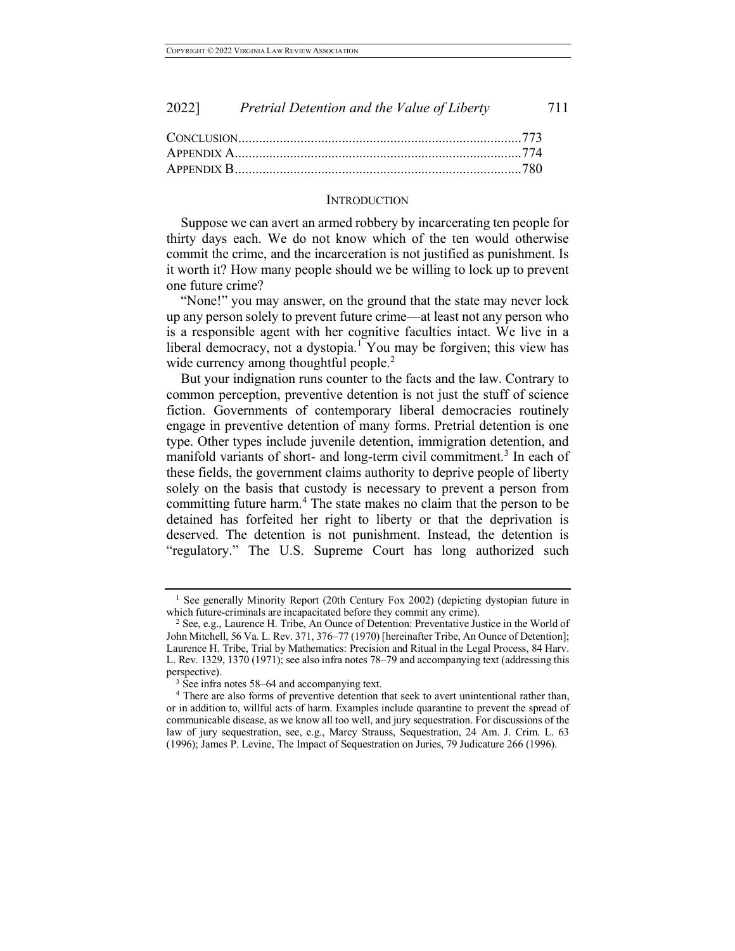| 2022] | Pretrial Detention and the Value of Liberty | 711 |
|-------|---------------------------------------------|-----|
|-------|---------------------------------------------|-----|

### **INTRODUCTION**

Suppose we can avert an armed robbery by incarcerating ten people for thirty days each. We do not know which of the ten would otherwise commit the crime, and the incarceration is not justified as punishment. Is it worth it? How many people should we be willing to lock up to prevent one future crime?

"None!" you may answer, on the ground that the state may never lock up any person solely to prevent future crime—at least not any person who is a responsible agent with her cognitive faculties intact. We live in a liberal democracy, not a dystopia.<sup>1</sup> You may be forgiven; this view has wide currency among thoughtful people. $<sup>2</sup>$ </sup>

But your indignation runs counter to the facts and the law. Contrary to common perception, preventive detention is not just the stuff of science fiction. Governments of contemporary liberal democracies routinely engage in preventive detention of many forms. Pretrial detention is one type. Other types include juvenile detention, immigration detention, and manifold variants of short- and long-term civil commitment.<sup>3</sup> In each of these fields, the government claims authority to deprive people of liberty solely on the basis that custody is necessary to prevent a person from committing future harm.<sup>4</sup> The state makes no claim that the person to be detained has forfeited her right to liberty or that the deprivation is deserved. The detention is not punishment. Instead, the detention is "regulatory." The U.S. Supreme Court has long authorized such

<sup>&</sup>lt;sup>1</sup> See generally Minority Report (20th Century Fox 2002) (depicting dystopian future in which future-criminals are incapacitated before they commit any crime).

<sup>2</sup> See, e.g., Laurence H. Tribe, An Ounce of Detention: Preventative Justice in the World of John Mitchell, 56 Va. L. Rev. 371, 376–77 (1970) [hereinafter Tribe, An Ounce of Detention]; Laurence H. Tribe, Trial by Mathematics: Precision and Ritual in the Legal Process, 84 Harv. L. Rev. 1329, 1370 (1971); see also infra notes 78–79 and accompanying text (addressing this perspective).

<sup>&</sup>lt;sup>3</sup> See infra notes 58–64 and accompanying text.

<sup>&</sup>lt;sup>4</sup> There are also forms of preventive detention that seek to avert unintentional rather than, or in addition to, willful acts of harm. Examples include quarantine to prevent the spread of communicable disease, as we know all too well, and jury sequestration. For discussions of the law of jury sequestration, see, e.g., Marcy Strauss, Sequestration, 24 Am. J. Crim. L. 63 (1996); James P. Levine, The Impact of Sequestration on Juries, 79 Judicature 266 (1996).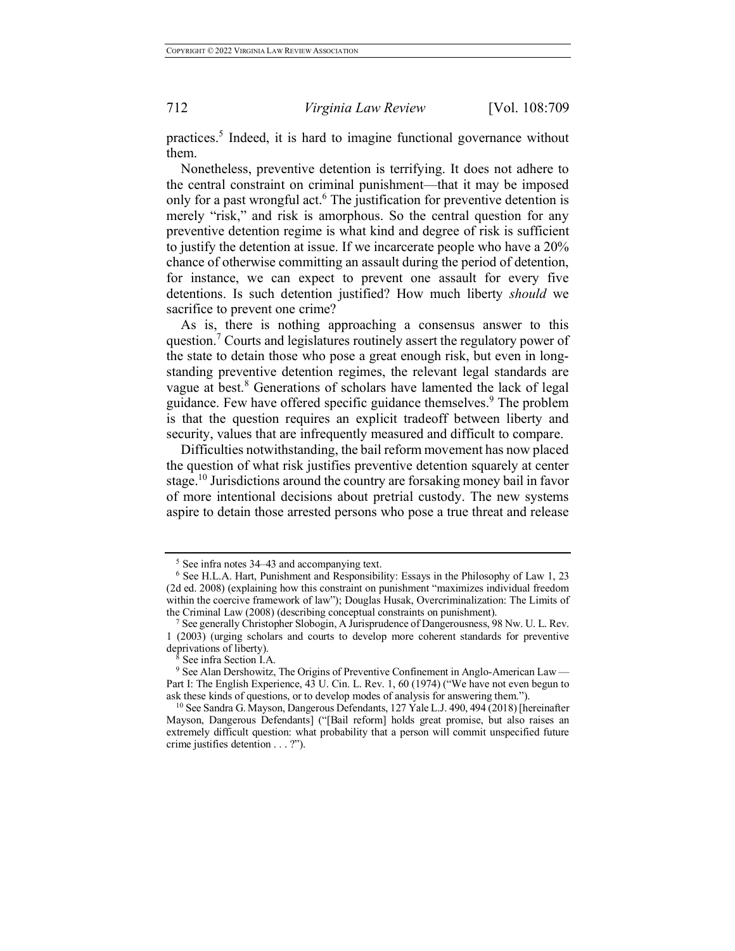practices.<sup>5</sup> Indeed, it is hard to imagine functional governance without them.

Nonetheless, preventive detention is terrifying. It does not adhere to the central constraint on criminal punishment—that it may be imposed only for a past wrongful act.<sup>6</sup> The justification for preventive detention is merely "risk," and risk is amorphous. So the central question for any preventive detention regime is what kind and degree of risk is sufficient to justify the detention at issue. If we incarcerate people who have a 20% chance of otherwise committing an assault during the period of detention, for instance, we can expect to prevent one assault for every five detentions. Is such detention justified? How much liberty *should* we sacrifice to prevent one crime?

As is, there is nothing approaching a consensus answer to this question.<sup>7</sup> Courts and legislatures routinely assert the regulatory power of the state to detain those who pose a great enough risk, but even in longstanding preventive detention regimes, the relevant legal standards are vague at best.<sup>8</sup> Generations of scholars have lamented the lack of legal guidance. Few have offered specific guidance themselves.<sup>9</sup> The problem is that the question requires an explicit tradeoff between liberty and security, values that are infrequently measured and difficult to compare.

Difficulties notwithstanding, the bail reform movement has now placed the question of what risk justifies preventive detention squarely at center stage.<sup>10</sup> Jurisdictions around the country are forsaking money bail in favor of more intentional decisions about pretrial custody. The new systems aspire to detain those arrested persons who pose a true threat and release

<sup>5</sup> See infra notes 34–43 and accompanying text.

<sup>6</sup> See H.L.A. Hart, Punishment and Responsibility: Essays in the Philosophy of Law 1, 23 (2d ed. 2008) (explaining how this constraint on punishment "maximizes individual freedom within the coercive framework of law"); Douglas Husak, Overcriminalization: The Limits of the Criminal Law (2008) (describing conceptual constraints on punishment).

See generally Christopher Slobogin, A Jurisprudence of Dangerousness, 98 Nw. U. L. Rev. 1 (2003) (urging scholars and courts to develop more coherent standards for preventive deprivations of liberty).

See infra Section I.A.

<sup>9</sup> See Alan Dershowitz, The Origins of Preventive Confinement in Anglo-American Law — Part I: The English Experience, 43 U. Cin. L. Rev. 1, 60 (1974) ("We have not even begun to ask these kinds of questions, or to develop modes of analysis for answering them.").

<sup>10</sup> See Sandra G. Mayson, Dangerous Defendants, 127 Yale L.J. 490, 494 (2018) [hereinafter Mayson, Dangerous Defendants] ("[Bail reform] holds great promise, but also raises an extremely difficult question: what probability that a person will commit unspecified future crime justifies detention . . . ?").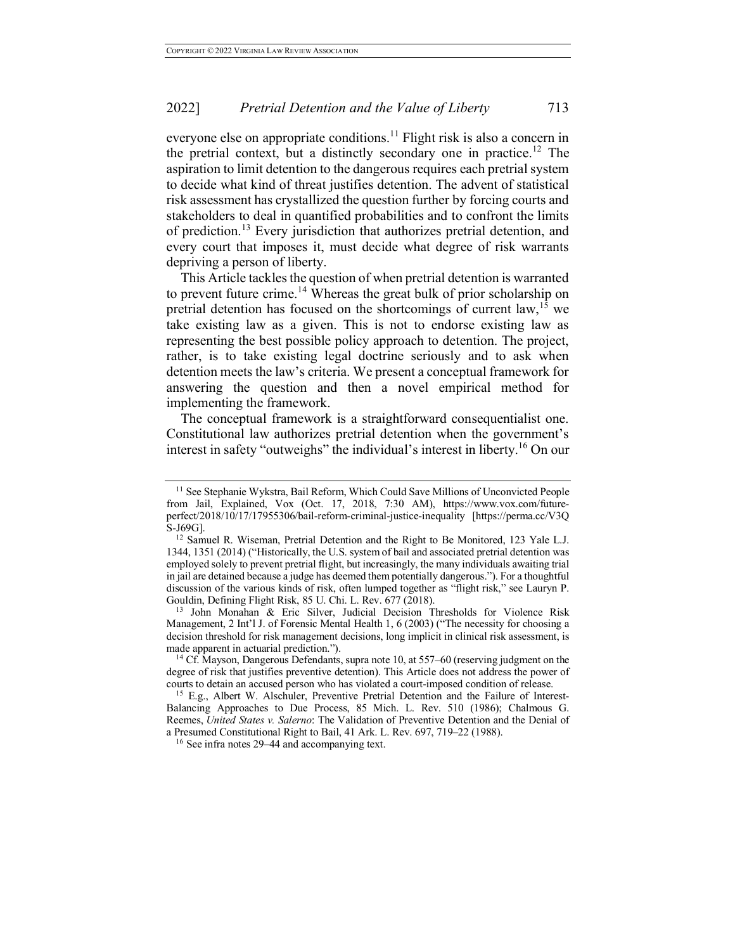everyone else on appropriate conditions.<sup>11</sup> Flight risk is also a concern in the pretrial context, but a distinctly secondary one in practice.<sup>12</sup> The aspiration to limit detention to the dangerous requires each pretrial system to decide what kind of threat justifies detention. The advent of statistical risk assessment has crystallized the question further by forcing courts and stakeholders to deal in quantified probabilities and to confront the limits of prediction.<sup>13</sup> Every jurisdiction that authorizes pretrial detention, and every court that imposes it, must decide what degree of risk warrants depriving a person of liberty.

This Article tackles the question of when pretrial detention is warranted to prevent future crime.<sup>14</sup> Whereas the great bulk of prior scholarship on pretrial detention has focused on the shortcomings of current law,  $15$  we take existing law as a given. This is not to endorse existing law as representing the best possible policy approach to detention. The project, rather, is to take existing legal doctrine seriously and to ask when detention meets the law's criteria. We present a conceptual framework for answering the question and then a novel empirical method for implementing the framework.

The conceptual framework is a straightforward consequentialist one. Constitutional law authorizes pretrial detention when the government's interest in safety "outweighs" the individual's interest in liberty.<sup>16</sup> On our

<sup>13</sup> John Monahan & Eric Silver, Judicial Decision Thresholds for Violence Risk Management, 2 Int'l J. of Forensic Mental Health 1, 6 (2003) ("The necessity for choosing a decision threshold for risk management decisions, long implicit in clinical risk assessment, is made apparent in actuarial prediction.").

<sup>&</sup>lt;sup>11</sup> See Stephanie Wykstra, Bail Reform, Which Could Save Millions of Unconvicted People from Jail, Explained, Vox (Oct. 17, 2018, 7:30 AM), https://www.vox.com/futureperfect/2018/10/17/17955306/bail-reform-criminal-justice-inequality [https://perma.cc/V3Q S-J69G].

<sup>&</sup>lt;sup>12</sup> Samuel R. Wiseman, Pretrial Detention and the Right to Be Monitored, 123 Yale L.J. 1344, 1351 (2014) ("Historically, the U.S. system of bail and associated pretrial detention was employed solely to prevent pretrial flight, but increasingly, the many individuals awaiting trial in jail are detained because a judge has deemed them potentially dangerous."). For a thoughtful discussion of the various kinds of risk, often lumped together as "flight risk," see Lauryn P. Gouldin, Defining Flight Risk, 85 U. Chi. L. Rev. 677 (2018).

<sup>&</sup>lt;sup>14</sup> Cf. Mayson, Dangerous Defendants, supra note 10, at 557–60 (reserving judgment on the degree of risk that justifies preventive detention). This Article does not address the power of courts to detain an accused person who has violated a court-imposed condition of release. 15 E.g., Albert W. Alschuler, Preventive Pretrial Detention and the Failure of Interest-

Balancing Approaches to Due Process, 85 Mich. L. Rev. 510 (1986); Chalmous G. Reemes, *United States v. Salerno*: The Validation of Preventive Detention and the Denial of a Presumed Constitutional Right to Bail, 41 Ark. L. Rev. 697, 719–22 (1988).

<sup>16</sup> See infra notes 29–44 and accompanying text.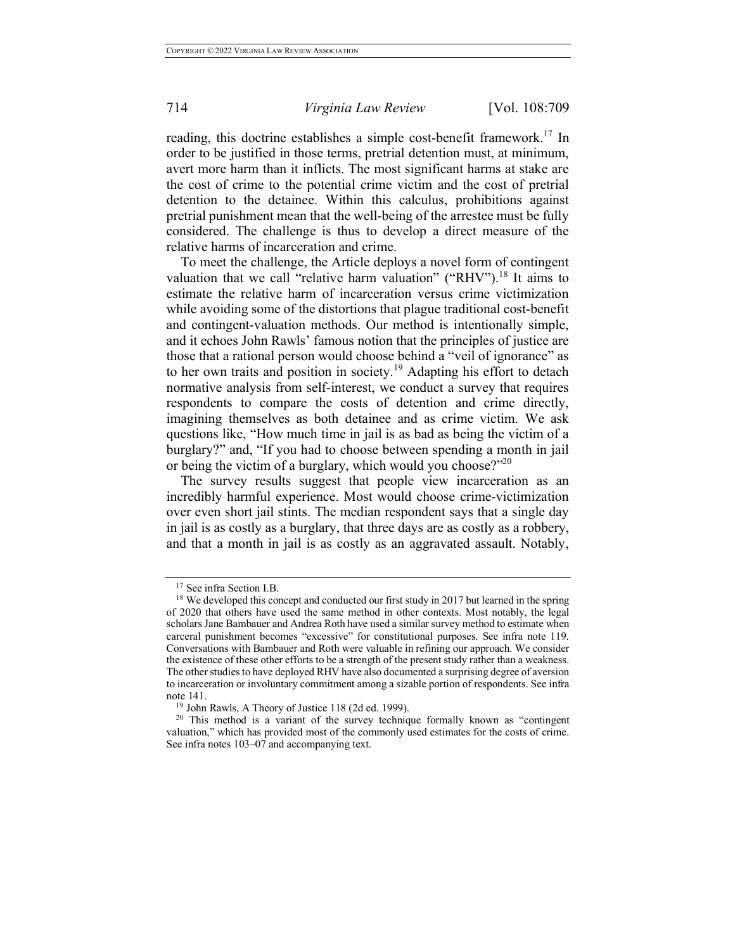reading, this doctrine establishes a simple cost-benefit framework.<sup>17</sup> In order to be justified in those terms, pretrial detention must, at minimum, avert more harm than it inflicts. The most significant harms at stake are the cost of crime to the potential crime victim and the cost of pretrial detention to the detainee. Within this calculus, prohibitions against pretrial punishment mean that the well-being of the arrestee must be fully considered. The challenge is thus to develop a direct measure of the relative harms of incarceration and crime.

To meet the challenge, the Article deploys a novel form of contingent valuation that we call "relative harm valuation" ("RHV").<sup>18</sup> It aims to estimate the relative harm of incarceration versus crime victimization while avoiding some of the distortions that plague traditional cost-benefit and contingent-valuation methods. Our method is intentionally simple, and it echoes John Rawls' famous notion that the principles of justice are those that a rational person would choose behind a "veil of ignorance" as to her own traits and position in society.<sup>19</sup> Adapting his effort to detach normative analysis from self-interest, we conduct a survey that requires respondents to compare the costs of detention and crime directly, imagining themselves as both detainee and as crime victim. We ask questions like, "How much time in jail is as bad as being the victim of a burglary?" and, "If you had to choose between spending a month in jail or being the victim of a burglary, which would you choose? $120$ 

The survey results suggest that people view incarceration as an incredibly harmful experience. Most would choose crime-victimization over even short jail stints. The median respondent says that a single day in jail is as costly as a burglary, that three days are as costly as a robbery, and that a month in jail is as costly as an aggravated assault. Notably,

<sup>17</sup> See infra Section I.B.

 $18$  We developed this concept and conducted our first study in 2017 but learned in the spring of 2020 that others have used the same method in other contexts. Most notably, the legal scholars Jane Bambauer and Andrea Roth have used a similar survey method to estimate when carceral punishment becomes "excessive" for constitutional purposes. See infra note 119. Conversations with Bambauer and Roth were valuable in refining our approach. We consider the existence of these other efforts to be a strength of the present study rather than a weakness. The other studies to have deployed RHV have also documented a surprising degree of aversion to incarceration or involuntary commitment among a sizable portion of respondents. See infra note 141.

<sup>&</sup>lt;sup>19</sup> John Rawls, A Theory of Justice 118 (2d ed. 1999).

<sup>&</sup>lt;sup>20</sup> This method is a variant of the survey technique formally known as "contingent valuation," which has provided most of the commonly used estimates for the costs of crime. See infra notes 103–07 and accompanying text.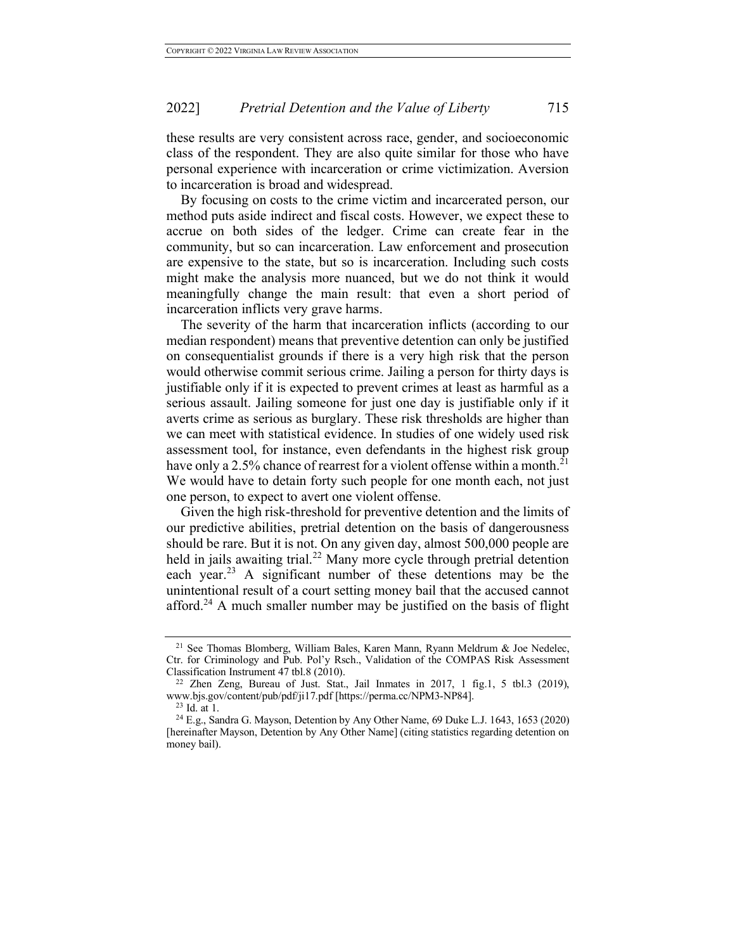these results are very consistent across race, gender, and socioeconomic class of the respondent. They are also quite similar for those who have personal experience with incarceration or crime victimization. Aversion to incarceration is broad and widespread.

By focusing on costs to the crime victim and incarcerated person, our method puts aside indirect and fiscal costs. However, we expect these to accrue on both sides of the ledger. Crime can create fear in the community, but so can incarceration. Law enforcement and prosecution are expensive to the state, but so is incarceration. Including such costs might make the analysis more nuanced, but we do not think it would meaningfully change the main result: that even a short period of incarceration inflicts very grave harms.

The severity of the harm that incarceration inflicts (according to our median respondent) means that preventive detention can only be justified on consequentialist grounds if there is a very high risk that the person would otherwise commit serious crime. Jailing a person for thirty days is justifiable only if it is expected to prevent crimes at least as harmful as a serious assault. Jailing someone for just one day is justifiable only if it averts crime as serious as burglary. These risk thresholds are higher than we can meet with statistical evidence. In studies of one widely used risk assessment tool, for instance, even defendants in the highest risk group have only a 2.5% chance of rearrest for a violent offense within a month.<sup>21</sup> We would have to detain forty such people for one month each, not just one person, to expect to avert one violent offense.

Given the high risk-threshold for preventive detention and the limits of our predictive abilities, pretrial detention on the basis of dangerousness should be rare. But it is not. On any given day, almost 500,000 people are held in jails awaiting trial.<sup>22</sup> Many more cycle through pretrial detention each year.<sup>23</sup> A significant number of these detentions may be the unintentional result of a court setting money bail that the accused cannot afford.<sup>24</sup> A much smaller number may be justified on the basis of flight

<sup>&</sup>lt;sup>21</sup> See Thomas Blomberg, William Bales, Karen Mann, Ryann Meldrum & Joe Nedelec, Ctr. for Criminology and Pub. Pol'y Rsch., Validation of the COMPAS Risk Assessment Classification Instrument 47 tbl.8 (2010).

 $22$  Zhen Zeng, Bureau of Just. Stat., Jail Inmates in 2017, 1 fig.1, 5 tbl.3 (2019), www.bjs.gov/content/pub/pdf/ji17.pdf [https://perma.cc/NPM3-NP84].

<sup>23</sup> Id. at 1.

<sup>24</sup> E.g., Sandra G. Mayson, Detention by Any Other Name, 69 Duke L.J. 1643, 1653 (2020) [hereinafter Mayson, Detention by Any Other Name] (citing statistics regarding detention on money bail).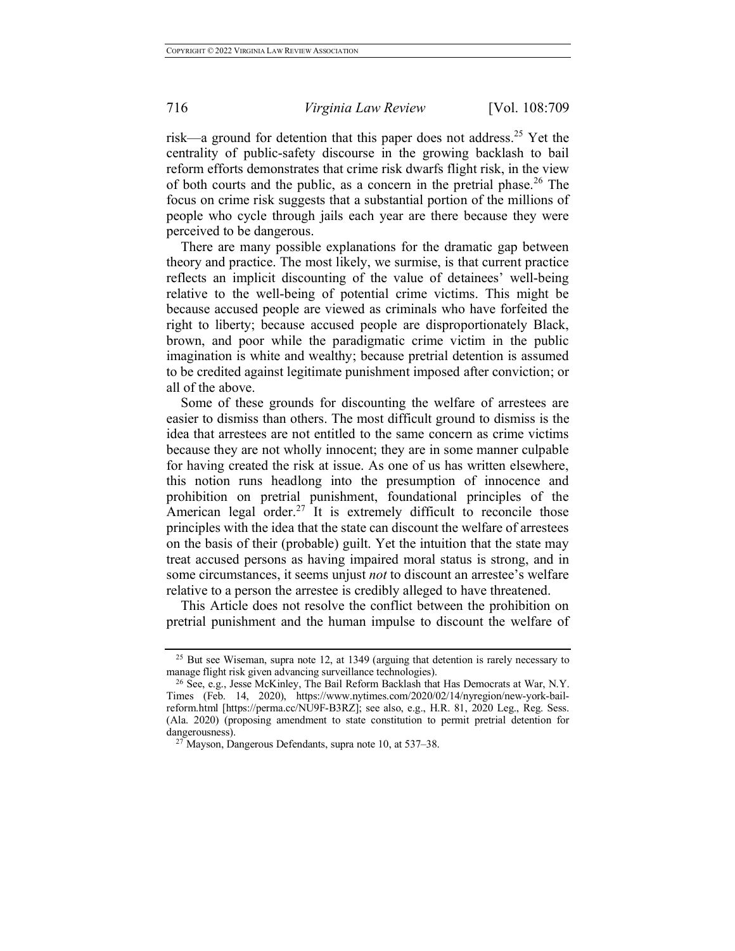risk—a ground for detention that this paper does not address.<sup>25</sup> Yet the centrality of public-safety discourse in the growing backlash to bail reform efforts demonstrates that crime risk dwarfs flight risk, in the view of both courts and the public, as a concern in the pretrial phase.<sup>26</sup> The focus on crime risk suggests that a substantial portion of the millions of people who cycle through jails each year are there because they were perceived to be dangerous.

There are many possible explanations for the dramatic gap between theory and practice. The most likely, we surmise, is that current practice reflects an implicit discounting of the value of detainees' well-being relative to the well-being of potential crime victims. This might be because accused people are viewed as criminals who have forfeited the right to liberty; because accused people are disproportionately Black, brown, and poor while the paradigmatic crime victim in the public imagination is white and wealthy; because pretrial detention is assumed to be credited against legitimate punishment imposed after conviction; or all of the above.

Some of these grounds for discounting the welfare of arrestees are easier to dismiss than others. The most difficult ground to dismiss is the idea that arrestees are not entitled to the same concern as crime victims because they are not wholly innocent; they are in some manner culpable for having created the risk at issue. As one of us has written elsewhere, this notion runs headlong into the presumption of innocence and prohibition on pretrial punishment, foundational principles of the American legal order.<sup>27</sup> It is extremely difficult to reconcile those principles with the idea that the state can discount the welfare of arrestees on the basis of their (probable) guilt. Yet the intuition that the state may treat accused persons as having impaired moral status is strong, and in some circumstances, it seems unjust *not* to discount an arrestee's welfare relative to a person the arrestee is credibly alleged to have threatened.

This Article does not resolve the conflict between the prohibition on pretrial punishment and the human impulse to discount the welfare of

<sup>&</sup>lt;sup>25</sup> But see Wiseman, supra note 12, at 1349 (arguing that detention is rarely necessary to manage flight risk given advancing surveillance technologies).

<sup>&</sup>lt;sup>26</sup> See, e.g., Jesse McKinley, The Bail Reform Backlash that Has Democrats at War, N.Y. Times (Feb. 14, 2020), https://www.nytimes.com/2020/02/14/nyregion/new-york-bailreform.html [https://perma.cc/NU9F-B3RZ]; see also, e.g., H.R. 81, 2020 Leg., Reg. Sess. (Ala. 2020) (proposing amendment to state constitution to permit pretrial detention for dangerousness).

 $27$  Mayson, Dangerous Defendants, supra note 10, at 537–38.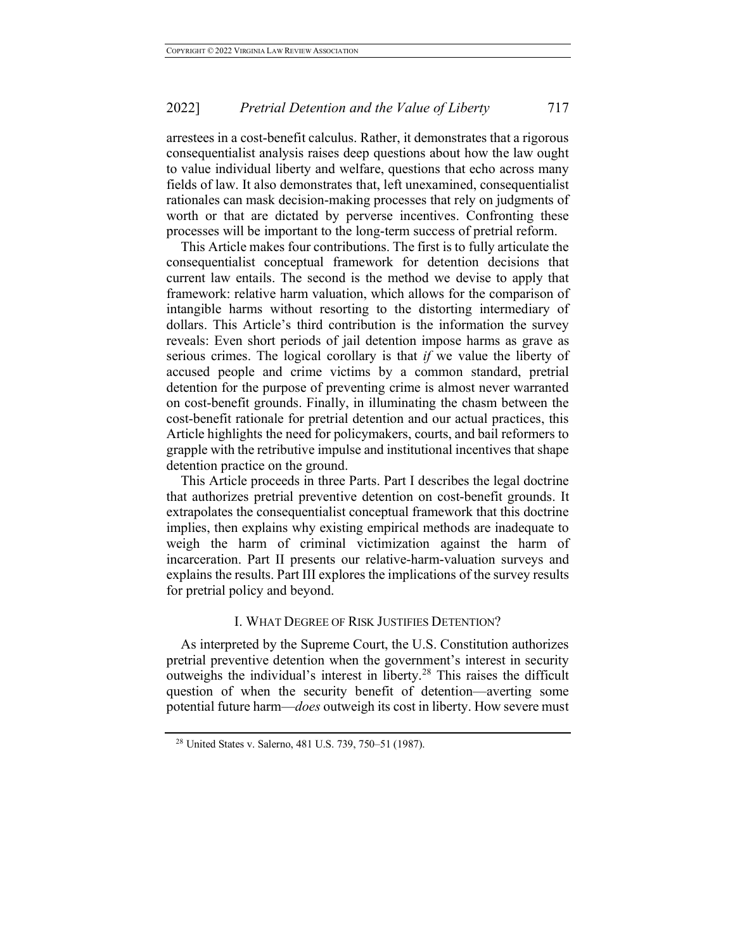arrestees in a cost-benefit calculus. Rather, it demonstrates that a rigorous consequentialist analysis raises deep questions about how the law ought to value individual liberty and welfare, questions that echo across many fields of law. It also demonstrates that, left unexamined, consequentialist rationales can mask decision-making processes that rely on judgments of worth or that are dictated by perverse incentives. Confronting these processes will be important to the long-term success of pretrial reform.

This Article makes four contributions. The first is to fully articulate the consequentialist conceptual framework for detention decisions that current law entails. The second is the method we devise to apply that framework: relative harm valuation, which allows for the comparison of intangible harms without resorting to the distorting intermediary of dollars. This Article's third contribution is the information the survey reveals: Even short periods of jail detention impose harms as grave as serious crimes. The logical corollary is that *if* we value the liberty of accused people and crime victims by a common standard, pretrial detention for the purpose of preventing crime is almost never warranted on cost-benefit grounds. Finally, in illuminating the chasm between the cost-benefit rationale for pretrial detention and our actual practices, this Article highlights the need for policymakers, courts, and bail reformers to grapple with the retributive impulse and institutional incentives that shape detention practice on the ground.

This Article proceeds in three Parts. Part I describes the legal doctrine that authorizes pretrial preventive detention on cost-benefit grounds. It extrapolates the consequentialist conceptual framework that this doctrine implies, then explains why existing empirical methods are inadequate to weigh the harm of criminal victimization against the harm of incarceration. Part II presents our relative-harm-valuation surveys and explains the results. Part III explores the implications of the survey results for pretrial policy and beyond.

# I. WHAT DEGREE OF RISK JUSTIFIES DETENTION?

As interpreted by the Supreme Court, the U.S. Constitution authorizes pretrial preventive detention when the government's interest in security outweighs the individual's interest in liberty.<sup>28</sup> This raises the difficult question of when the security benefit of detention—averting some potential future harm—*does* outweigh its cost in liberty. How severe must

<sup>28</sup> United States v. Salerno, 481 U.S. 739, 750–51 (1987).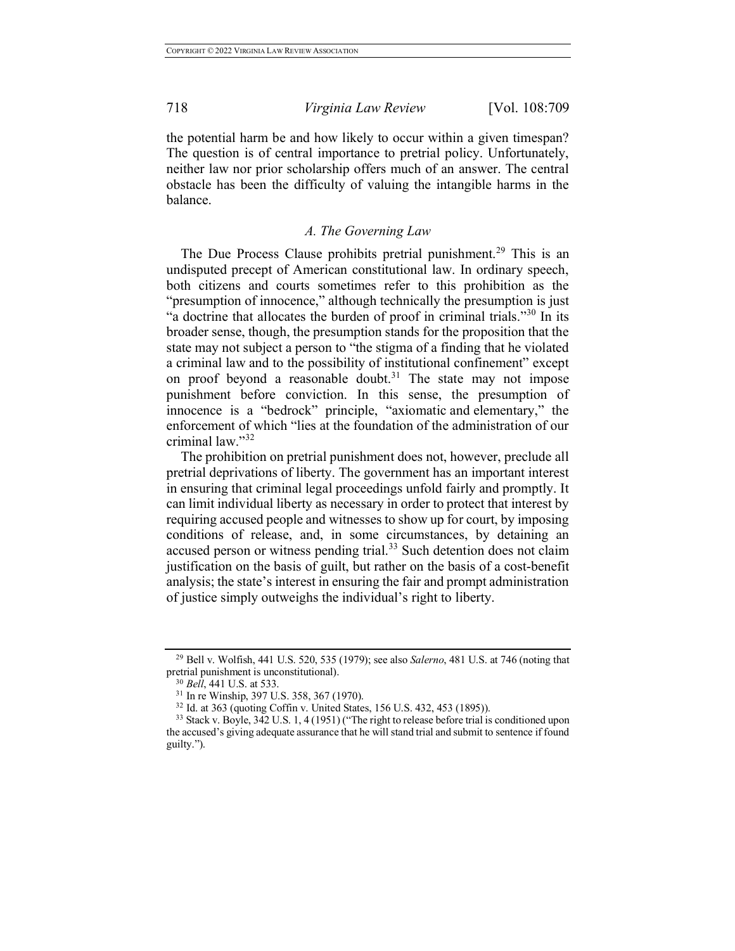the potential harm be and how likely to occur within a given timespan? The question is of central importance to pretrial policy. Unfortunately, neither law nor prior scholarship offers much of an answer. The central obstacle has been the difficulty of valuing the intangible harms in the balance.

# *A. The Governing Law*

The Due Process Clause prohibits pretrial punishment.<sup>29</sup> This is an undisputed precept of American constitutional law. In ordinary speech, both citizens and courts sometimes refer to this prohibition as the "presumption of innocence," although technically the presumption is just "a doctrine that allocates the burden of proof in criminal trials."<sup>30</sup> In its broader sense, though, the presumption stands for the proposition that the state may not subject a person to "the stigma of a finding that he violated a criminal law and to the possibility of institutional confinement" except on proof beyond a reasonable doubt.<sup>31</sup> The state may not impose punishment before conviction. In this sense, the presumption of innocence is a "bedrock" principle, "axiomatic and elementary," the enforcement of which "lies at the foundation of the administration of our criminal law."<sup>32</sup>

The prohibition on pretrial punishment does not, however, preclude all pretrial deprivations of liberty. The government has an important interest in ensuring that criminal legal proceedings unfold fairly and promptly. It can limit individual liberty as necessary in order to protect that interest by requiring accused people and witnesses to show up for court, by imposing conditions of release, and, in some circumstances, by detaining an accused person or witness pending trial.<sup>33</sup> Such detention does not claim justification on the basis of guilt, but rather on the basis of a cost-benefit analysis; the state's interest in ensuring the fair and prompt administration of justice simply outweighs the individual's right to liberty.

<sup>29</sup> Bell v. Wolfish, 441 U.S. 520, 535 (1979); see also *Salerno*, 481 U.S. at 746 (noting that pretrial punishment is unconstitutional). 30 *Bell*, 441 U.S. at 533.

<sup>31</sup> In re Winship, 397 U.S. 358, 367 (1970).

<sup>32</sup> Id. at 363 (quoting Coffin v. United States, 156 U.S. 432, 453 (1895)).

<sup>&</sup>lt;sup>33</sup> Stack v. Boyle, 342 U.S. 1, 4 (1951) ("The right to release before trial is conditioned upon the accused's giving adequate assurance that he will stand trial and submit to sentence if found guilty.").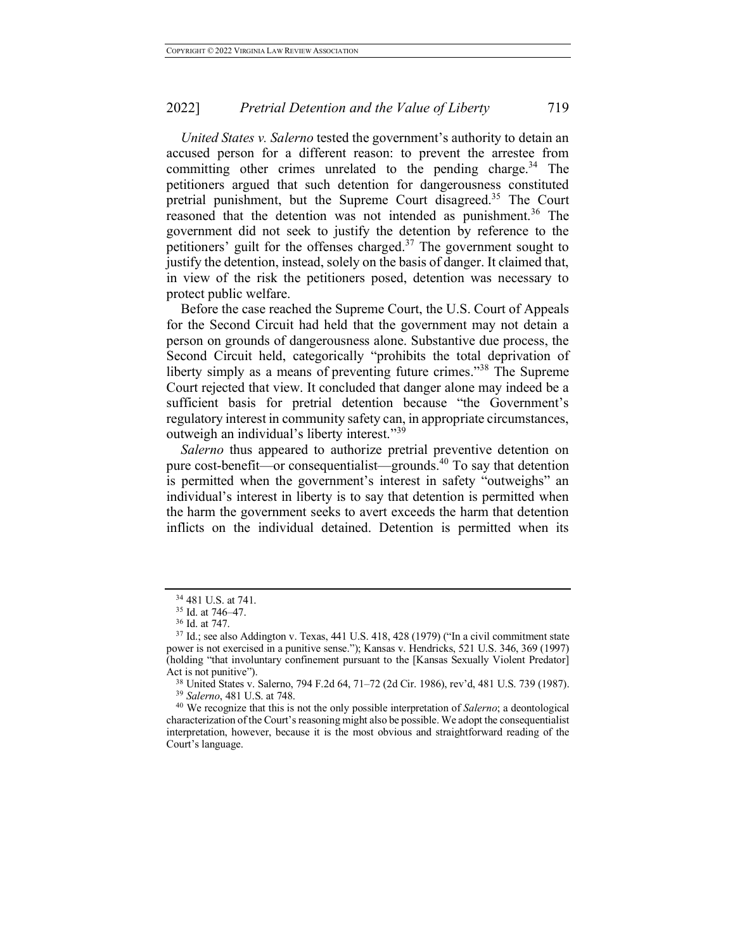*United States v. Salerno* tested the government's authority to detain an accused person for a different reason: to prevent the arrestee from committing other crimes unrelated to the pending charge.<sup>34</sup> The petitioners argued that such detention for dangerousness constituted pretrial punishment, but the Supreme Court disagreed.<sup>35</sup> The Court reasoned that the detention was not intended as punishment.<sup>36</sup> The government did not seek to justify the detention by reference to the petitioners' guilt for the offenses charged. $37$  The government sought to justify the detention, instead, solely on the basis of danger. It claimed that, in view of the risk the petitioners posed, detention was necessary to protect public welfare.

Before the case reached the Supreme Court, the U.S. Court of Appeals for the Second Circuit had held that the government may not detain a person on grounds of dangerousness alone. Substantive due process, the Second Circuit held, categorically "prohibits the total deprivation of liberty simply as a means of preventing future crimes."38 The Supreme Court rejected that view. It concluded that danger alone may indeed be a sufficient basis for pretrial detention because "the Government's regulatory interest in community safety can, in appropriate circumstances, outweigh an individual's liberty interest."<sup>39</sup>

*Salerno* thus appeared to authorize pretrial preventive detention on pure cost-benefit—or consequentialist—grounds.<sup>40</sup> To say that detention is permitted when the government's interest in safety "outweighs" an individual's interest in liberty is to say that detention is permitted when the harm the government seeks to avert exceeds the harm that detention inflicts on the individual detained. Detention is permitted when its

 $34$  481 U.S. at 741.<br> $35$  Id. at 746–47.

<sup>36</sup> Id. at 747.

 $37$  Id.; see also Addington v. Texas, 441 U.S. 418, 428 (1979) ("In a civil commitment state power is not exercised in a punitive sense."); Kansas v. Hendricks, 521 U.S. 346, 369 (1997) (holding "that involuntary confinement pursuant to the [Kansas Sexually Violent Predator] Act is not punitive").

<sup>38</sup> United States v. Salerno, 794 F.2d 64, 71–72 (2d Cir. 1986), rev'd, 481 U.S. 739 (1987). <sup>39</sup> *Salerno*, 481 U.S. at 748.

<sup>40</sup> We recognize that this is not the only possible interpretation of *Salerno*; a deontological characterization of the Court's reasoning might also be possible. We adopt the consequentialist interpretation, however, because it is the most obvious and straightforward reading of the Court's language.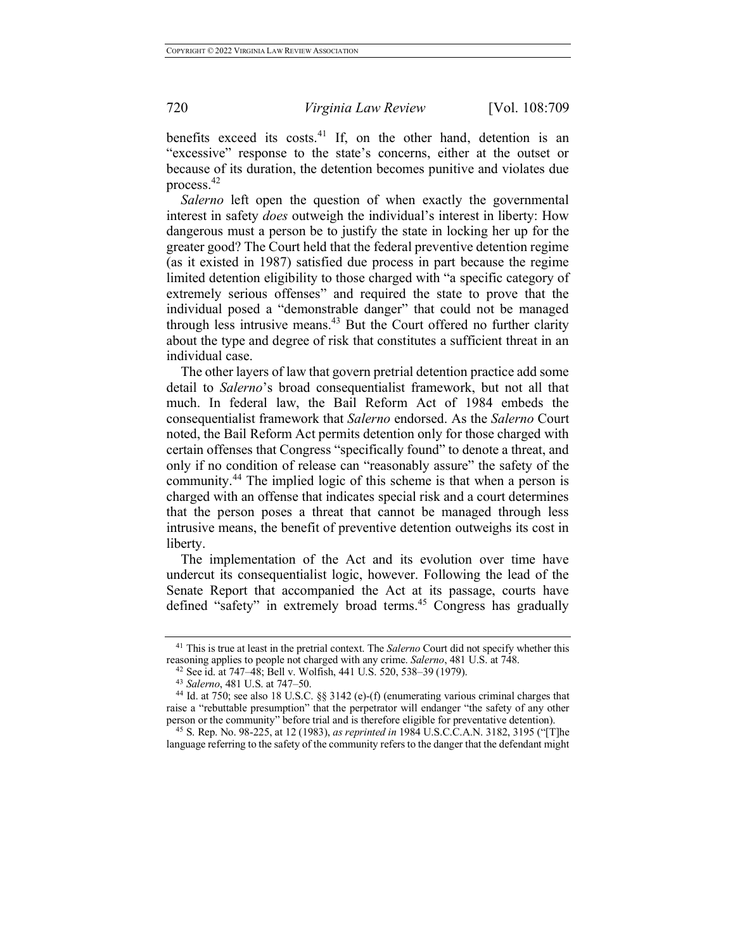benefits exceed its costs. $41$  If, on the other hand, detention is an "excessive" response to the state's concerns, either at the outset or because of its duration, the detention becomes punitive and violates due process.<sup>42</sup>

*Salerno* left open the question of when exactly the governmental interest in safety *does* outweigh the individual's interest in liberty: How dangerous must a person be to justify the state in locking her up for the greater good? The Court held that the federal preventive detention regime (as it existed in 1987) satisfied due process in part because the regime limited detention eligibility to those charged with "a specific category of extremely serious offenses" and required the state to prove that the individual posed a "demonstrable danger" that could not be managed through less intrusive means. $43$  But the Court offered no further clarity about the type and degree of risk that constitutes a sufficient threat in an individual case.

The other layers of law that govern pretrial detention practice add some detail to *Salerno*'s broad consequentialist framework, but not all that much. In federal law, the Bail Reform Act of 1984 embeds the consequentialist framework that *Salerno* endorsed. As the *Salerno* Court noted, the Bail Reform Act permits detention only for those charged with certain offenses that Congress "specifically found" to denote a threat, and only if no condition of release can "reasonably assure" the safety of the community. <sup>44</sup> The implied logic of this scheme is that when a person is charged with an offense that indicates special risk and a court determines that the person poses a threat that cannot be managed through less intrusive means, the benefit of preventive detention outweighs its cost in liberty.

The implementation of the Act and its evolution over time have undercut its consequentialist logic, however. Following the lead of the Senate Report that accompanied the Act at its passage, courts have defined "safety" in extremely broad terms. <sup>45</sup> Congress has gradually

<sup>41</sup> This is true at least in the pretrial context. The *Salerno* Court did not specify whether this reasoning applies to people not charged with any crime. *Salerno*, 481 U.S. at 748. 42 See id. at 747–48; Bell v. Wolfish, 441 U.S. 520, 538–39 (1979).

<sup>43</sup> *Salerno*, 481 U.S. at 747–50.

<sup>44</sup> Id. at 750; see also 18 U.S.C. §§ 3142 (e)-(f) (enumerating various criminal charges that raise a "rebuttable presumption" that the perpetrator will endanger "the safety of any other person or the community" before trial and is therefore eligible for preventative detention).

<sup>45</sup> S. Rep. No. 98-225, at 12 (1983), *as reprinted in* 1984 U.S.C.C.A.N. 3182, 3195 ("[T]he language referring to the safety of the community refers to the danger that the defendant might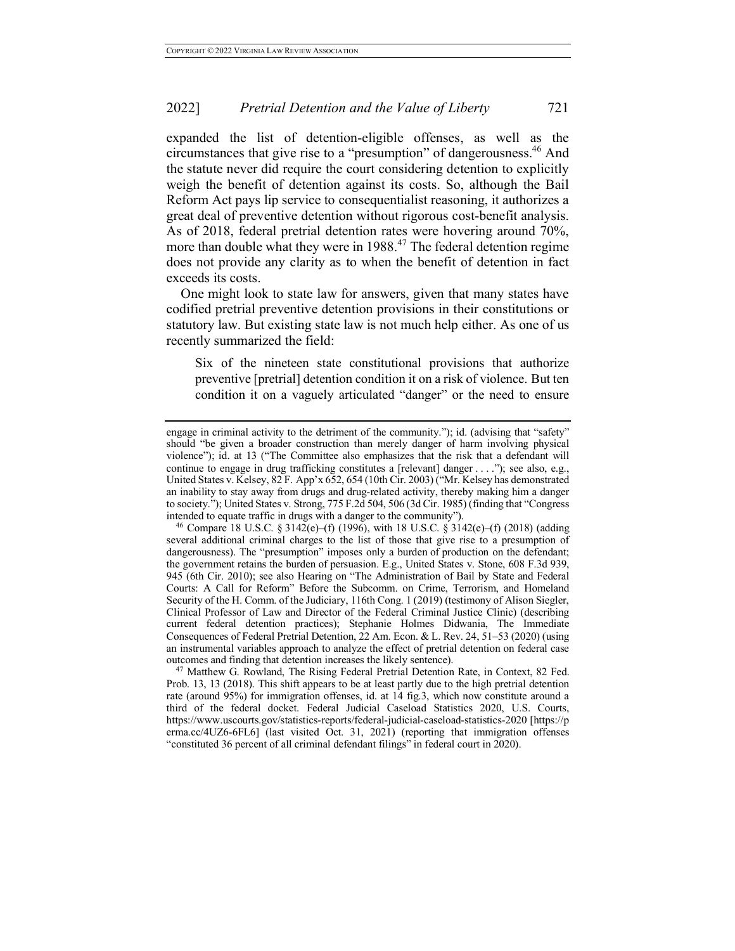expanded the list of detention-eligible offenses, as well as the circumstances that give rise to a "presumption" of dangerousness.<sup>46</sup> And the statute never did require the court considering detention to explicitly weigh the benefit of detention against its costs. So, although the Bail Reform Act pays lip service to consequentialist reasoning, it authorizes a great deal of preventive detention without rigorous cost-benefit analysis. As of 2018, federal pretrial detention rates were hovering around 70%, more than double what they were in 1988. <sup>47</sup> The federal detention regime does not provide any clarity as to when the benefit of detention in fact exceeds its costs.

One might look to state law for answers, given that many states have codified pretrial preventive detention provisions in their constitutions or statutory law. But existing state law is not much help either. As one of us recently summarized the field:

Six of the nineteen state constitutional provisions that authorize preventive [pretrial] detention condition it on a risk of violence. But ten condition it on a vaguely articulated "danger" or the need to ensure

<sup>47</sup> Matthew G. Rowland, The Rising Federal Pretrial Detention Rate, in Context, 82 Fed. Prob. 13, 13 (2018). This shift appears to be at least partly due to the high pretrial detention rate (around 95%) for immigration offenses, id. at 14 fig.3, which now constitute around a third of the federal docket. Federal Judicial Caseload Statistics 2020, U.S. Courts, https://www.uscourts.gov/statistics-reports/federal-judicial-caseload-statistics-2020 [https://p erma.cc/4UZ6-6FL6] (last visited Oct. 31, 2021) (reporting that immigration offenses "constituted 36 percent of all criminal defendant filings" in federal court in 2020).

engage in criminal activity to the detriment of the community."); id. (advising that "safety" should "be given a broader construction than merely danger of harm involving physical violence"); id. at 13 ("The Committee also emphasizes that the risk that a defendant will continue to engage in drug trafficking constitutes a [relevant] danger . . . ."); see also, e.g., United States v. Kelsey, 82 F. App'x 652, 654 (10th Cir. 2003) ("Mr. Kelsey has demonstrated an inability to stay away from drugs and drug-related activity, thereby making him a danger to society."); United States v. Strong, 775 F.2d 504, 506 (3d Cir. 1985) (finding that "Congress intended to equate traffic in drugs with a danger to the community").

<sup>&</sup>lt;sup>46</sup> Compare 18 U.S.C. § 3142(e)–(f) (1996), with 18 U.S.C. § 3142(e)–(f) (2018) (adding several additional criminal charges to the list of those that give rise to a presumption of dangerousness). The "presumption" imposes only a burden of production on the defendant; the government retains the burden of persuasion. E.g., United States v. Stone, 608 F.3d 939, 945 (6th Cir. 2010); see also Hearing on "The Administration of Bail by State and Federal Courts: A Call for Reform" Before the Subcomm. on Crime, Terrorism, and Homeland Security of the H. Comm. of the Judiciary, 116th Cong. 1 (2019) (testimony of Alison Siegler, Clinical Professor of Law and Director of the Federal Criminal Justice Clinic) (describing current federal detention practices); Stephanie Holmes Didwania, The Immediate Consequences of Federal Pretrial Detention, 22 Am. Econ. & L. Rev. 24, 51–53 (2020) (using an instrumental variables approach to analyze the effect of pretrial detention on federal case outcomes and finding that detention increases the likely sentence).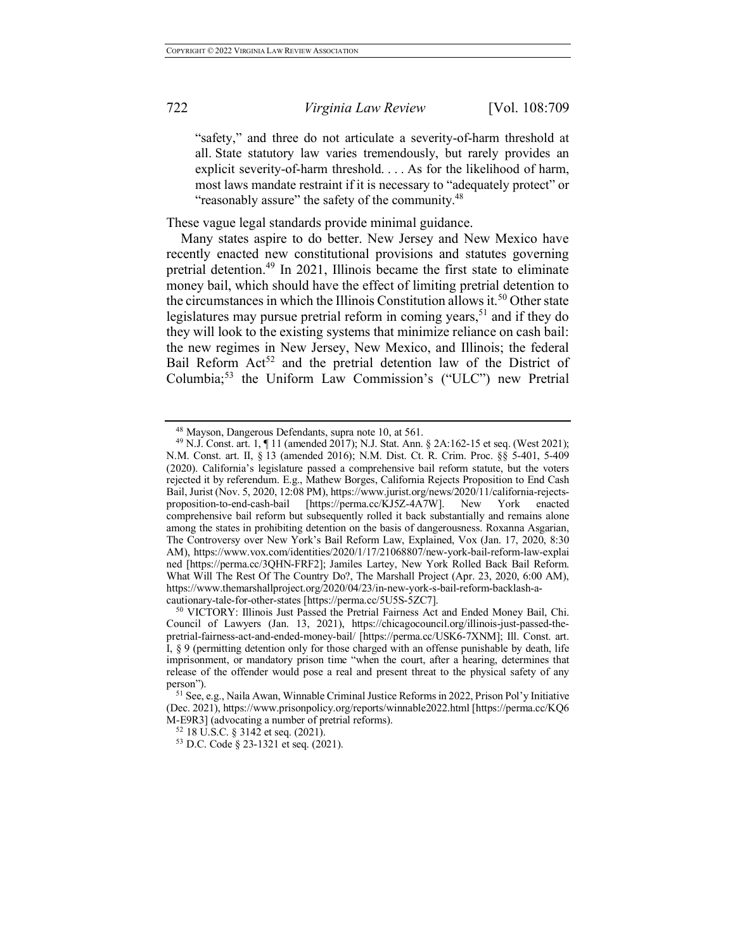"safety," and three do not articulate a severity-of-harm threshold at all. State statutory law varies tremendously, but rarely provides an explicit severity-of-harm threshold. . . . As for the likelihood of harm, most laws mandate restraint if it is necessary to "adequately protect" or "reasonably assure" the safety of the community.<sup>48</sup>

These vague legal standards provide minimal guidance.

Many states aspire to do better. New Jersey and New Mexico have recently enacted new constitutional provisions and statutes governing pretrial detention. <sup>49</sup> In 2021, Illinois became the first state to eliminate money bail, which should have the effect of limiting pretrial detention to the circumstances in which the Illinois Constitution allows it.<sup>50</sup> Other state legislatures may pursue pretrial reform in coming years,  $51$  and if they do they will look to the existing systems that minimize reliance on cash bail: the new regimes in New Jersey, New Mexico, and Illinois; the federal Bail Reform  $Act^{52}$  and the pretrial detention law of the District of Columbia; <sup>53</sup> the Uniform Law Commission's ("ULC") new Pretrial

<sup>48</sup> Mayson, Dangerous Defendants, supra note 10, at 561.

<sup>49</sup> N.J. Const. art. 1, ¶ 11 (amended 2017); N.J. Stat. Ann. § 2A:162-15 et seq. (West 2021); N.M. Const. art. II, § 13 (amended 2016); N.M. Dist. Ct. R. Crim. Proc. §§ 5-401, 5-409 (2020). California's legislature passed a comprehensive bail reform statute, but the voters rejected it by referendum. E.g., Mathew Borges, California Rejects Proposition to End Cash Bail, Jurist (Nov. 5, 2020, 12:08 PM), https://www.jurist.org/news/2020/11/california-rejectsproposition-to-end-cash-bail [https://perma.cc/KJ5Z-4A7W]. New York enacted comprehensive bail reform but subsequently rolled it back substantially and remains alone among the states in prohibiting detention on the basis of dangerousness. Roxanna Asgarian, The Controversy over New York's Bail Reform Law, Explained, Vox (Jan. 17, 2020, 8:30 AM), https://www.vox.com/identities/2020/1/17/21068807/new-york-bail-reform-law-explai ned [https://perma.cc/3QHN-FRF2]; Jamiles Lartey, New York Rolled Back Bail Reform. What Will The Rest Of The Country Do?, The Marshall Project (Apr. 23, 2020, 6:00 AM), https://www.themarshallproject.org/2020/04/23/in-new-york-s-bail-reform-backlash-a-<br>cautionary-tale-for-other-states [https://perma.cc/5U5S-5ZC7].

<sup>&</sup>lt;sup>50</sup> VICTORY: Illinois Just Passed the Pretrial Fairness Act and Ended Money Bail, Chi. Council of Lawyers (Jan. 13, 2021), https://chicagocouncil.org/illinois-just-passed-thepretrial-fairness-act-and-ended-money-bail/ [https://perma.cc/USK6-7XNM]; Ill. Const. art. I, § 9 (permitting detention only for those charged with an offense punishable by death, life imprisonment, or mandatory prison time "when the court, after a hearing, determines that release of the offender would pose a real and present threat to the physical safety of any person").

<sup>51</sup> See, e.g., Naila Awan, Winnable Criminal Justice Reforms in 2022, Prison Pol'y Initiative (Dec. 2021), https://www.prisonpolicy.org/reports/winnable2022.html [https://perma.cc/KQ6 M-E9R3] (advocating a number of pretrial reforms).

<sup>52</sup> 18 U.S.C. § 3142 et seq. (2021).

<sup>53</sup> D.C. Code § 23-1321 et seq. (2021).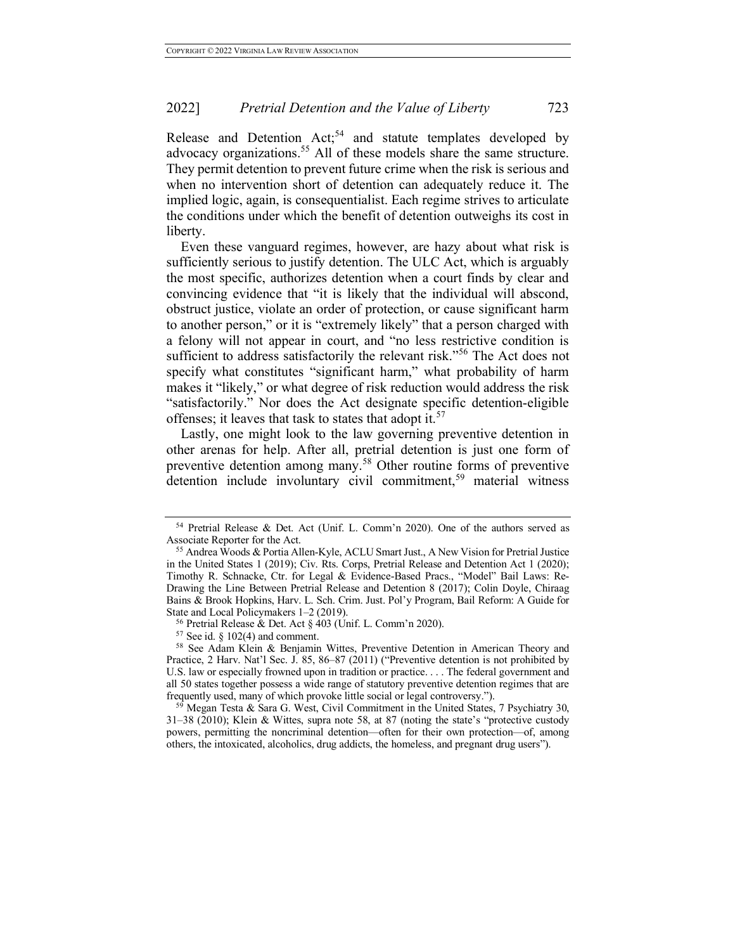Release and Detention Act;<sup>54</sup> and statute templates developed by advocacy organizations.<sup>55</sup> All of these models share the same structure. They permit detention to prevent future crime when the risk is serious and when no intervention short of detention can adequately reduce it. The implied logic, again, is consequentialist. Each regime strives to articulate the conditions under which the benefit of detention outweighs its cost in liberty.

Even these vanguard regimes, however, are hazy about what risk is sufficiently serious to justify detention. The ULC Act, which is arguably the most specific, authorizes detention when a court finds by clear and convincing evidence that "it is likely that the individual will abscond, obstruct justice, violate an order of protection, or cause significant harm to another person," or it is "extremely likely" that a person charged with a felony will not appear in court, and "no less restrictive condition is sufficient to address satisfactorily the relevant risk."<sup>56</sup> The Act does not specify what constitutes "significant harm," what probability of harm makes it "likely," or what degree of risk reduction would address the risk "satisfactorily." Nor does the Act designate specific detention-eligible offenses; it leaves that task to states that adopt it.<sup>57</sup>

Lastly, one might look to the law governing preventive detention in other arenas for help. After all, pretrial detention is just one form of preventive detention among many.<sup>58</sup> Other routine forms of preventive detention include involuntary civil commitment,<sup>59</sup> material witness

<sup>54</sup> Pretrial Release & Det. Act (Unif. L. Comm'n 2020). One of the authors served as Associate Reporter for the Act.

<sup>55</sup> Andrea Woods & Portia Allen-Kyle, ACLU Smart Just., A New Vision for Pretrial Justice in the United States 1 (2019); Civ. Rts. Corps, Pretrial Release and Detention Act 1 (2020); Timothy R. Schnacke, Ctr. for Legal & Evidence-Based Pracs., "Model" Bail Laws: Re-Drawing the Line Between Pretrial Release and Detention 8 (2017); Colin Doyle, Chiraag Bains & Brook Hopkins, Harv. L. Sch. Crim. Just. Pol'y Program, Bail Reform: A Guide for State and Local Policymakers 1–2 (2019).

<sup>&</sup>lt;sup>56</sup> Pretrial Release & Det. Act § 403 (Unif. L. Comm'n 2020).<br><sup>57</sup> See id. § 102(4) and comment.

<sup>&</sup>lt;sup>58</sup> See Adam Klein & Benjamin Wittes, Preventive Detention in American Theory and Practice, 2 Harv. Nat'l Sec. J. 85, 86–87 (2011) ("Preventive detention is not prohibited by U.S. law or especially frowned upon in tradition or practice. . . . The federal government and all 50 states together possess a wide range of statutory preventive detention regimes that are frequently used, many of which provoke little social or legal controversy.").

 $59$  Megan Testa & Sara G. West, Civil Commitment in the United States, 7 Psychiatry 30, 31–38 (2010); Klein & Wittes, supra note 58, at 87 (noting the state's "protective custody powers, permitting the noncriminal detention—often for their own protection—of, among others, the intoxicated, alcoholics, drug addicts, the homeless, and pregnant drug users").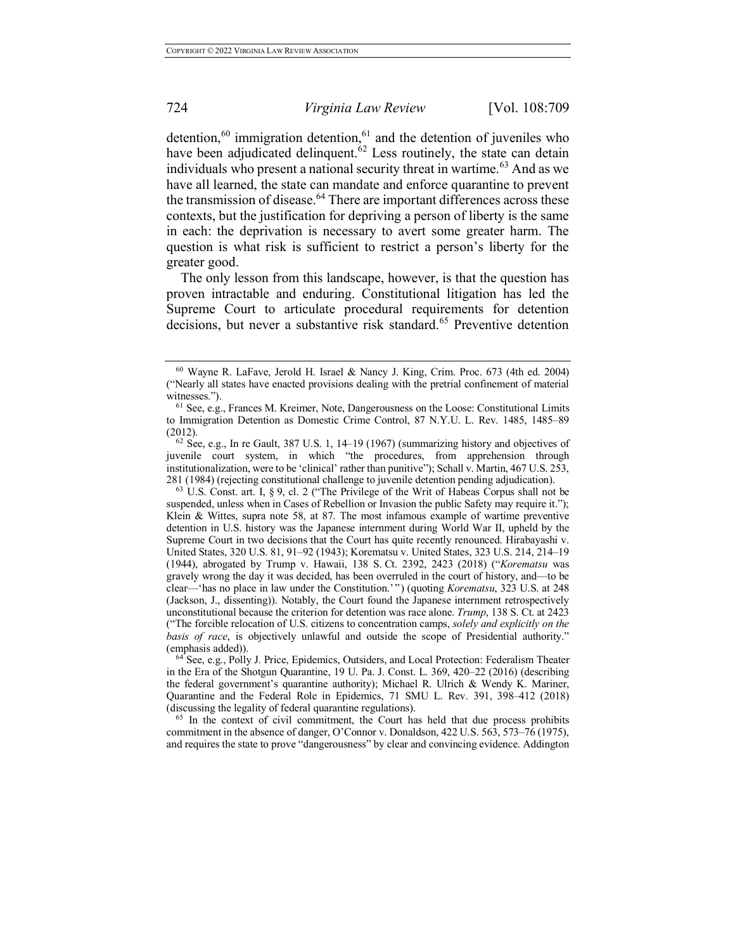detention,<sup>60</sup> immigration detention,<sup>61</sup> and the detention of juveniles who have been adjudicated delinquent.<sup>62</sup> Less routinely, the state can detain individuals who present a national security threat in wartime.<sup>63</sup> And as we have all learned, the state can mandate and enforce quarantine to prevent the transmission of disease.<sup>64</sup> There are important differences across these contexts, but the justification for depriving a person of liberty is the same in each: the deprivation is necessary to avert some greater harm. The question is what risk is sufficient to restrict a person's liberty for the greater good.

The only lesson from this landscape, however, is that the question has proven intractable and enduring. Constitutional litigation has led the Supreme Court to articulate procedural requirements for detention decisions, but never a substantive risk standard.<sup>65</sup> Preventive detention

<sup>65</sup> In the context of civil commitment, the Court has held that due process prohibits commitment in the absence of danger, O'Connor v. Donaldson, 422 U.S. 563, 573–76 (1975), and requires the state to prove "dangerousness" by clear and convincing evidence. Addington

<sup>60</sup> Wayne R. LaFave, Jerold H. Israel & Nancy J. King, Crim. Proc. 673 (4th ed. 2004) ("Nearly all states have enacted provisions dealing with the pretrial confinement of material witnesses.").

<sup>61</sup> See, e.g., Frances M. Kreimer, Note, Dangerousness on the Loose: Constitutional Limits to Immigration Detention as Domestic Crime Control, 87 N.Y.U. L. Rev. 1485, 1485–89 (2012).

 $62$  See, e.g., In re Gault, 387 U.S. 1, 14–19 (1967) (summarizing history and objectives of juvenile court system, in which "the procedures, from apprehension through institutionalization, were to be 'clinical' rather than punitive"); Schall v. Martin, 467 U.S. 253, 281 (1984) (rejecting constitutional challenge to juvenile detention pending adjudication).

<sup>63</sup> U.S. Const. art. I, § 9, cl. 2 ("The Privilege of the Writ of Habeas Corpus shall not be suspended, unless when in Cases of Rebellion or Invasion the public Safety may require it."); Klein & Wittes, supra note 58, at 87. The most infamous example of wartime preventive detention in U.S. history was the Japanese internment during World War II, upheld by the Supreme Court in two decisions that the Court has quite recently renounced. Hirabayashi v. United States, 320 U.S. 81, 91–92 (1943); Korematsu v. United States, 323 U.S. 214, 214–19 (1944), abrogated by Trump v. Hawaii, 138 S. Ct. 2392, 2423 (2018) ("*Korematsu* was gravely wrong the day it was decided, has been overruled in the court of history, and—to be clear—'has no place in law under the Constitution.'") (quoting *Korematsu*, 323 U.S. at 248 (Jackson, J., dissenting)). Notably, the Court found the Japanese internment retrospectively unconstitutional because the criterion for detention was race alone. *Trump*, 138 S. Ct. at 2423 ("The forcible relocation of U.S. citizens to concentration camps, *solely and explicitly on the basis of race*, is objectively unlawful and outside the scope of Presidential authority." (emphasis added)).

<sup>64</sup> See, e.g., Polly J. Price, Epidemics, Outsiders, and Local Protection: Federalism Theater in the Era of the Shotgun Quarantine, 19 U. Pa. J. Const. L. 369, 420–22 (2016) (describing the federal government's quarantine authority); Michael R. Ulrich & Wendy K. Mariner, Quarantine and the Federal Role in Epidemics, 71 SMU L. Rev. 391, 398–412 (2018) (discussing the legality of federal quarantine regulations).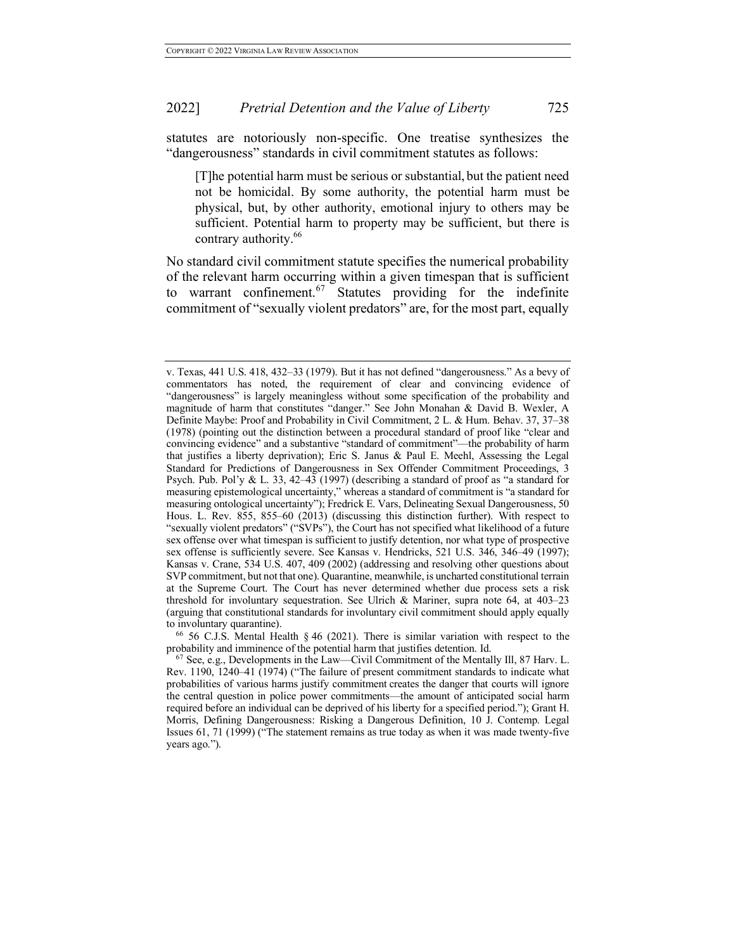statutes are notoriously non-specific. One treatise synthesizes the "dangerousness" standards in civil commitment statutes as follows:

[T]he potential harm must be serious or substantial, but the patient need not be homicidal. By some authority, the potential harm must be physical, but, by other authority, emotional injury to others may be sufficient. Potential harm to property may be sufficient, but there is contrary authority.<sup>66</sup>

No standard civil commitment statute specifies the numerical probability of the relevant harm occurring within a given timespan that is sufficient to warrant confinement.<sup>67</sup> Statutes providing for the indefinite commitment of "sexually violent predators" are, for the most part, equally

to involuntary quarantine).<br><sup>66</sup> 56 C.J.S. Mental Health § 46 (2021). There is similar variation with respect to the probability and imminence of the potential harm that justifies detention. Id.

v. Texas, 441 U.S. 418, 432–33 (1979). But it has not defined "dangerousness." As a bevy of commentators has noted, the requirement of clear and convincing evidence of "dangerousness" is largely meaningless without some specification of the probability and magnitude of harm that constitutes "danger." See John Monahan & David B. Wexler, A Definite Maybe: Proof and Probability in Civil Commitment, 2 L. & Hum. Behav. 37, 37–38 (1978) (pointing out the distinction between a procedural standard of proof like "clear and convincing evidence" and a substantive "standard of commitment"—the probability of harm that justifies a liberty deprivation); Eric S. Janus & Paul E. Meehl, Assessing the Legal Standard for Predictions of Dangerousness in Sex Offender Commitment Proceedings, 3 Psych. Pub. Pol'y & L. 33, 42–43 (1997) (describing a standard of proof as "a standard for measuring epistemological uncertainty," whereas a standard of commitment is "a standard for measuring ontological uncertainty"); Fredrick E. Vars, Delineating Sexual Dangerousness, 50 Hous. L. Rev. 855, 855–60 (2013) (discussing this distinction further). With respect to "sexually violent predators" ("SVPs"), the Court has not specified what likelihood of a future sex offense over what timespan is sufficient to justify detention, nor what type of prospective sex offense is sufficiently severe. See Kansas v. Hendricks, 521 U.S. 346, 346–49 (1997); Kansas v. Crane, 534 U.S. 407, 409 (2002) (addressing and resolving other questions about SVP commitment, but not that one). Quarantine, meanwhile, is uncharted constitutional terrain at the Supreme Court. The Court has never determined whether due process sets a risk threshold for involuntary sequestration. See Ulrich & Mariner, supra note 64, at 403–23 (arguing that constitutional standards for involuntary civil commitment should apply equally

 $67$  See, e.g., Developments in the Law—Civil Commitment of the Mentally III, 87 Harv. L. Rev. 1190, 1240–41 (1974) ("The failure of present commitment standards to indicate what probabilities of various harms justify commitment creates the danger that courts will ignore the central question in police power commitments—the amount of anticipated social harm required before an individual can be deprived of his liberty for a specified period."); Grant H. Morris, Defining Dangerousness: Risking a Dangerous Definition, 10 J. Contemp. Legal Issues 61, 71 (1999) ("The statement remains as true today as when it was made twenty-five years ago.").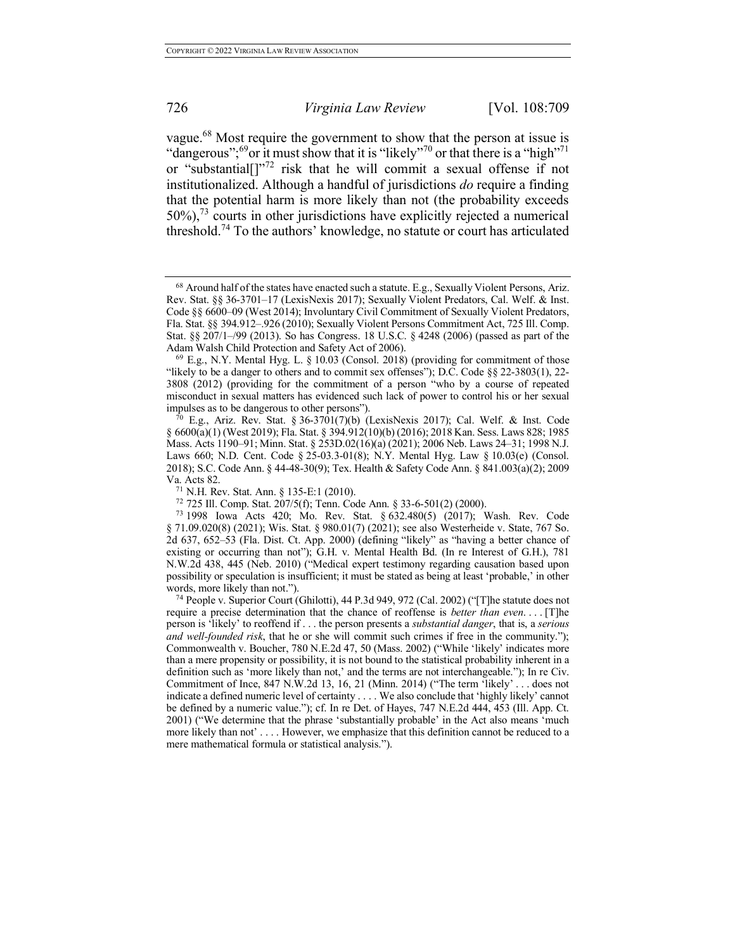vague.68 Most require the government to show that the person at issue is "dangerous";<sup>69</sup>or it must show that it is "likely"<sup>70</sup> or that there is a "high"<sup>71</sup> or "substantial[]"<sup>72</sup> risk that he will commit a sexual offense if not institutionalized. Although a handful of jurisdictions *do* require a finding that the potential harm is more likely than not (the probability exceeds 50%),<sup>73</sup> courts in other jurisdictions have explicitly rejected a numerical threshold.<sup>74</sup> To the authors' knowledge, no statute or court has articulated

 $^{68}$  Around half of the states have enacted such a statute. E.g., Sexually Violent Persons, Ariz. Rev. Stat. §§ 36-3701–17 (LexisNexis 2017); Sexually Violent Predators, Cal. Welf. & Inst. Code §§ 6600–09 (West 2014); Involuntary Civil Commitment of Sexually Violent Predators, Fla. Stat. §§ 394.912–.926 (2010); Sexually Violent Persons Commitment Act, 725 Ill. Comp. Stat. §§ 207/1–/99 (2013). So has Congress. 18 U.S.C. § 4248 (2006) (passed as part of the Adam Walsh Child Protection and Safety Act of 2006).

<sup>69</sup> E.g., N.Y. Mental Hyg. L. § 10.03 (Consol. 2018) (providing for commitment of those "likely to be a danger to others and to commit sex offenses"); D.C. Code  $\S$  22-3803(1), 22-3808 (2012) (providing for the commitment of a person "who by a course of repeated misconduct in sexual matters has evidenced such lack of power to control his or her sexual impulses as to be dangerous to other persons").

 $^{70}$  E.g., Ariz. Rev. Stat. § 36-3701(7)(b) (LexisNexis 2017); Cal. Welf. & Inst. Code § 6600(a)(1) (West 2019); Fla. Stat. § 394.912(10)(b) (2016); 2018 Kan. Sess. Laws 828; 1985 Mass. Acts 1190–91; Minn. Stat. § 253D.02(16)(a) (2021); 2006 Neb. Laws 24–31; 1998 N.J. Laws 660; N.D. Cent. Code § 25-03.3-01(8); N.Y. Mental Hyg. Law § 10.03(e) (Consol. 2018); S.C. Code Ann. § 44-48-30(9); Tex. Health & Safety Code Ann. § 841.003(a)(2); 2009 Va. Acts 82.<br><sup>71</sup> N.H. Rev. Stat. Ann. 8 135-E:1 (2010).

<sup>72 725</sup> Ill. Comp. Stat.  $207/5(f)$ ; Tenn. Code Ann. § 33-6-501(2) (2000).

<sup>73</sup> 1998 Iowa Acts 420; Mo. Rev. Stat. § 632.480(5) (2017); Wash. Rev. Code § 71.09.020(8) (2021); Wis. Stat. § 980.01(7) (2021); see also Westerheide v. State, 767 So. 2d 637, 652–53 (Fla. Dist. Ct. App. 2000) (defining "likely" as "having a better chance of existing or occurring than not"); G.H. v. Mental Health Bd. (In re Interest of G.H.), 781 N.W.2d 438, 445 (Neb. 2010) ("Medical expert testimony regarding causation based upon possibility or speculation is insufficient; it must be stated as being at least 'probable,' in other words, more likely than not.").

<sup>74</sup> People v. Superior Court (Ghilotti), 44 P.3d 949, 972 (Cal. 2002) ("[T]he statute does not require a precise determination that the chance of reoffense is *better than even*. . . . [T]he person is 'likely' to reoffend if . . . the person presents a *substantial danger*, that is, a *serious and well-founded risk*, that he or she will commit such crimes if free in the community."); Commonwealth v. Boucher, 780 N.E.2d 47, 50 (Mass. 2002) ("While 'likely' indicates more than a mere propensity or possibility, it is not bound to the statistical probability inherent in a definition such as 'more likely than not,' and the terms are not interchangeable."); In re Civ. Commitment of Ince, 847 N.W.2d 13, 16, 21 (Minn. 2014) ("The term 'likely' . . . does not indicate a defined numeric level of certainty . . . . We also conclude that 'highly likely' cannot be defined by a numeric value."); cf. In re Det. of Hayes, 747 N.E.2d 444, 453 (Ill. App. Ct. 2001) ("We determine that the phrase 'substantially probable' in the Act also means 'much more likely than not' . . . . However, we emphasize that this definition cannot be reduced to a mere mathematical formula or statistical analysis.").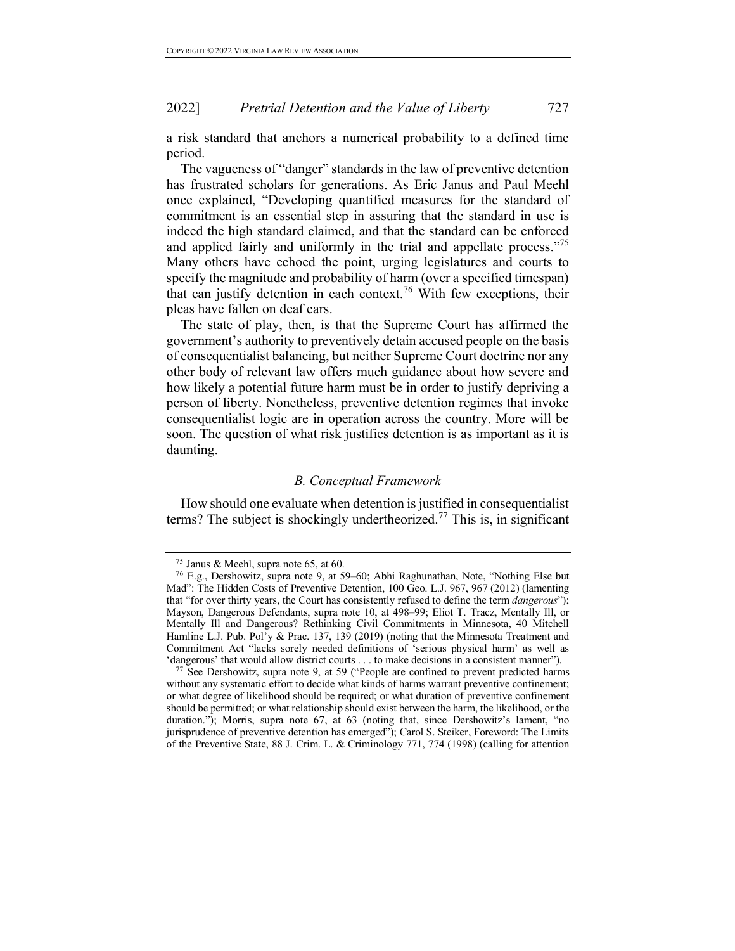a risk standard that anchors a numerical probability to a defined time period.

The vagueness of "danger" standards in the law of preventive detention has frustrated scholars for generations. As Eric Janus and Paul Meehl once explained, "Developing quantified measures for the standard of commitment is an essential step in assuring that the standard in use is indeed the high standard claimed, and that the standard can be enforced and applied fairly and uniformly in the trial and appellate process."<sup>75</sup> Many others have echoed the point, urging legislatures and courts to specify the magnitude and probability of harm (over a specified timespan) that can justify detention in each context.<sup>76</sup> With few exceptions, their pleas have fallen on deaf ears.

The state of play, then, is that the Supreme Court has affirmed the government's authority to preventively detain accused people on the basis of consequentialist balancing, but neither Supreme Court doctrine nor any other body of relevant law offers much guidance about how severe and how likely a potential future harm must be in order to justify depriving a person of liberty. Nonetheless, preventive detention regimes that invoke consequentialist logic are in operation across the country. More will be soon. The question of what risk justifies detention is as important as it is daunting.

## *B. Conceptual Framework*

How should one evaluate when detention is justified in consequentialist terms? The subject is shockingly undertheorized.<sup>77</sup> This is, in significant

<sup>&</sup>lt;sup>75</sup> Janus & Meehl, supra note 65, at 60.<br><sup>76</sup> E.g., Dershowitz, supra note 9, at 59–60; Abhi Raghunathan, Note, "Nothing Else but Mad": The Hidden Costs of Preventive Detention, 100 Geo. L.J. 967, 967 (2012) (lamenting that "for over thirty years, the Court has consistently refused to define the term *dangerous*"); Mayson, Dangerous Defendants, supra note 10, at 498–99; Eliot T. Tracz, Mentally Ill, or Mentally Ill and Dangerous? Rethinking Civil Commitments in Minnesota, 40 Mitchell Hamline L.J. Pub. Pol'y & Prac. 137, 139 (2019) (noting that the Minnesota Treatment and Commitment Act "lacks sorely needed definitions of 'serious physical harm' as well as 'dangerous' that would allow district courts . . . to make decisions in a consistent manner").

 $77$  See Dershowitz, supra note 9, at 59 ("People are confined to prevent predicted harms without any systematic effort to decide what kinds of harms warrant preventive confinement; or what degree of likelihood should be required; or what duration of preventive confinement should be permitted; or what relationship should exist between the harm, the likelihood, or the duration."); Morris, supra note 67, at 63 (noting that, since Dershowitz's lament, "no jurisprudence of preventive detention has emerged"); Carol S. Steiker, Foreword: The Limits of the Preventive State, 88 J. Crim. L. & Criminology 771, 774 (1998) (calling for attention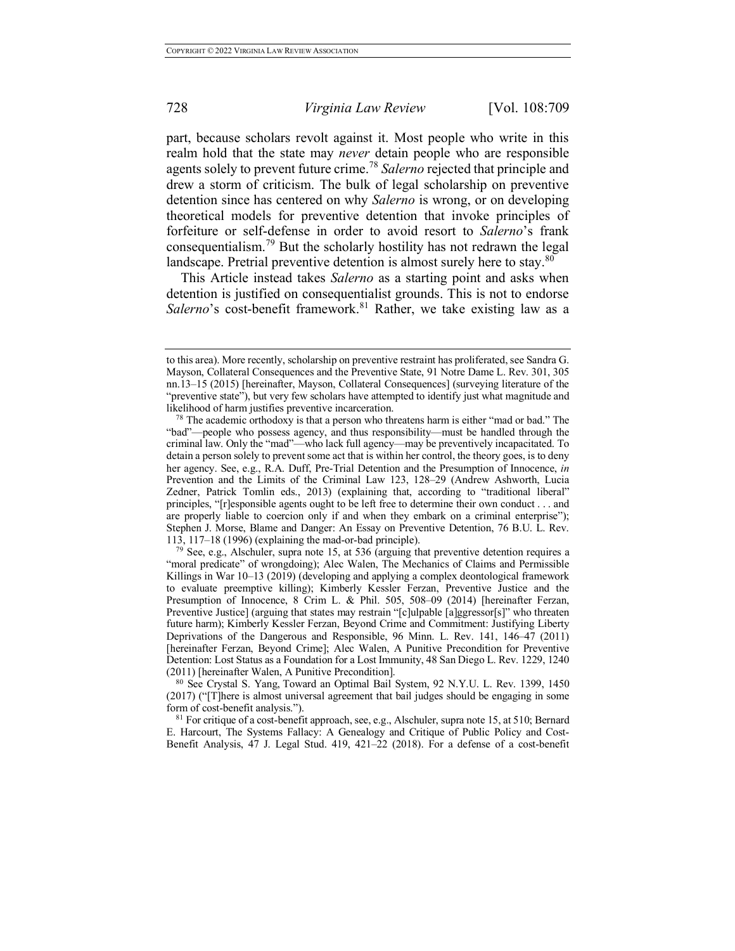part, because scholars revolt against it. Most people who write in this realm hold that the state may *never* detain people who are responsible agents solely to prevent future crime.<sup>78</sup> *Salerno* rejected that principle and drew a storm of criticism. The bulk of legal scholarship on preventive detention since has centered on why *Salerno* is wrong, or on developing theoretical models for preventive detention that invoke principles of forfeiture or self-defense in order to avoid resort to *Salerno*'s frank consequentialism.<sup>79</sup> But the scholarly hostility has not redrawn the legal landscape. Pretrial preventive detention is almost surely here to stay.<sup>80</sup>

This Article instead takes *Salerno* as a starting point and asks when detention is justified on consequentialist grounds. This is not to endorse Salerno's cost-benefit framework.<sup>81</sup> Rather, we take existing law as a

<sup>81</sup> For critique of a cost-benefit approach, see, e.g., Alschuler, supra note 15, at 510; Bernard E. Harcourt, The Systems Fallacy: A Genealogy and Critique of Public Policy and Cost-Benefit Analysis, 47 J. Legal Stud. 419, 421–22 (2018). For a defense of a cost-benefit

to this area). More recently, scholarship on preventive restraint has proliferated, see Sandra G. Mayson, Collateral Consequences and the Preventive State, 91 Notre Dame L. Rev. 301, 305 nn.13–15 (2015) [hereinafter, Mayson, Collateral Consequences] (surveying literature of the "preventive state"), but very few scholars have attempted to identify just what magnitude and

<sup>&</sup>lt;sup>78</sup> The academic orthodoxy is that a person who threatens harm is either "mad or bad." The "bad"—people who possess agency, and thus responsibility—must be handled through the criminal law. Only the "mad"—who lack full agency—may be preventively incapacitated. To detain a person solely to prevent some act that is within her control, the theory goes, is to deny her agency. See, e.g., R.A. Duff, Pre-Trial Detention and the Presumption of Innocence, *in* Prevention and the Limits of the Criminal Law 123, 128–29 (Andrew Ashworth, Lucia Zedner, Patrick Tomlin eds., 2013) (explaining that, according to "traditional liberal" principles, "[r]esponsible agents ought to be left free to determine their own conduct . . . and are properly liable to coercion only if and when they embark on a criminal enterprise"); Stephen J. Morse, Blame and Danger: An Essay on Preventive Detention, 76 B.U. L. Rev. 113, 117–18 (1996) (explaining the mad-or-bad principle).

See, e.g., Alschuler, supra note 15, at 536 (arguing that preventive detention requires a "moral predicate" of wrongdoing); Alec Walen, The Mechanics of Claims and Permissible Killings in War 10–13 (2019) (developing and applying a complex deontological framework to evaluate preemptive killing); Kimberly Kessler Ferzan, Preventive Justice and the Presumption of Innocence, 8 Crim L. & Phil. 505, 508-09 (2014) [hereinafter Ferzan, Preventive Justice] (arguing that states may restrain "[c]ulpable [a]ggressor[s]" who threaten future harm); Kimberly Kessler Ferzan, Beyond Crime and Commitment: Justifying Liberty Deprivations of the Dangerous and Responsible, 96 Minn. L. Rev. 141, 146–47 (2011) [hereinafter Ferzan, Beyond Crime]; Alec Walen, A Punitive Precondition for Preventive Detention: Lost Status as a Foundation for a Lost Immunity, 48 San Diego L. Rev. 1229, 1240 (2011) [hereinafter Walen, A Punitive Precondition].

<sup>&</sup>lt;sup>80</sup> See Crystal S. Yang, Toward an Optimal Bail System, 92 N.Y.U. L. Rev. 1399, 1450 (2017) ("[T]here is almost universal agreement that bail judges should be engaging in some form of cost-benefit analysis.").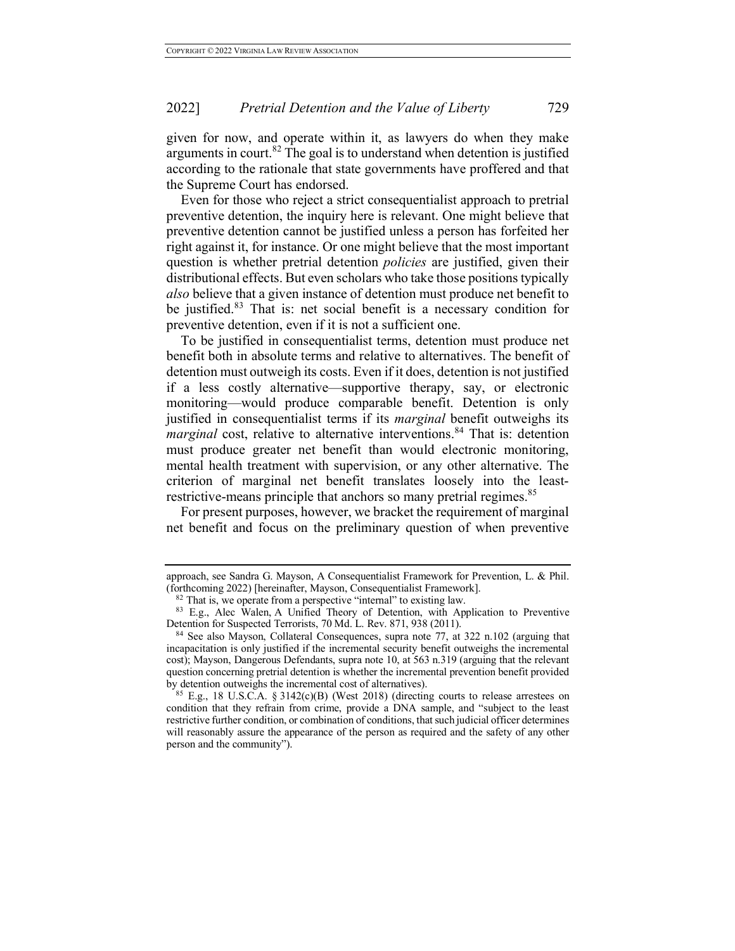given for now, and operate within it, as lawyers do when they make arguments in court.<sup>82</sup> The goal is to understand when detention is justified according to the rationale that state governments have proffered and that the Supreme Court has endorsed.

Even for those who reject a strict consequentialist approach to pretrial preventive detention, the inquiry here is relevant. One might believe that preventive detention cannot be justified unless a person has forfeited her right against it, for instance. Or one might believe that the most important question is whether pretrial detention *policies* are justified, given their distributional effects. But even scholars who take those positions typically *also* believe that a given instance of detention must produce net benefit to be justified.<sup>83</sup> That is: net social benefit is a necessary condition for preventive detention, even if it is not a sufficient one.

To be justified in consequentialist terms, detention must produce net benefit both in absolute terms and relative to alternatives. The benefit of detention must outweigh its costs. Even if it does, detention is not justified if a less costly alternative—supportive therapy, say, or electronic monitoring—would produce comparable benefit. Detention is only justified in consequentialist terms if its *marginal* benefit outweighs its *marginal* cost, relative to alternative interventions.<sup>84</sup> That is: detention must produce greater net benefit than would electronic monitoring, mental health treatment with supervision, or any other alternative. The criterion of marginal net benefit translates loosely into the leastrestrictive-means principle that anchors so many pretrial regimes.<sup>85</sup>

For present purposes, however, we bracket the requirement of marginal net benefit and focus on the preliminary question of when preventive

approach, see Sandra G. Mayson, A Consequentialist Framework for Prevention, L. & Phil. (forthcoming 2022) [hereinafter, Mayson, Consequentialist Framework].  ${}^{82}$  That is, we operate from a perspective "internal" to existing law.

<sup>&</sup>lt;sup>83</sup> E.g., Alec Walen, A Unified Theory of Detention, with Application to Preventive Detention for Suspected Terrorists, 70 Md. L. Rev. 871, 938 (2011).

<sup>84</sup> See also Mayson, Collateral Consequences, supra note 77, at 322 n.102 (arguing that incapacitation is only justified if the incremental security benefit outweighs the incremental cost); Mayson, Dangerous Defendants, supra note 10, at 563 n.319 (arguing that the relevant question concerning pretrial detention is whether the incremental prevention benefit provided by detention outweighs the incremental cost of alternatives).

 $85$  E.g., 18 U.S.C.A. § 3142(c)(B) (West 2018) (directing courts to release arrestees on condition that they refrain from crime, provide a DNA sample, and "subject to the least restrictive further condition, or combination of conditions, that such judicial officer determines will reasonably assure the appearance of the person as required and the safety of any other person and the community").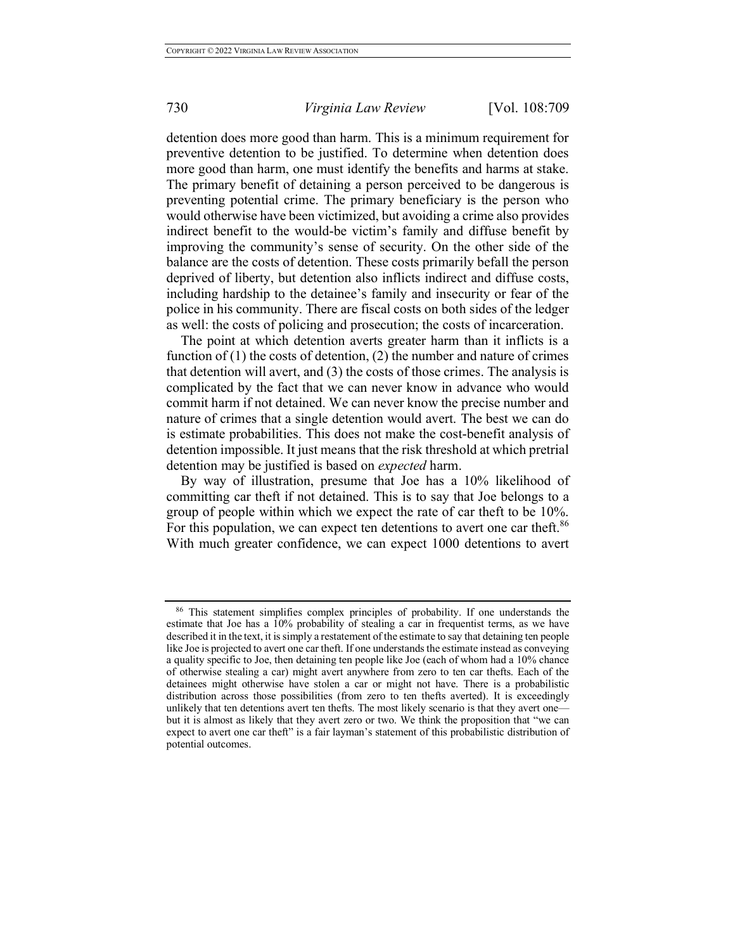detention does more good than harm. This is a minimum requirement for preventive detention to be justified. To determine when detention does more good than harm, one must identify the benefits and harms at stake. The primary benefit of detaining a person perceived to be dangerous is preventing potential crime. The primary beneficiary is the person who would otherwise have been victimized, but avoiding a crime also provides indirect benefit to the would-be victim's family and diffuse benefit by improving the community's sense of security. On the other side of the balance are the costs of detention. These costs primarily befall the person deprived of liberty, but detention also inflicts indirect and diffuse costs, including hardship to the detainee's family and insecurity or fear of the police in his community. There are fiscal costs on both sides of the ledger as well: the costs of policing and prosecution; the costs of incarceration.

The point at which detention averts greater harm than it inflicts is a function of  $(1)$  the costs of detention,  $(2)$  the number and nature of crimes that detention will avert, and (3) the costs of those crimes. The analysis is complicated by the fact that we can never know in advance who would commit harm if not detained. We can never know the precise number and nature of crimes that a single detention would avert. The best we can do is estimate probabilities. This does not make the cost-benefit analysis of detention impossible. It just means that the risk threshold at which pretrial detention may be justified is based on *expected* harm.

By way of illustration, presume that Joe has a 10% likelihood of committing car theft if not detained. This is to say that Joe belongs to a group of people within which we expect the rate of car theft to be 10%. For this population, we can expect ten detentions to avert one car theft.<sup>86</sup> With much greater confidence, we can expect 1000 detentions to avert

<sup>86</sup> This statement simplifies complex principles of probability. If one understands the estimate that Joe has a 10% probability of stealing a car in frequentist terms, as we have described it in the text, it is simply a restatement of the estimate to say that detaining ten people like Joe is projected to avert one car theft. If one understands the estimate instead as conveying a quality specific to Joe, then detaining ten people like Joe (each of whom had a 10% chance of otherwise stealing a car) might avert anywhere from zero to ten car thefts. Each of the detainees might otherwise have stolen a car or might not have. There is a probabilistic distribution across those possibilities (from zero to ten thefts averted). It is exceedingly unlikely that ten detentions avert ten thefts. The most likely scenario is that they avert one but it is almost as likely that they avert zero or two. We think the proposition that "we can expect to avert one car theft" is a fair layman's statement of this probabilistic distribution of potential outcomes.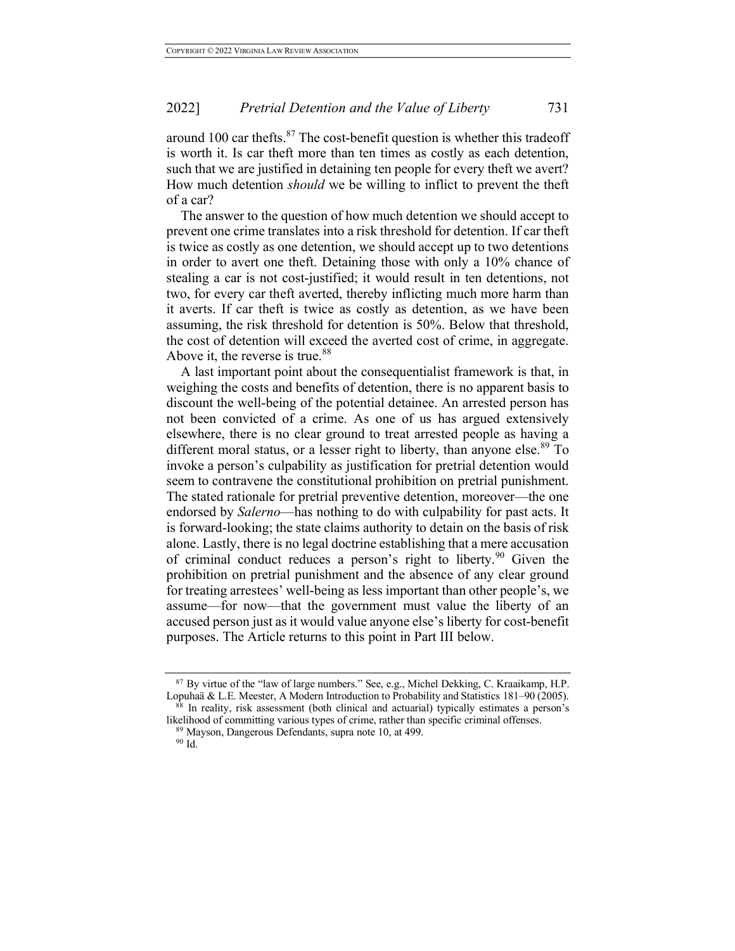around 100 car thefts. $87$  The cost-benefit question is whether this tradeoff is worth it. Is car theft more than ten times as costly as each detention, such that we are justified in detaining ten people for every theft we avert? How much detention *should* we be willing to inflict to prevent the theft of a car?

The answer to the question of how much detention we should accept to prevent one crime translates into a risk threshold for detention. If car theft is twice as costly as one detention, we should accept up to two detentions in order to avert one theft. Detaining those with only a 10% chance of stealing a car is not cost-justified; it would result in ten detentions, not two, for every car theft averted, thereby inflicting much more harm than it averts. If car theft is twice as costly as detention, as we have been assuming, the risk threshold for detention is 50%. Below that threshold, the cost of detention will exceed the averted cost of crime, in aggregate. Above it, the reverse is true.<sup>88</sup>

A last important point about the consequentialist framework is that, in weighing the costs and benefits of detention, there is no apparent basis to discount the well-being of the potential detainee. An arrested person has not been convicted of a crime. As one of us has argued extensively elsewhere, there is no clear ground to treat arrested people as having a different moral status, or a lesser right to liberty, than anyone else.<sup>89</sup> To invoke a person's culpability as justification for pretrial detention would seem to contravene the constitutional prohibition on pretrial punishment. The stated rationale for pretrial preventive detention, moreover—the one endorsed by *Salerno*—has nothing to do with culpability for past acts. It is forward-looking; the state claims authority to detain on the basis of risk alone. Lastly, there is no legal doctrine establishing that a mere accusation of criminal conduct reduces a person's right to liberty.<sup>90</sup> Given the prohibition on pretrial punishment and the absence of any clear ground for treating arrestees' well-being as less important than other people's, we assume—for now—that the government must value the liberty of an accused person just as it would value anyone else's liberty for cost-benefit purposes. The Article returns to this point in Part III below.

<sup>87</sup> By virtue of the "law of large numbers." See, e.g., Michel Dekking, C. Kraaikamp, H.P. Lopuhaä & L.E. Meester, A Modern Introduction to Probability and Statistics 181–90 (2005).

 $88$  In reality, risk assessment (both clinical and actuarial) typically estimates a person's likelihood of committing various types of crime, rather than specific criminal offenses. 89 Mayson, Dangerous Defendants, supra note 10, at 499.

<sup>90</sup> Id.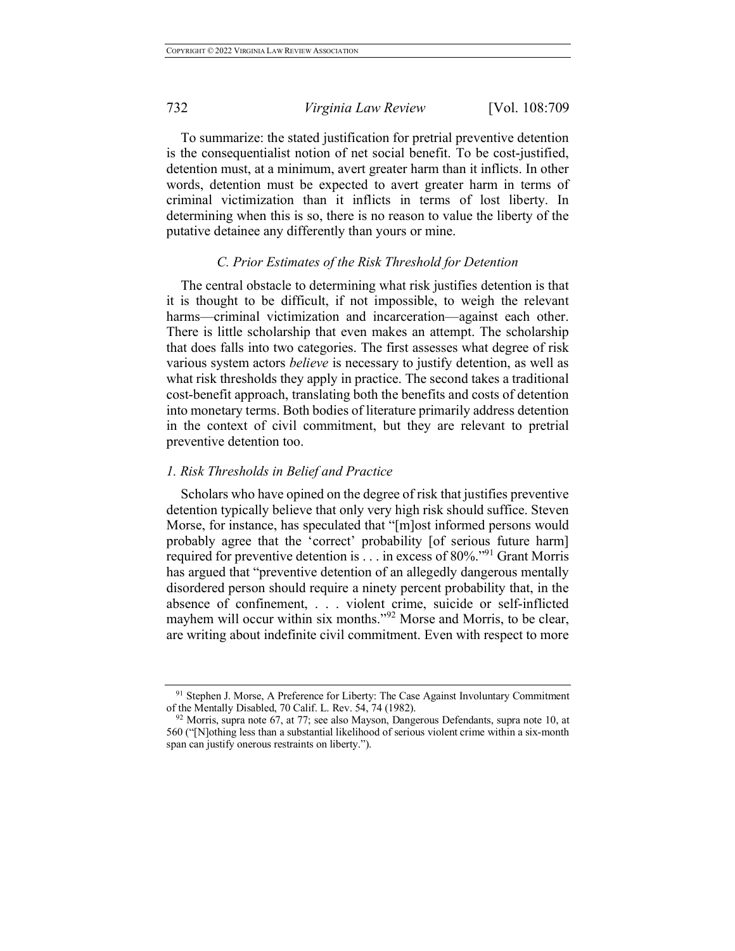To summarize: the stated justification for pretrial preventive detention is the consequentialist notion of net social benefit. To be cost-justified, detention must, at a minimum, avert greater harm than it inflicts. In other words, detention must be expected to avert greater harm in terms of criminal victimization than it inflicts in terms of lost liberty. In determining when this is so, there is no reason to value the liberty of the putative detainee any differently than yours or mine.

#### *C. Prior Estimates of the Risk Threshold for Detention*

The central obstacle to determining what risk justifies detention is that it is thought to be difficult, if not impossible, to weigh the relevant harms—criminal victimization and incarceration—against each other. There is little scholarship that even makes an attempt. The scholarship that does falls into two categories. The first assesses what degree of risk various system actors *believe* is necessary to justify detention, as well as what risk thresholds they apply in practice. The second takes a traditional cost-benefit approach, translating both the benefits and costs of detention into monetary terms. Both bodies of literature primarily address detention in the context of civil commitment, but they are relevant to pretrial preventive detention too.

## *1. Risk Thresholds in Belief and Practice*

Scholars who have opined on the degree of risk that justifies preventive detention typically believe that only very high risk should suffice. Steven Morse, for instance, has speculated that "[m]ost informed persons would probably agree that the 'correct' probability [of serious future harm] required for preventive detention is . . . in excess of 80%."91 Grant Morris has argued that "preventive detention of an allegedly dangerous mentally disordered person should require a ninety percent probability that, in the absence of confinement, . . . violent crime, suicide or self-inflicted mayhem will occur within six months."<sup>92</sup> Morse and Morris, to be clear, are writing about indefinite civil commitment. Even with respect to more

<sup>91</sup> Stephen J. Morse, A Preference for Liberty: The Case Against Involuntary Commitment of the Mentally Disabled, 70 Calif. L. Rev. 54, 74 (1982).

 $92$  Morris, supra note 67, at 77; see also Mayson, Dangerous Defendants, supra note 10, at 560 ("[N]othing less than a substantial likelihood of serious violent crime within a six-month span can justify onerous restraints on liberty.").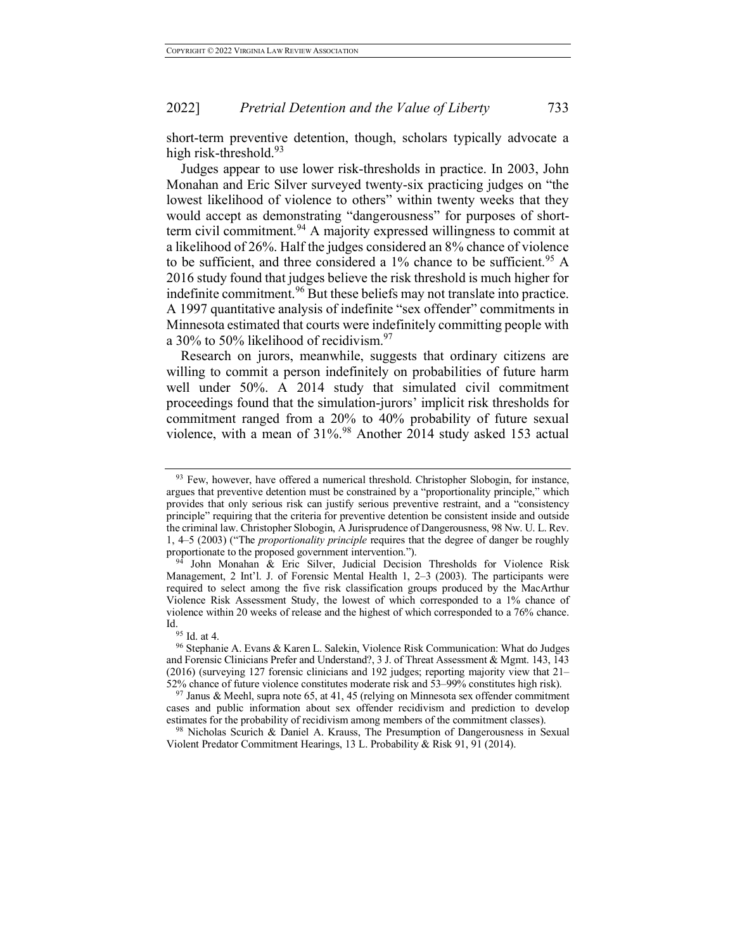short-term preventive detention, though, scholars typically advocate a high risk-threshold. $93$ 

Judges appear to use lower risk-thresholds in practice. In 2003, John Monahan and Eric Silver surveyed twenty-six practicing judges on "the lowest likelihood of violence to others" within twenty weeks that they would accept as demonstrating "dangerousness" for purposes of shortterm civil commitment.<sup>94</sup> A majority expressed willingness to commit at a likelihood of 26%. Half the judges considered an 8% chance of violence to be sufficient, and three considered a 1% chance to be sufficient.<sup>95</sup> A 2016 study found that judges believe the risk threshold is much higher for indefinite commitment.<sup>96</sup> But these beliefs may not translate into practice. A 1997 quantitative analysis of indefinite "sex offender" commitments in Minnesota estimated that courts were indefinitely committing people with a 30% to 50% likelihood of recidivism. $97$ 

Research on jurors, meanwhile, suggests that ordinary citizens are willing to commit a person indefinitely on probabilities of future harm well under 50%. A 2014 study that simulated civil commitment proceedings found that the simulation-jurors' implicit risk thresholds for commitment ranged from a 20% to 40% probability of future sexual violence, with a mean of 31%.<sup>98</sup> Another 2014 study asked 153 actual

<sup>&</sup>lt;sup>93</sup> Few, however, have offered a numerical threshold. Christopher Slobogin, for instance, argues that preventive detention must be constrained by a "proportionality principle," which provides that only serious risk can justify serious preventive restraint, and a "consistency principle" requiring that the criteria for preventive detention be consistent inside and outside the criminal law. Christopher Slobogin, A Jurisprudence of Dangerousness, 98 Nw. U. L. Rev. 1, 4–5 (2003) ("The *proportionality principle* requires that the degree of danger be roughly proportionate to the proposed government intervention.").

<sup>&</sup>lt;sup>94</sup> John Monahan & Eric Silver, Judicial Decision Thresholds for Violence Risk Management, 2 Int'l. J. of Forensic Mental Health 1, 2–3 (2003). The participants were required to select among the five risk classification groups produced by the MacArthur Violence Risk Assessment Study, the lowest of which corresponded to a 1% chance of violence within 20 weeks of release and the highest of which corresponded to a 76% chance. Id.  $^{95}$  Id. at 4.

<sup>96</sup> Stephanie A. Evans & Karen L. Salekin, Violence Risk Communication: What do Judges and Forensic Clinicians Prefer and Understand?, 3 J. of Threat Assessment & Mgmt. 143, 143 (2016) (surveying 127 forensic clinicians and 192 judges; reporting majority view that 21– 52% chance of future violence constitutes moderate risk and 53–99% constitutes high risk).

<sup>97</sup> Janus & Meehl, supra note 65, at 41, 45 (relying on Minnesota sex offender commitment cases and public information about sex offender recidivism and prediction to develop estimates for the probability of recidivism among members of the commitment classes).

<sup>98</sup> Nicholas Scurich & Daniel A. Krauss, The Presumption of Dangerousness in Sexual Violent Predator Commitment Hearings, 13 L. Probability & Risk 91, 91 (2014).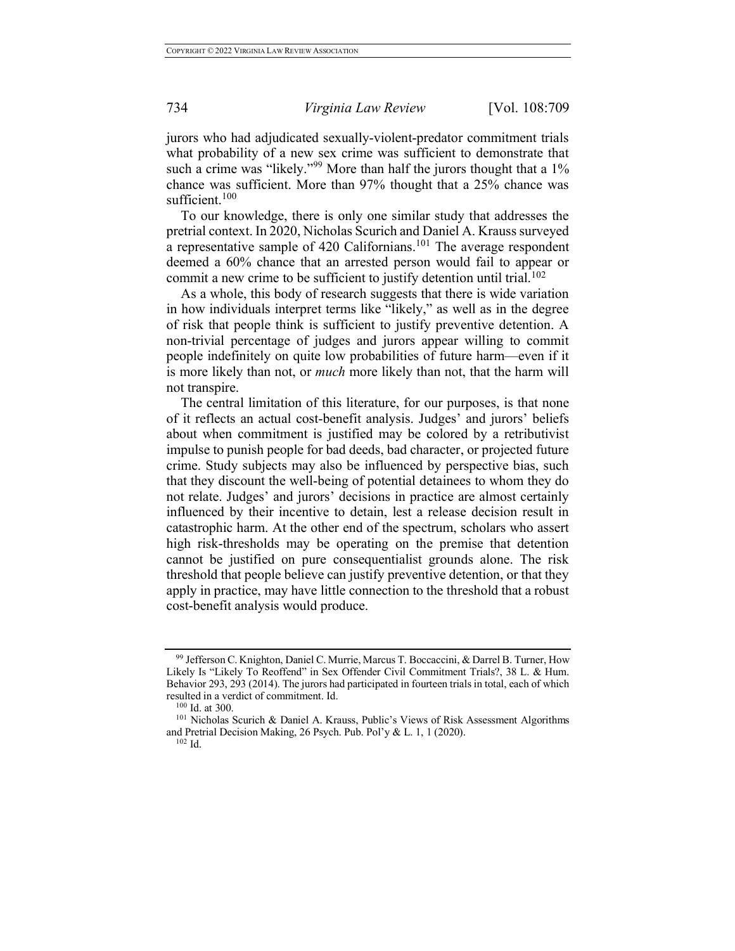jurors who had adjudicated sexually-violent-predator commitment trials what probability of a new sex crime was sufficient to demonstrate that such a crime was "likely."<sup>99</sup> More than half the jurors thought that a 1% chance was sufficient. More than 97% thought that a 25% chance was sufficient. $100$ 

To our knowledge, there is only one similar study that addresses the pretrial context. In 2020, Nicholas Scurich and Daniel A. Krauss surveyed a representative sample of 420 Californians.<sup>101</sup> The average respondent deemed a 60% chance that an arrested person would fail to appear or commit a new crime to be sufficient to justify detention until trial.<sup>102</sup>

As a whole, this body of research suggests that there is wide variation in how individuals interpret terms like "likely," as well as in the degree of risk that people think is sufficient to justify preventive detention. A non-trivial percentage of judges and jurors appear willing to commit people indefinitely on quite low probabilities of future harm—even if it is more likely than not, or *much* more likely than not, that the harm will not transpire.

The central limitation of this literature, for our purposes, is that none of it reflects an actual cost-benefit analysis. Judges' and jurors' beliefs about when commitment is justified may be colored by a retributivist impulse to punish people for bad deeds, bad character, or projected future crime. Study subjects may also be influenced by perspective bias, such that they discount the well-being of potential detainees to whom they do not relate. Judges' and jurors' decisions in practice are almost certainly influenced by their incentive to detain, lest a release decision result in catastrophic harm. At the other end of the spectrum, scholars who assert high risk-thresholds may be operating on the premise that detention cannot be justified on pure consequentialist grounds alone. The risk threshold that people believe can justify preventive detention, or that they apply in practice, may have little connection to the threshold that a robust cost-benefit analysis would produce.

<sup>99</sup> Jefferson C. Knighton, Daniel C. Murrie, Marcus T. Boccaccini, & Darrel B. Turner, How Likely Is "Likely To Reoffend" in Sex Offender Civil Commitment Trials?, 38 L. & Hum. Behavior 293, 293 (2014). The jurors had participated in fourteen trials in total, each of which resulted in a verdict of commitment. Id.  $100 \text{ Id.}$  at 300.

<sup>&</sup>lt;sup>101</sup> Nicholas Scurich & Daniel A. Krauss, Public's Views of Risk Assessment Algorithms and Pretrial Decision Making, 26 Psych. Pub. Pol'y & L. 1, 1 (2020).  $^{102}$  Id.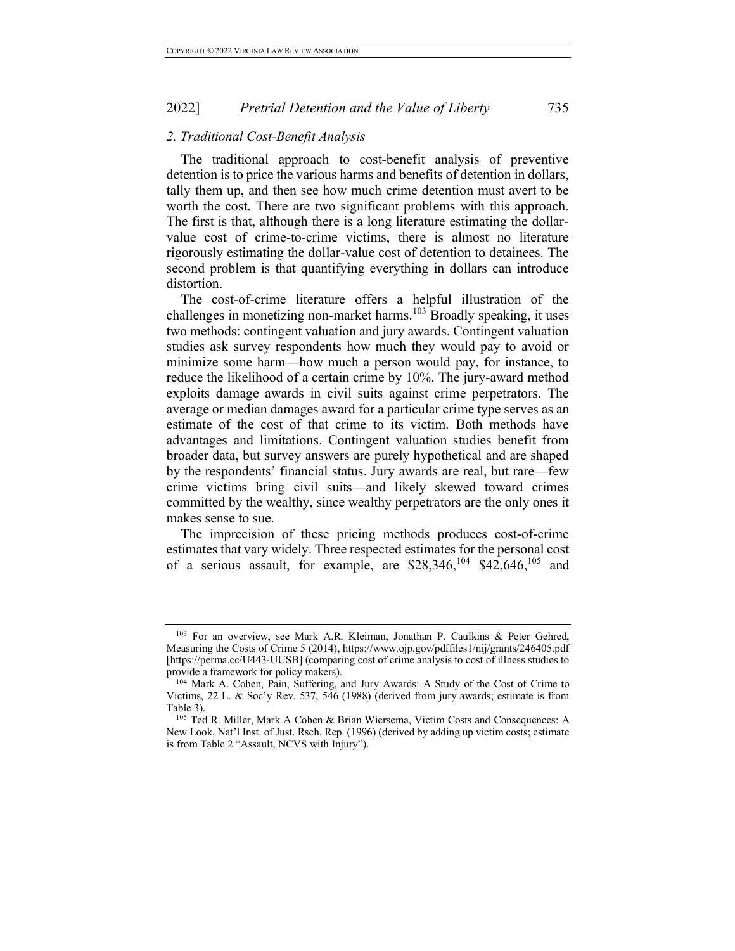### *2. Traditional Cost-Benefit Analysis*

The traditional approach to cost-benefit analysis of preventive detention is to price the various harms and benefits of detention in dollars, tally them up, and then see how much crime detention must avert to be worth the cost. There are two significant problems with this approach. The first is that, although there is a long literature estimating the dollarvalue cost of crime-to-crime victims, there is almost no literature rigorously estimating the dollar-value cost of detention to detainees. The second problem is that quantifying everything in dollars can introduce distortion.

The cost-of-crime literature offers a helpful illustration of the challenges in monetizing non-market harms. <sup>103</sup> Broadly speaking, it uses two methods: contingent valuation and jury awards. Contingent valuation studies ask survey respondents how much they would pay to avoid or minimize some harm—how much a person would pay, for instance, to reduce the likelihood of a certain crime by 10%. The jury-award method exploits damage awards in civil suits against crime perpetrators. The average or median damages award for a particular crime type serves as an estimate of the cost of that crime to its victim. Both methods have advantages and limitations. Contingent valuation studies benefit from broader data, but survey answers are purely hypothetical and are shaped by the respondents' financial status. Jury awards are real, but rare—few crime victims bring civil suits—and likely skewed toward crimes committed by the wealthy, since wealthy perpetrators are the only ones it makes sense to sue.

The imprecision of these pricing methods produces cost-of-crime estimates that vary widely. Three respected estimates for the personal cost of a serious assault, for example, are  $$28,346$ ,  $^{104}$   $$42,646$ ,  $^{105}$  and

<sup>103</sup> For an overview, see Mark A.R. Kleiman, Jonathan P. Caulkins & Peter Gehred, Measuring the Costs of Crime 5 (2014), https://www.ojp.gov/pdffiles1/nij/grants/246405.pdf [https://perma.cc/U443-UUSB] (comparing cost of crime analysis to cost of illness studies to provide a framework for policy makers).

<sup>104</sup> Mark A. Cohen, Pain, Suffering, and Jury Awards: A Study of the Cost of Crime to Victims, 22 L. & Soc'y Rev. 537, 546 (1988) (derived from jury awards; estimate is from Table 3).

<sup>105</sup> Ted R. Miller, Mark A Cohen & Brian Wiersema, Victim Costs and Consequences: A New Look, Nat'l Inst. of Just. Rsch. Rep. (1996) (derived by adding up victim costs; estimate is from Table 2 "Assault, NCVS with Injury").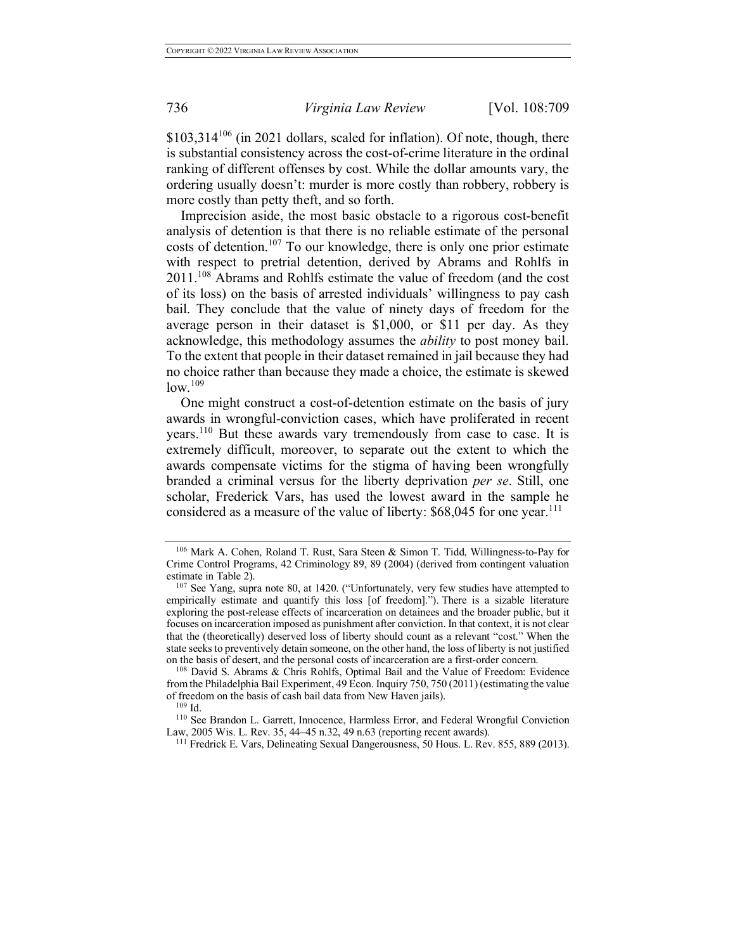$$103,314^{106}$  (in 2021 dollars, scaled for inflation). Of note, though, there is substantial consistency across the cost-of-crime literature in the ordinal ranking of different offenses by cost. While the dollar amounts vary, the ordering usually doesn't: murder is more costly than robbery, robbery is more costly than petty theft, and so forth.

Imprecision aside, the most basic obstacle to a rigorous cost-benefit analysis of detention is that there is no reliable estimate of the personal costs of detention.<sup>107</sup> To our knowledge, there is only one prior estimate with respect to pretrial detention, derived by Abrams and Rohlfs in 2011.<sup>108</sup> Abrams and Rohlfs estimate the value of freedom (and the cost of its loss) on the basis of arrested individuals' willingness to pay cash bail. They conclude that the value of ninety days of freedom for the average person in their dataset is \$1,000, or \$11 per day. As they acknowledge, this methodology assumes the *ability* to post money bail. To the extent that people in their dataset remained in jail because they had no choice rather than because they made a choice, the estimate is skewed  $low.^{109}$ 

One might construct a cost-of-detention estimate on the basis of jury awards in wrongful-conviction cases, which have proliferated in recent years.<sup>110</sup> But these awards vary tremendously from case to case. It is extremely difficult, moreover, to separate out the extent to which the awards compensate victims for the stigma of having been wrongfully branded a criminal versus for the liberty deprivation *per se*. Still, one scholar, Frederick Vars, has used the lowest award in the sample he considered as a measure of the value of liberty: \$68,045 for one year.<sup>111</sup>

<sup>106</sup> Mark A. Cohen, Roland T. Rust, Sara Steen & Simon T. Tidd, Willingness-to-Pay for Crime Control Programs, 42 Criminology 89, 89 (2004) (derived from contingent valuation estimate in Table 2).

<sup>107</sup> See Yang, supra note 80, at 1420. ("Unfortunately, very few studies have attempted to empirically estimate and quantify this loss [of freedom]."). There is a sizable literature exploring the post-release effects of incarceration on detainees and the broader public, but it focuses on incarceration imposed as punishment after conviction. In that context, it is not clear that the (theoretically) deserved loss of liberty should count as a relevant "cost." When the state seeks to preventively detain someone, on the other hand, the loss of liberty is not justified on the basis of desert, and the personal costs of incarceration are a first-order concern.

<sup>108</sup> David S. Abrams & Chris Rohlfs, Optimal Bail and the Value of Freedom: Evidence from the Philadelphia Bail Experiment, 49 Econ. Inquiry 750, 750 (2011) (estimating the value of freedom on the basis of cash bail data from New Haven jails).

<sup>109</sup> Id.

<sup>110</sup> See Brandon L. Garrett, Innocence, Harmless Error, and Federal Wrongful Conviction Law, 2005 Wis. L. Rev. 35, 44–45 n.32, 49 n.63 (reporting recent awards).

<sup>&</sup>lt;sup>111</sup> Fredrick E. Vars, Delineating Sexual Dangerousness, 50 Hous. L. Rev. 855, 889 (2013).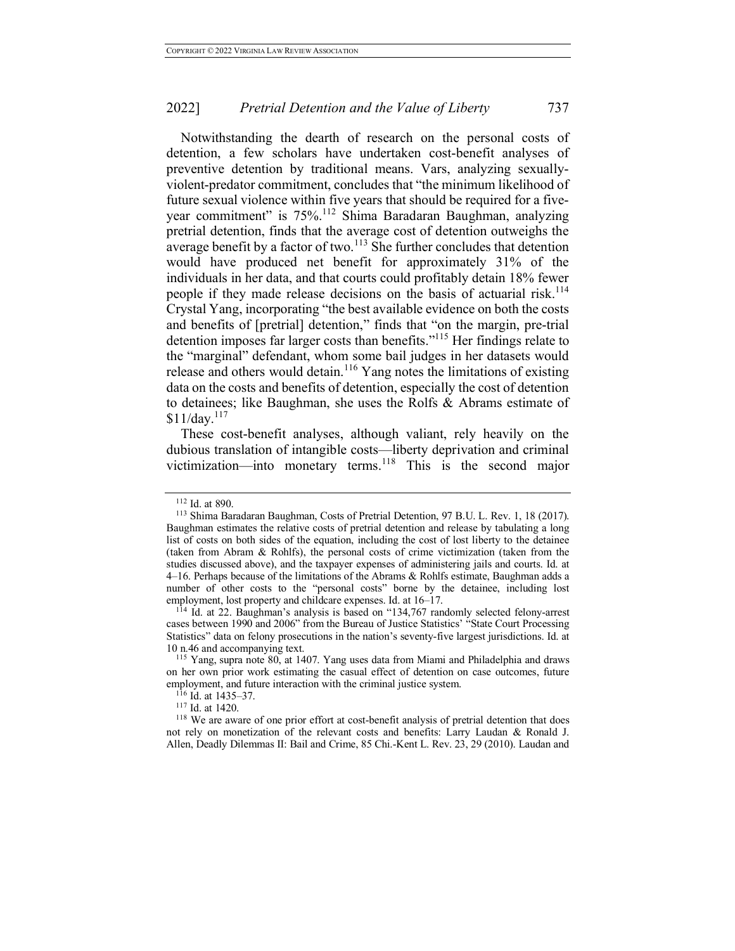Notwithstanding the dearth of research on the personal costs of detention, a few scholars have undertaken cost-benefit analyses of preventive detention by traditional means. Vars, analyzing sexuallyviolent-predator commitment, concludes that "the minimum likelihood of future sexual violence within five years that should be required for a fiveyear commitment" is 75%.<sup>112</sup> Shima Baradaran Baughman, analyzing pretrial detention, finds that the average cost of detention outweighs the average benefit by a factor of two. $113$  She further concludes that detention would have produced net benefit for approximately 31% of the individuals in her data, and that courts could profitably detain 18% fewer people if they made release decisions on the basis of actuarial risk.<sup>114</sup> Crystal Yang, incorporating "the best available evidence on both the costs and benefits of [pretrial] detention," finds that "on the margin, pre-trial detention imposes far larger costs than benefits."115 Her findings relate to the "marginal" defendant, whom some bail judges in her datasets would release and others would detain.<sup>116</sup> Yang notes the limitations of existing data on the costs and benefits of detention, especially the cost of detention to detainees; like Baughman, she uses the Rolfs & Abrams estimate of  $$11/day.<sup>117</sup>$ 

These cost-benefit analyses, although valiant, rely heavily on the dubious translation of intangible costs—liberty deprivation and criminal victimization—into monetary terms.<sup>118</sup> This is the second major

<sup>112</sup> Id. at 890.

<sup>113</sup> Shima Baradaran Baughman, Costs of Pretrial Detention, 97 B.U. L. Rev. 1, 18 (2017). Baughman estimates the relative costs of pretrial detention and release by tabulating a long list of costs on both sides of the equation, including the cost of lost liberty to the detainee (taken from Abram & Rohlfs), the personal costs of crime victimization (taken from the studies discussed above), and the taxpayer expenses of administering jails and courts. Id. at 4–16. Perhaps because of the limitations of the Abrams & Rohlfs estimate, Baughman adds a number of other costs to the "personal costs" borne by the detainee, including lost employment, lost property and childcare expenses. Id. at 16–17.

 $114$  Id. at 22. Baughman's analysis is based on "134,767 randomly selected felony-arrest cases between 1990 and 2006" from the Bureau of Justice Statistics' "State Court Processing Statistics" data on felony prosecutions in the nation's seventy-five largest jurisdictions. Id. at 10 n.46 and accompanying text.

<sup>115</sup> Yang, supra note 80, at 1407. Yang uses data from Miami and Philadelphia and draws on her own prior work estimating the casual effect of detention on case outcomes, future employment, and future interaction with the criminal justice system.<br><sup>116</sup> Id. at 1435–37.

<sup>117</sup> Id. at 1420.

<sup>&</sup>lt;sup>118</sup> We are aware of one prior effort at cost-benefit analysis of pretrial detention that does not rely on monetization of the relevant costs and benefits: Larry Laudan & Ronald J. Allen, Deadly Dilemmas II: Bail and Crime, 85 Chi.-Kent L. Rev. 23, 29 (2010). Laudan and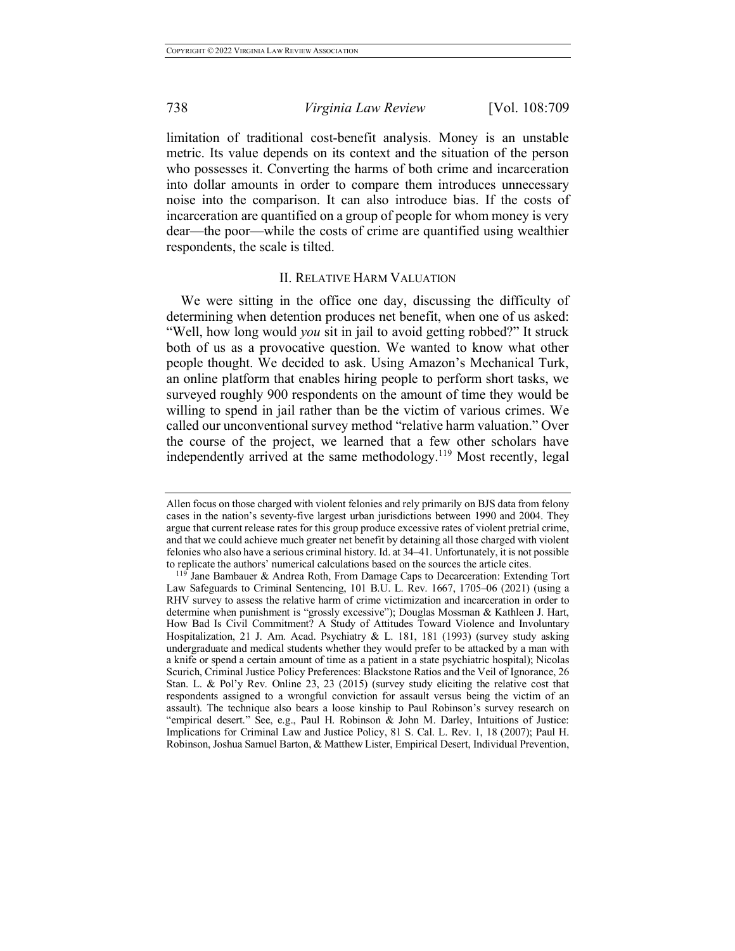limitation of traditional cost-benefit analysis. Money is an unstable metric. Its value depends on its context and the situation of the person who possesses it. Converting the harms of both crime and incarceration into dollar amounts in order to compare them introduces unnecessary noise into the comparison. It can also introduce bias. If the costs of incarceration are quantified on a group of people for whom money is very dear—the poor—while the costs of crime are quantified using wealthier respondents, the scale is tilted.

# II. RELATIVE HARM VALUATION

We were sitting in the office one day, discussing the difficulty of determining when detention produces net benefit, when one of us asked: "Well, how long would *you* sit in jail to avoid getting robbed?" It struck both of us as a provocative question. We wanted to know what other people thought. We decided to ask. Using Amazon's Mechanical Turk, an online platform that enables hiring people to perform short tasks, we surveyed roughly 900 respondents on the amount of time they would be willing to spend in jail rather than be the victim of various crimes. We called our unconventional survey method "relative harm valuation." Over the course of the project, we learned that a few other scholars have independently arrived at the same methodology.<sup>119</sup> Most recently, legal

Allen focus on those charged with violent felonies and rely primarily on BJS data from felony cases in the nation's seventy-five largest urban jurisdictions between 1990 and 2004. They argue that current release rates for this group produce excessive rates of violent pretrial crime, and that we could achieve much greater net benefit by detaining all those charged with violent felonies who also have a serious criminal history. Id. at 34–41. Unfortunately, it is not possible to replicate the authors' numerical calculations based on the sources the article cites.<br><sup>119</sup> Jane Bambauer & Andrea Roth, From Damage Caps to Decarceration: Extending Tort

Law Safeguards to Criminal Sentencing, 101 B.U. L. Rev. 1667, 1705–06 (2021) (using a RHV survey to assess the relative harm of crime victimization and incarceration in order to determine when punishment is "grossly excessive"); Douglas Mossman & Kathleen J. Hart, How Bad Is Civil Commitment? A Study of Attitudes Toward Violence and Involuntary Hospitalization, 21 J. Am. Acad. Psychiatry & L. 181, 181 (1993) (survey study asking undergraduate and medical students whether they would prefer to be attacked by a man with a knife or spend a certain amount of time as a patient in a state psychiatric hospital); Nicolas Scurich, Criminal Justice Policy Preferences: Blackstone Ratios and the Veil of Ignorance, 26 Stan. L. & Pol'y Rev. Online 23, 23 (2015) (survey study eliciting the relative cost that respondents assigned to a wrongful conviction for assault versus being the victim of an assault). The technique also bears a loose kinship to Paul Robinson's survey research on "empirical desert." See, e.g., Paul H. Robinson & John M. Darley, Intuitions of Justice: Implications for Criminal Law and Justice Policy, 81 S. Cal. L. Rev. 1, 18 (2007); Paul H. Robinson, Joshua Samuel Barton, & Matthew Lister, Empirical Desert, Individual Prevention,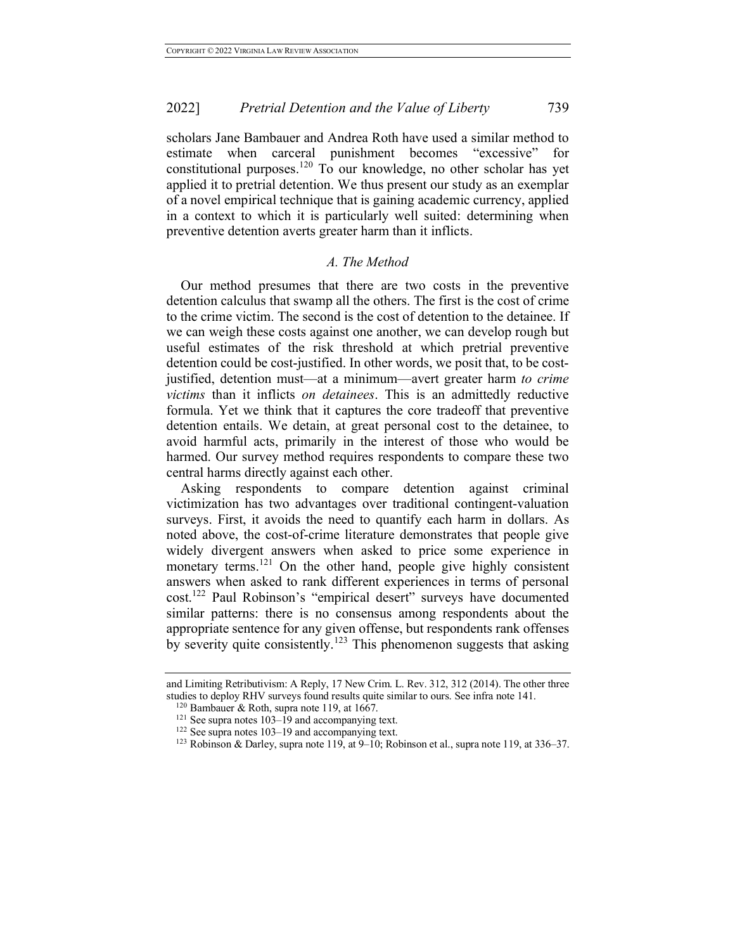scholars Jane Bambauer and Andrea Roth have used a similar method to estimate when carceral punishment becomes "excessive" for constitutional purposes.<sup>120</sup> To our knowledge, no other scholar has yet applied it to pretrial detention. We thus present our study as an exemplar of a novel empirical technique that is gaining academic currency, applied in a context to which it is particularly well suited: determining when preventive detention averts greater harm than it inflicts.

#### *A. The Method*

Our method presumes that there are two costs in the preventive detention calculus that swamp all the others. The first is the cost of crime to the crime victim. The second is the cost of detention to the detainee. If we can weigh these costs against one another, we can develop rough but useful estimates of the risk threshold at which pretrial preventive detention could be cost-justified. In other words, we posit that, to be costjustified, detention must—at a minimum—avert greater harm *to crime victims* than it inflicts *on detainees*. This is an admittedly reductive formula. Yet we think that it captures the core tradeoff that preventive detention entails. We detain, at great personal cost to the detainee, to avoid harmful acts, primarily in the interest of those who would be harmed. Our survey method requires respondents to compare these two central harms directly against each other.

Asking respondents to compare detention against criminal victimization has two advantages over traditional contingent-valuation surveys. First, it avoids the need to quantify each harm in dollars. As noted above, the cost-of-crime literature demonstrates that people give widely divergent answers when asked to price some experience in monetary terms.<sup>121</sup> On the other hand, people give highly consistent answers when asked to rank different experiences in terms of personal cost.<sup>122</sup> Paul Robinson's "empirical desert" surveys have documented similar patterns: there is no consensus among respondents about the appropriate sentence for any given offense, but respondents rank offenses by severity quite consistently.<sup>123</sup> This phenomenon suggests that asking

and Limiting Retributivism: A Reply, 17 New Crim. L. Rev. 312, 312 (2014). The other three studies to deploy RHV surveys found results quite similar to ours. See infra note 141.

<sup>120</sup> Bambauer & Roth, supra note 119, at 1667.

 $121$  See supra notes  $103-19$  and accompanying text.

<sup>122</sup> See supra notes 103–19 and accompanying text.

<sup>&</sup>lt;sup>123</sup> Robinson & Darley, supra note 119, at  $9-10$ ; Robinson et al., supra note 119, at  $336-37$ .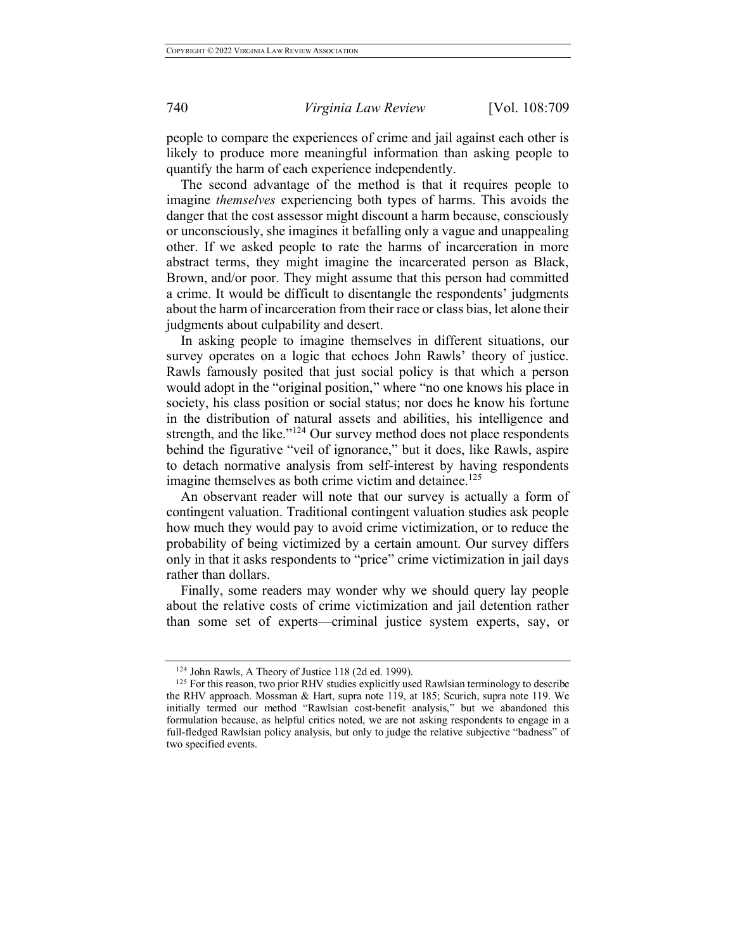people to compare the experiences of crime and jail against each other is likely to produce more meaningful information than asking people to quantify the harm of each experience independently.

The second advantage of the method is that it requires people to imagine *themselves* experiencing both types of harms. This avoids the danger that the cost assessor might discount a harm because, consciously or unconsciously, she imagines it befalling only a vague and unappealing other. If we asked people to rate the harms of incarceration in more abstract terms, they might imagine the incarcerated person as Black, Brown, and/or poor. They might assume that this person had committed a crime. It would be difficult to disentangle the respondents' judgments about the harm of incarceration from their race or class bias, let alone their judgments about culpability and desert.

In asking people to imagine themselves in different situations, our survey operates on a logic that echoes John Rawls' theory of justice. Rawls famously posited that just social policy is that which a person would adopt in the "original position," where "no one knows his place in society, his class position or social status; nor does he know his fortune in the distribution of natural assets and abilities, his intelligence and strength, and the like."<sup>124</sup> Our survey method does not place respondents behind the figurative "veil of ignorance," but it does, like Rawls, aspire to detach normative analysis from self-interest by having respondents imagine themselves as both crime victim and detainee.<sup>125</sup>

An observant reader will note that our survey is actually a form of contingent valuation. Traditional contingent valuation studies ask people how much they would pay to avoid crime victimization, or to reduce the probability of being victimized by a certain amount. Our survey differs only in that it asks respondents to "price" crime victimization in jail days rather than dollars.

Finally, some readers may wonder why we should query lay people about the relative costs of crime victimization and jail detention rather than some set of experts—criminal justice system experts, say, or

<sup>124</sup> John Rawls, A Theory of Justice 118 (2d ed. 1999).

<sup>&</sup>lt;sup>125</sup> For this reason, two prior RHV studies explicitly used Rawlsian terminology to describe the RHV approach. Mossman & Hart, supra note 119, at 185; Scurich, supra note 119. We initially termed our method "Rawlsian cost-benefit analysis," but we abandoned this formulation because, as helpful critics noted, we are not asking respondents to engage in a full-fledged Rawlsian policy analysis, but only to judge the relative subjective "badness" of two specified events.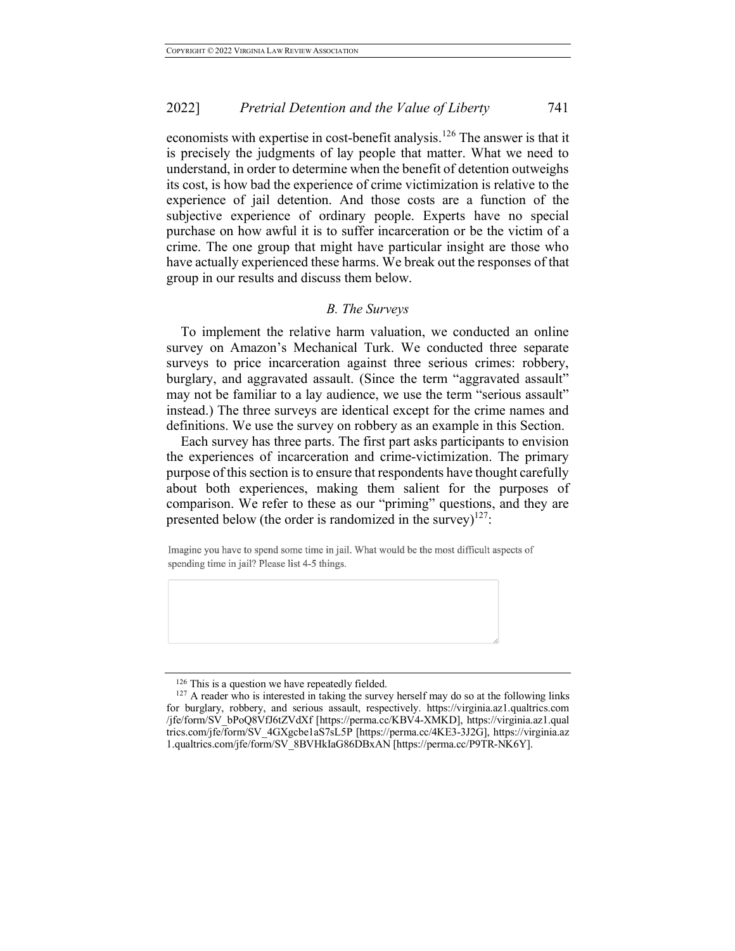economists with expertise in cost-benefit analysis.<sup>126</sup> The answer is that it is precisely the judgments of lay people that matter. What we need to understand, in order to determine when the benefit of detention outweighs its cost, is how bad the experience of crime victimization is relative to the experience of jail detention. And those costs are a function of the subjective experience of ordinary people. Experts have no special purchase on how awful it is to suffer incarceration or be the victim of a crime. The one group that might have particular insight are those who have actually experienced these harms. We break out the responses of that group in our results and discuss them below.

## *B. The Surveys*

To implement the relative harm valuation, we conducted an online survey on Amazon's Mechanical Turk. We conducted three separate surveys to price incarceration against three serious crimes: robbery, burglary, and aggravated assault. (Since the term "aggravated assault" may not be familiar to a lay audience, we use the term "serious assault" instead.) The three surveys are identical except for the crime names and definitions. We use the survey on robbery as an example in this Section.

Each survey has three parts. The first part asks participants to envision the experiences of incarceration and crime-victimization. The primary purpose of this section is to ensure that respondents have thought carefully about both experiences, making them salient for the purposes of comparison. We refer to these as our "priming" questions, and they are presented below (the order is randomized in the survey) $127$ :

Imagine you have to spend some time in jail. What would be the most difficult aspects of spending time in jail? Please list 4-5 things.

<sup>&</sup>lt;sup>126</sup> This is a question we have repeatedly fielded.

 $127$  A reader who is interested in taking the survey herself may do so at the following links for burglary, robbery, and serious assault, respectively. https://virginia.az1.qualtrics.com /jfe/form/SV\_bPoQ8VfJ6tZVdXf [https://perma.cc/KBV4-XMKD], https://virginia.az1.qual trics.com/jfe/form/SV\_4GXgcbe1aS7sL5P [https://perma.cc/4KE3-3J2G], https://virginia.az 1.qualtrics.com/jfe/form/SV\_8BVHkIaG86DBxAN [https://perma.cc/P9TR-NK6Y].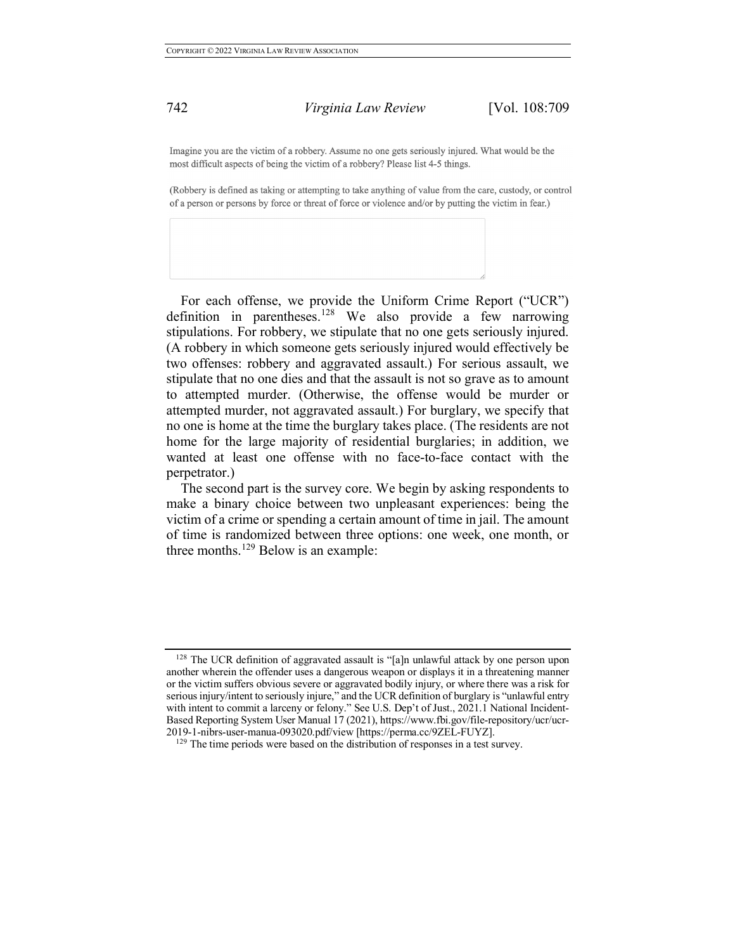Imagine you are the victim of a robbery. Assume no one gets seriously injured. What would be the most difficult aspects of being the victim of a robbery? Please list 4-5 things.

(Robbery is defined as taking or attempting to take anything of value from the care, custody, or control of a person or persons by force or threat of force or violence and/or by putting the victim in fear.)

For each offense, we provide the Uniform Crime Report ("UCR") definition in parentheses.<sup>128</sup> We also provide a few narrowing stipulations. For robbery, we stipulate that no one gets seriously injured. (A robbery in which someone gets seriously injured would effectively be two offenses: robbery and aggravated assault.) For serious assault, we stipulate that no one dies and that the assault is not so grave as to amount to attempted murder. (Otherwise, the offense would be murder or attempted murder, not aggravated assault.) For burglary, we specify that no one is home at the time the burglary takes place. (The residents are not home for the large majority of residential burglaries; in addition, we wanted at least one offense with no face-to-face contact with the perpetrator.)

The second part is the survey core. We begin by asking respondents to make a binary choice between two unpleasant experiences: being the victim of a crime or spending a certain amount of time in jail. The amount of time is randomized between three options: one week, one month, or three months.<sup>129</sup> Below is an example:

<sup>&</sup>lt;sup>128</sup> The UCR definition of aggravated assault is "[a]n unlawful attack by one person upon another wherein the offender uses a dangerous weapon or displays it in a threatening manner or the victim suffers obvious severe or aggravated bodily injury, or where there was a risk for serious injury/intent to seriously injure," and the UCR definition of burglary is "unlawful entry with intent to commit a larceny or felony." See U.S. Dep't of Just., 2021.1 National Incident-Based Reporting System User Manual 17 (2021), https://www.fbi.gov/file-repository/ucr/ucr-2019-1-nibrs-user-manua-093020.pdf/view [https://perma.cc/9ZEL-FUYZ].

<sup>&</sup>lt;sup>129</sup> The time periods were based on the distribution of responses in a test survey.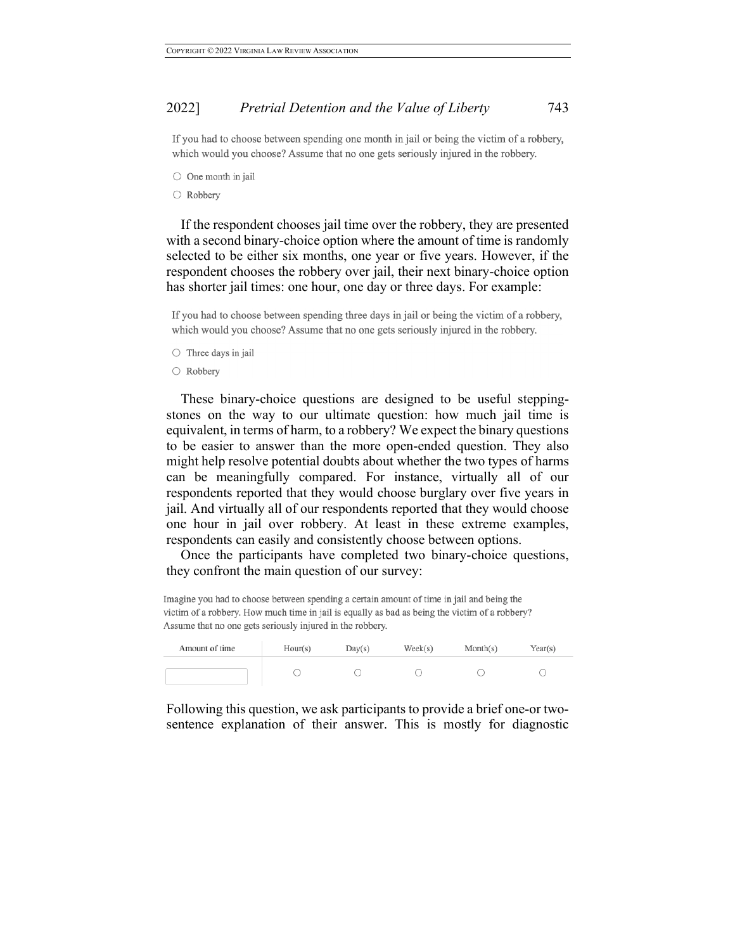If you had to choose between spending one month in jail or being the victim of a robbery, which would you choose? Assume that no one gets seriously injured in the robbery.

 $\bigcirc$  One month in jail

 $\bigcirc$  Robbery

If the respondent chooses jail time over the robbery, they are presented with a second binary-choice option where the amount of time is randomly selected to be either six months, one year or five years. However, if the respondent chooses the robbery over jail, their next binary-choice option has shorter jail times: one hour, one day or three days. For example:

If you had to choose between spending three days in jail or being the victim of a robbery, which would you choose? Assume that no one gets seriously injured in the robbery.

- $\circ$  Three days in jail
- Robbery

These binary-choice questions are designed to be useful steppingstones on the way to our ultimate question: how much jail time is equivalent, in terms of harm, to a robbery? We expect the binary questions to be easier to answer than the more open-ended question. They also might help resolve potential doubts about whether the two types of harms can be meaningfully compared. For instance, virtually all of our respondents reported that they would choose burglary over five years in jail. And virtually all of our respondents reported that they would choose one hour in jail over robbery. At least in these extreme examples, respondents can easily and consistently choose between options.

Once the participants have completed two binary-choice questions, they confront the main question of our survey:

Imagine you had to choose between spending a certain amount of time in jail and being the victim of a robbery. How much time in jail is equally as bad as being the victim of a robbery? Assume that no one gets seriously injured in the robbery.

| Amount of time | Hour(s) | Day(s) | $\text{Week}(s)$ | Month(s) | Year(s) |
|----------------|---------|--------|------------------|----------|---------|
|                |         |        |                  |          |         |

Following this question, we ask participants to provide a brief one-or twosentence explanation of their answer. This is mostly for diagnostic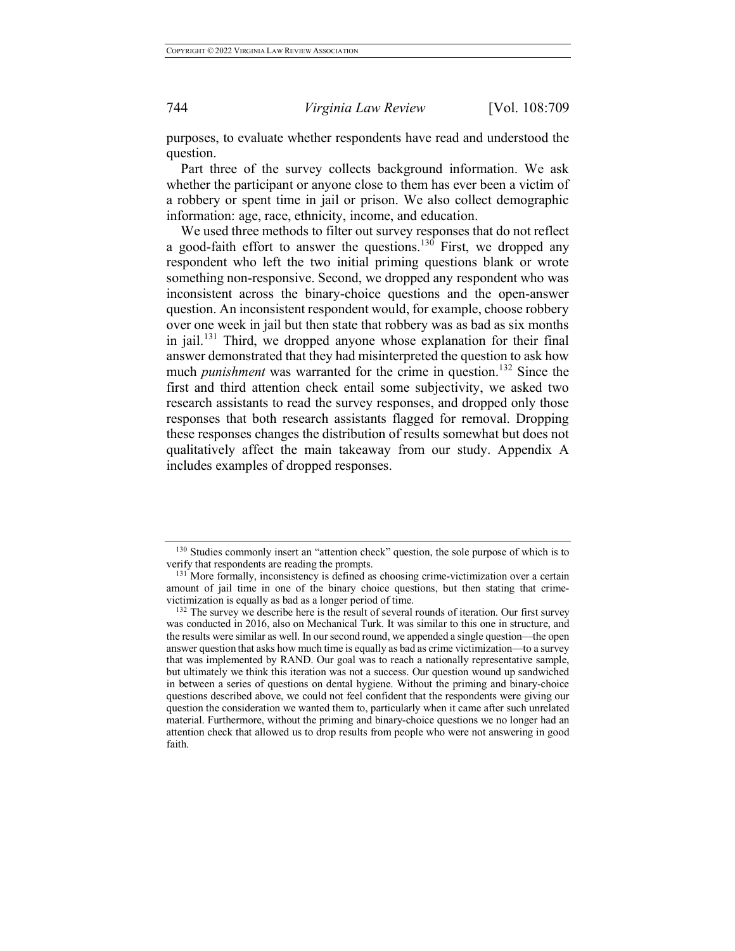purposes, to evaluate whether respondents have read and understood the question.

Part three of the survey collects background information. We ask whether the participant or anyone close to them has ever been a victim of a robbery or spent time in jail or prison. We also collect demographic information: age, race, ethnicity, income, and education.

We used three methods to filter out survey responses that do not reflect a good-faith effort to answer the questions.<sup>130</sup> First, we dropped any respondent who left the two initial priming questions blank or wrote something non-responsive. Second, we dropped any respondent who was inconsistent across the binary-choice questions and the open-answer question. An inconsistent respondent would, for example, choose robbery over one week in jail but then state that robbery was as bad as six months in jail.<sup>131</sup> Third, we dropped anyone whose explanation for their final answer demonstrated that they had misinterpreted the question to ask how much *punishment* was warranted for the crime in question.<sup>132</sup> Since the first and third attention check entail some subjectivity, we asked two research assistants to read the survey responses, and dropped only those responses that both research assistants flagged for removal. Dropping these responses changes the distribution of results somewhat but does not qualitatively affect the main takeaway from our study. Appendix A includes examples of dropped responses.

<sup>&</sup>lt;sup>130</sup> Studies commonly insert an "attention check" question, the sole purpose of which is to verify that respondents are reading the prompts.

<sup>&</sup>lt;sup>131</sup> More formally, inconsistency is defined as choosing crime-victimization over a certain amount of jail time in one of the binary choice questions, but then stating that crimevictimization is equally as bad as a longer period of time.

<sup>&</sup>lt;sup>132</sup> The survey we describe here is the result of several rounds of iteration. Our first survey was conducted in 2016, also on Mechanical Turk. It was similar to this one in structure, and the results were similar as well. In our second round, we appended a single question—the open answer question that asks how much time is equally as bad as crime victimization—to a survey that was implemented by RAND. Our goal was to reach a nationally representative sample, but ultimately we think this iteration was not a success. Our question wound up sandwiched in between a series of questions on dental hygiene. Without the priming and binary-choice questions described above, we could not feel confident that the respondents were giving our question the consideration we wanted them to, particularly when it came after such unrelated material. Furthermore, without the priming and binary-choice questions we no longer had an attention check that allowed us to drop results from people who were not answering in good faith.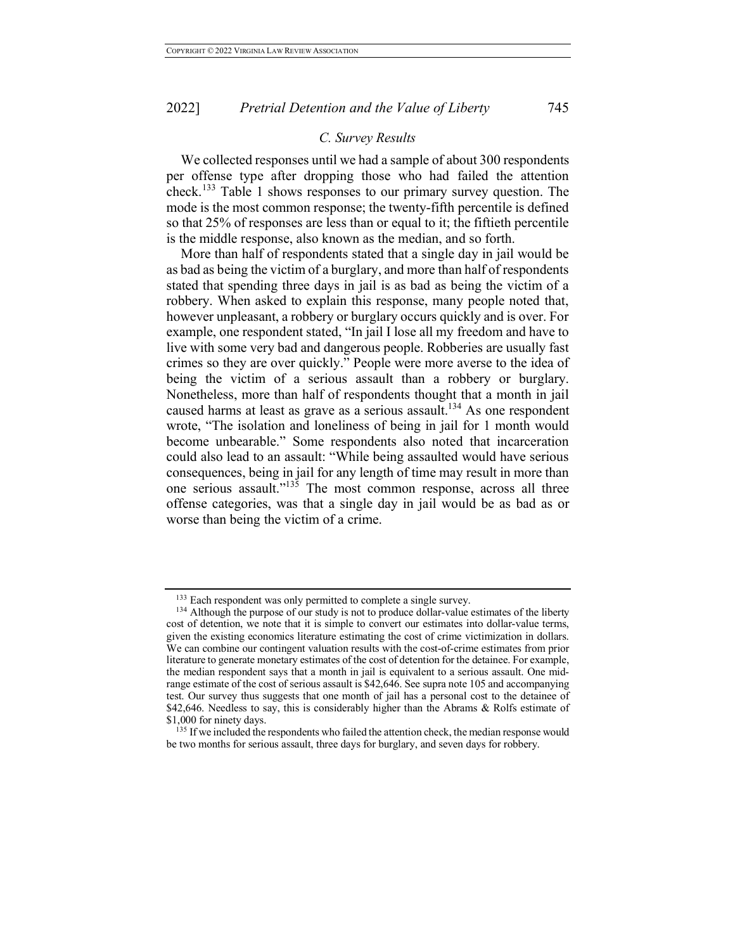# *C. Survey Results*

We collected responses until we had a sample of about 300 respondents per offense type after dropping those who had failed the attention check.<sup>133</sup> Table 1 shows responses to our primary survey question. The mode is the most common response; the twenty-fifth percentile is defined so that 25% of responses are less than or equal to it; the fiftieth percentile is the middle response, also known as the median, and so forth.

More than half of respondents stated that a single day in jail would be as bad as being the victim of a burglary, and more than half of respondents stated that spending three days in jail is as bad as being the victim of a robbery. When asked to explain this response, many people noted that, however unpleasant, a robbery or burglary occurs quickly and is over. For example, one respondent stated, "In jail I lose all my freedom and have to live with some very bad and dangerous people. Robberies are usually fast crimes so they are over quickly." People were more averse to the idea of being the victim of a serious assault than a robbery or burglary. Nonetheless, more than half of respondents thought that a month in jail caused harms at least as grave as a serious assault.<sup>134</sup> As one respondent wrote, "The isolation and loneliness of being in jail for 1 month would become unbearable." Some respondents also noted that incarceration could also lead to an assault: "While being assaulted would have serious consequences, being in jail for any length of time may result in more than one serious assault."135 The most common response, across all three offense categories, was that a single day in jail would be as bad as or worse than being the victim of a crime.

 $133$  Each respondent was only permitted to complete a single survey.<br> $134$  Although the purpose of our study is not to produce dollar-value estimates of the liberty

cost of detention, we note that it is simple to convert our estimates into dollar-value terms, given the existing economics literature estimating the cost of crime victimization in dollars. We can combine our contingent valuation results with the cost-of-crime estimates from prior literature to generate monetary estimates of the cost of detention for the detainee. For example, the median respondent says that a month in jail is equivalent to a serious assault. One midrange estimate of the cost of serious assault is \$42,646. See supra note 105 and accompanying test. Our survey thus suggests that one month of jail has a personal cost to the detainee of \$42,646. Needless to say, this is considerably higher than the Abrams & Rolfs estimate of \$1,000 for ninety days.

<sup>&</sup>lt;sup>135</sup> If we included the respondents who failed the attention check, the median response would be two months for serious assault, three days for burglary, and seven days for robbery.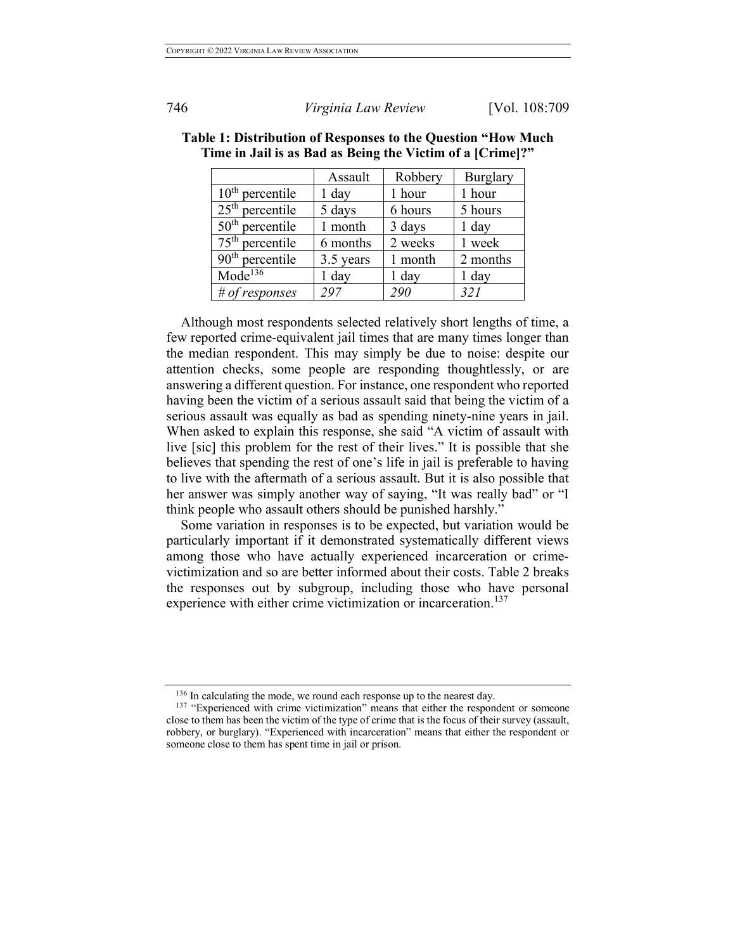|                     | Assault   | Robbery | <b>Burglary</b> |
|---------------------|-----------|---------|-----------------|
| $10th$ percentile   | $1$ day   | 1 hour  | 1 hour          |
| $25th$ percentile   | 5 days    | 6 hours | 5 hours         |
| $50th$ percentile   | 1 month   | 3 days  | $1$ day         |
| $75th$ percentile   | 6 months  | 2 weeks | 1 week          |
| $90th$ percentile   | 3.5 years | 1 month | 2 months        |
| Mode <sup>136</sup> | $1$ day   | $1$ day | $1$ day         |
| # of responses      | 297       | 290     | 321             |

| Table 1: Distribution of Responses to the Question "How Much" |
|---------------------------------------------------------------|
| Time in Jail is as Bad as Being the Victim of a [Crime]?"     |

Although most respondents selected relatively short lengths of time, a few reported crime-equivalent jail times that are many times longer than the median respondent. This may simply be due to noise: despite our attention checks, some people are responding thoughtlessly, or are answering a different question. For instance, one respondent who reported having been the victim of a serious assault said that being the victim of a serious assault was equally as bad as spending ninety-nine years in jail. When asked to explain this response, she said "A victim of assault with live [sic] this problem for the rest of their lives." It is possible that she believes that spending the rest of one's life in jail is preferable to having to live with the aftermath of a serious assault. But it is also possible that her answer was simply another way of saying, "It was really bad" or "I think people who assault others should be punished harshly."

Some variation in responses is to be expected, but variation would be particularly important if it demonstrated systematically different views among those who have actually experienced incarceration or crimevictimization and so are better informed about their costs. Table 2 breaks the responses out by subgroup, including those who have personal experience with either crime victimization or incarceration.<sup>137</sup>

<sup>&</sup>lt;sup>136</sup> In calculating the mode, we round each response up to the nearest day.

<sup>&</sup>lt;sup>137</sup> "Experienced with crime victimization" means that either the respondent or someone close to them has been the victim of the type of crime that is the focus of their survey (assault, robbery, or burglary). "Experienced with incarceration" means that either the respondent or someone close to them has spent time in jail or prison.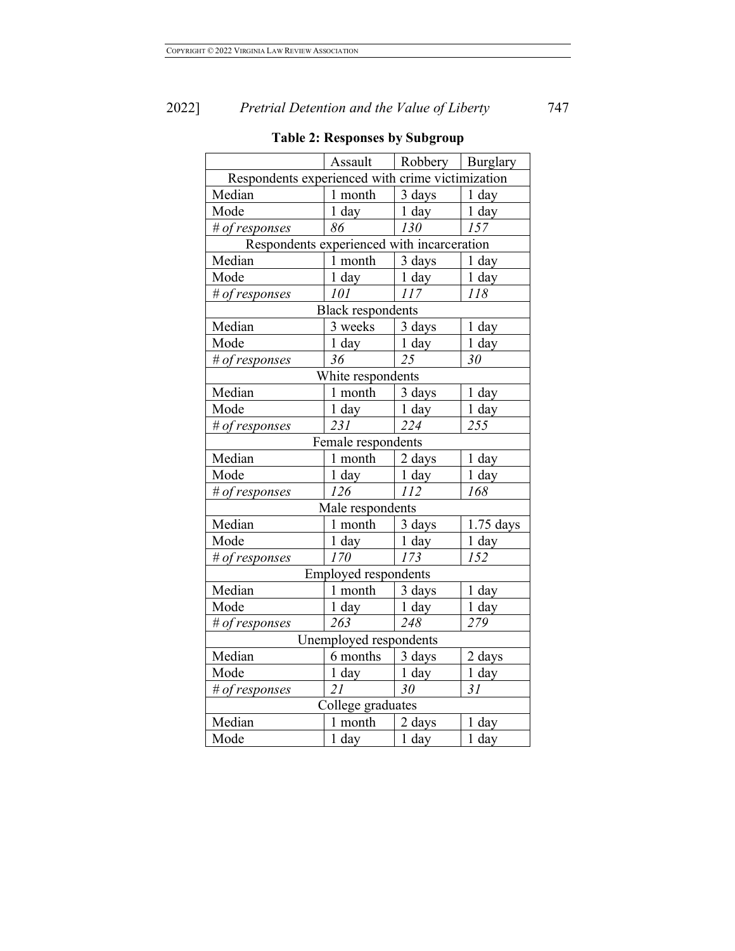|                                                  |                             | Assault   Robbery   Burglary |                    |  |  |  |  |
|--------------------------------------------------|-----------------------------|------------------------------|--------------------|--|--|--|--|
| Respondents experienced with crime victimization |                             |                              |                    |  |  |  |  |
| Median                                           | 1 month                     | 3 days                       | $1$ day            |  |  |  |  |
| Mode                                             | 1 day                       | $1$ day                      | $1$ day            |  |  |  |  |
| # of responses                                   | 86                          | 130                          | 157                |  |  |  |  |
| Respondents experienced with incarceration       |                             |                              |                    |  |  |  |  |
| Median                                           | 1 month                     | 3 days                       | 1 day              |  |  |  |  |
| Mode                                             | $1$ day                     | $1$ day                      | $1$ day            |  |  |  |  |
| # of responses                                   | 101                         | 117                          | 118                |  |  |  |  |
|                                                  | <b>Black respondents</b>    |                              |                    |  |  |  |  |
| Median                                           | 3 weeks                     | 3 days                       | 1 day              |  |  |  |  |
| Mode                                             | $1$ day                     | 1 day                        | 1 day              |  |  |  |  |
| # of responses                                   | 36                          | 25                           | 30                 |  |  |  |  |
|                                                  | White respondents           |                              |                    |  |  |  |  |
| Median                                           | 1 month                     | 3 days                       | 1 day              |  |  |  |  |
| Mode                                             | 1 day                       | 1 day                        | 1 day              |  |  |  |  |
| # of responses                                   | 231                         | 224                          | 255                |  |  |  |  |
|                                                  | Female respondents          |                              |                    |  |  |  |  |
| Median                                           | 1 month                     | 2 days                       | 1 day              |  |  |  |  |
| Mode                                             | 1 day                       | 1 day                        | 1 day              |  |  |  |  |
| # of responses                                   | 126                         | 112                          | 168                |  |  |  |  |
|                                                  | Male respondents            |                              |                    |  |  |  |  |
| Median                                           | 1 month                     | 3 days                       | $1.75$ days        |  |  |  |  |
| Mode                                             | 1 day                       | 1 day                        | 1 day              |  |  |  |  |
| # of responses                                   | 170                         | 173                          | 152                |  |  |  |  |
|                                                  | <b>Employed respondents</b> |                              |                    |  |  |  |  |
| Median                                           | 1 month                     | 3 days                       | 1 day              |  |  |  |  |
| Mode                                             | 1 day                       | 1 day                        | 1 day              |  |  |  |  |
| # of responses                                   | 263                         | 248                          | 279                |  |  |  |  |
| Unemployed respondents                           |                             |                              |                    |  |  |  |  |
| Median                                           | 6 months                    | 3 days                       | 2 days             |  |  |  |  |
| Mode                                             | 1 day                       | 1 day                        | $\overline{1}$ day |  |  |  |  |
| # of responses                                   | 21                          | $\overline{30}$              | $\overline{3I}$    |  |  |  |  |
|                                                  | College graduates           |                              |                    |  |  |  |  |
| Median                                           | 1 month                     | 2 days                       | 1 day              |  |  |  |  |
| Mode                                             | 1 day                       | 1 day                        | 1 day              |  |  |  |  |

# **Table 2: Responses by Subgroup**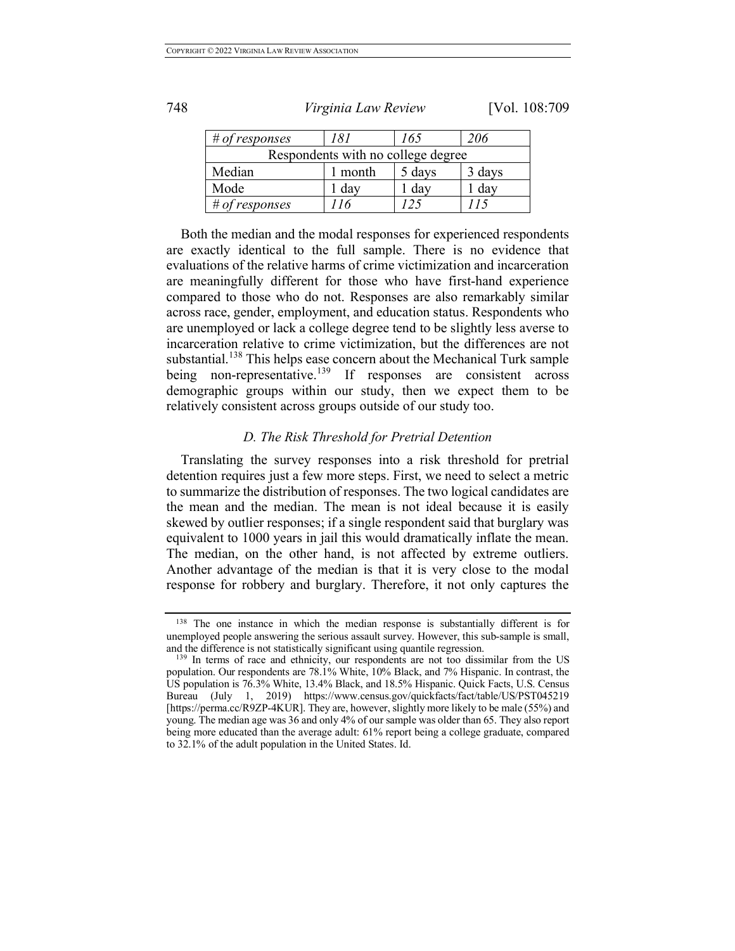| # of responses                     | 181   | 165    | 206    |  |  |  |
|------------------------------------|-------|--------|--------|--|--|--|
| Respondents with no college degree |       |        |        |  |  |  |
| Median                             | month | 5 days | 3 days |  |  |  |
| Mode                               | day   | day    | day    |  |  |  |
| # of responses                     | 16    |        |        |  |  |  |

Both the median and the modal responses for experienced respondents are exactly identical to the full sample. There is no evidence that evaluations of the relative harms of crime victimization and incarceration are meaningfully different for those who have first-hand experience compared to those who do not. Responses are also remarkably similar across race, gender, employment, and education status. Respondents who are unemployed or lack a college degree tend to be slightly less averse to incarceration relative to crime victimization, but the differences are not substantial.<sup>138</sup> This helps ease concern about the Mechanical Turk sample being non-representative.<sup>139</sup> If responses are consistent across demographic groups within our study, then we expect them to be relatively consistent across groups outside of our study too.

#### *D. The Risk Threshold for Pretrial Detention*

Translating the survey responses into a risk threshold for pretrial detention requires just a few more steps. First, we need to select a metric to summarize the distribution of responses. The two logical candidates are the mean and the median. The mean is not ideal because it is easily skewed by outlier responses; if a single respondent said that burglary was equivalent to 1000 years in jail this would dramatically inflate the mean. The median, on the other hand, is not affected by extreme outliers. Another advantage of the median is that it is very close to the modal response for robbery and burglary. Therefore, it not only captures the

748 *Virginia Law Review* [Vol. 108:709

<sup>138</sup> The one instance in which the median response is substantially different is for unemployed people answering the serious assault survey. However, this sub-sample is small, and the difference is not statistically significant using quantile regression.

<sup>&</sup>lt;sup>139</sup> In terms of race and ethnicity, our respondents are not too dissimilar from the US population. Our respondents are 78.1% White, 10% Black, and 7% Hispanic. In contrast, the US population is 76.3% White, 13.4% Black, and 18.5% Hispanic. Quick Facts, U.S. Census Bureau (July 1, 2019) https://www.census.gov/quickfacts/fact/table/US/PST045219 [https://perma.cc/R9ZP-4KUR]. They are, however, slightly more likely to be male (55%) and young. The median age was 36 and only 4% of our sample was older than 65. They also report being more educated than the average adult: 61% report being a college graduate, compared to 32.1% of the adult population in the United States. Id.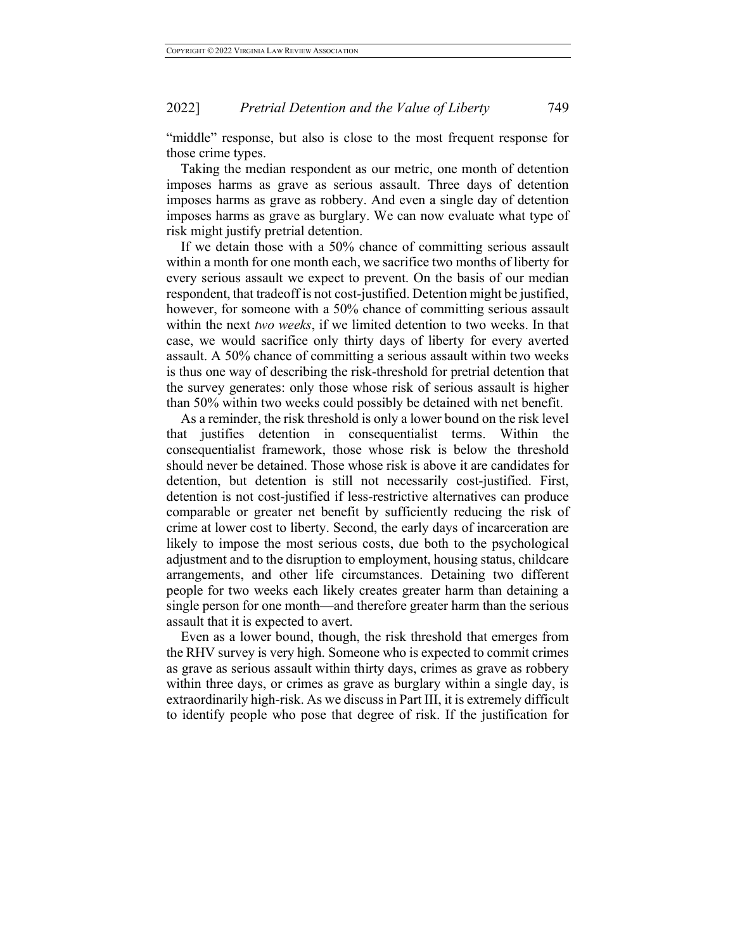"middle" response, but also is close to the most frequent response for those crime types.

Taking the median respondent as our metric, one month of detention imposes harms as grave as serious assault. Three days of detention imposes harms as grave as robbery. And even a single day of detention imposes harms as grave as burglary. We can now evaluate what type of risk might justify pretrial detention.

If we detain those with a 50% chance of committing serious assault within a month for one month each, we sacrifice two months of liberty for every serious assault we expect to prevent. On the basis of our median respondent, that tradeoff is not cost-justified. Detention might be justified, however, for someone with a 50% chance of committing serious assault within the next *two weeks*, if we limited detention to two weeks. In that case, we would sacrifice only thirty days of liberty for every averted assault. A 50% chance of committing a serious assault within two weeks is thus one way of describing the risk-threshold for pretrial detention that the survey generates: only those whose risk of serious assault is higher than 50% within two weeks could possibly be detained with net benefit.

As a reminder, the risk threshold is only a lower bound on the risk level that justifies detention in consequentialist terms. Within consequentialist framework, those whose risk is below the threshold should never be detained. Those whose risk is above it are candidates for detention, but detention is still not necessarily cost-justified. First, detention is not cost-justified if less-restrictive alternatives can produce comparable or greater net benefit by sufficiently reducing the risk of crime at lower cost to liberty. Second, the early days of incarceration are likely to impose the most serious costs, due both to the psychological adjustment and to the disruption to employment, housing status, childcare arrangements, and other life circumstances. Detaining two different people for two weeks each likely creates greater harm than detaining a single person for one month—and therefore greater harm than the serious assault that it is expected to avert.

Even as a lower bound, though, the risk threshold that emerges from the RHV survey is very high. Someone who is expected to commit crimes as grave as serious assault within thirty days, crimes as grave as robbery within three days, or crimes as grave as burglary within a single day, is extraordinarily high-risk. As we discuss in Part III, it is extremely difficult to identify people who pose that degree of risk. If the justification for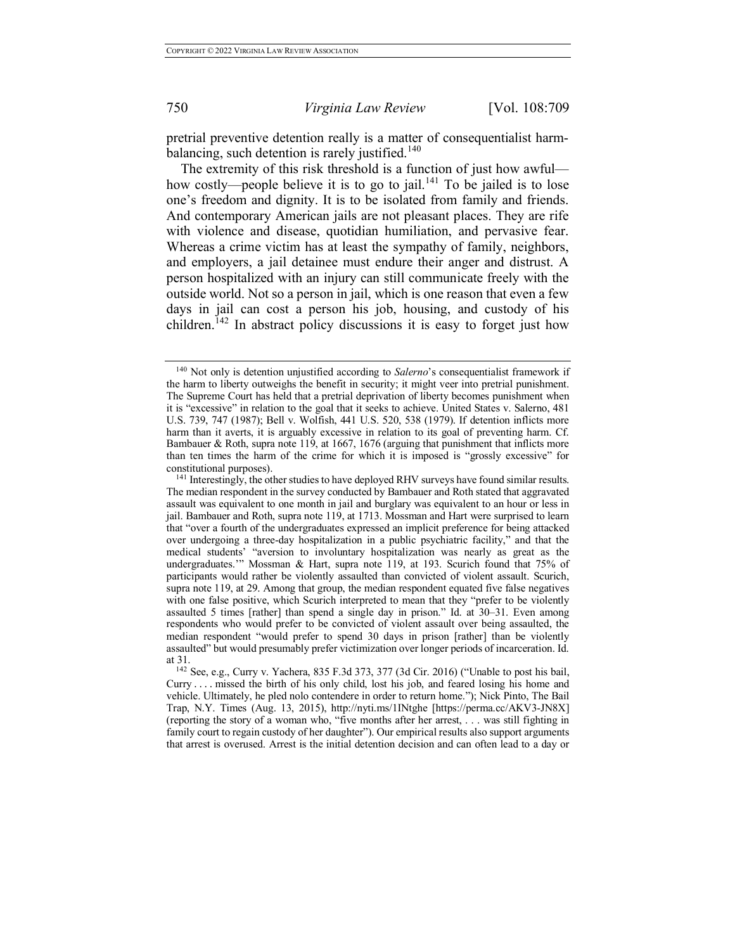pretrial preventive detention really is a matter of consequentialist harmbalancing, such detention is rarely justified.<sup>140</sup>

The extremity of this risk threshold is a function of just how awful how costly—people believe it is to go to jail.<sup>141</sup> To be jailed is to lose one's freedom and dignity. It is to be isolated from family and friends. And contemporary American jails are not pleasant places. They are rife with violence and disease, quotidian humiliation, and pervasive fear. Whereas a crime victim has at least the sympathy of family, neighbors, and employers, a jail detainee must endure their anger and distrust. A person hospitalized with an injury can still communicate freely with the outside world. Not so a person in jail, which is one reason that even a few days in jail can cost a person his job, housing, and custody of his children.<sup>142</sup> In abstract policy discussions it is easy to forget just how

<sup>140</sup> Not only is detention unjustified according to *Salerno*'s consequentialist framework if the harm to liberty outweighs the benefit in security; it might veer into pretrial punishment. The Supreme Court has held that a pretrial deprivation of liberty becomes punishment when it is "excessive" in relation to the goal that it seeks to achieve. United States v. Salerno, 481 U.S. 739, 747 (1987); Bell v. Wolfish, 441 U.S. 520, 538 (1979). If detention inflicts more harm than it averts, it is arguably excessive in relation to its goal of preventing harm. Cf. Bambauer & Roth, supra note 119, at 1667, 1676 (arguing that punishment that inflicts more than ten times the harm of the crime for which it is imposed is "grossly excessive" for constitutional purposes).

<sup>&</sup>lt;sup>141</sup> Interestingly, the other studies to have deployed RHV surveys have found similar results. The median respondent in the survey conducted by Bambauer and Roth stated that aggravated assault was equivalent to one month in jail and burglary was equivalent to an hour or less in jail. Bambauer and Roth, supra note 119, at 1713. Mossman and Hart were surprised to learn that "over a fourth of the undergraduates expressed an implicit preference for being attacked over undergoing a three-day hospitalization in a public psychiatric facility," and that the medical students' "aversion to involuntary hospitalization was nearly as great as the undergraduates.'" Mossman & Hart, supra note 119, at 193. Scurich found that 75% of participants would rather be violently assaulted than convicted of violent assault. Scurich, supra note 119, at 29. Among that group, the median respondent equated five false negatives with one false positive, which Scurich interpreted to mean that they "prefer to be violently assaulted 5 times [rather] than spend a single day in prison." Id. at 30–31. Even among respondents who would prefer to be convicted of violent assault over being assaulted, the median respondent "would prefer to spend 30 days in prison [rather] than be violently assaulted" but would presumably prefer victimization over longer periods of incarceration. Id.

<sup>&</sup>lt;sup>142</sup> See, e.g., Curry v. Yachera, 835 F.3d 373, 377 (3d Cir. 2016) ("Unable to post his bail,  $Curry \ldots$  missed the birth of his only child, lost his job, and feared losing his home and vehicle. Ultimately, he pled nolo contendere in order to return home."); Nick Pinto, The Bail Trap, N.Y. Times (Aug. 13, 2015), http://nyti.ms/1INtghe [https://perma.cc/AKV3-JN8X] (reporting the story of a woman who, "five months after her arrest, . . . was still fighting in family court to regain custody of her daughter"). Our empirical results also support arguments that arrest is overused. Arrest is the initial detention decision and can often lead to a day or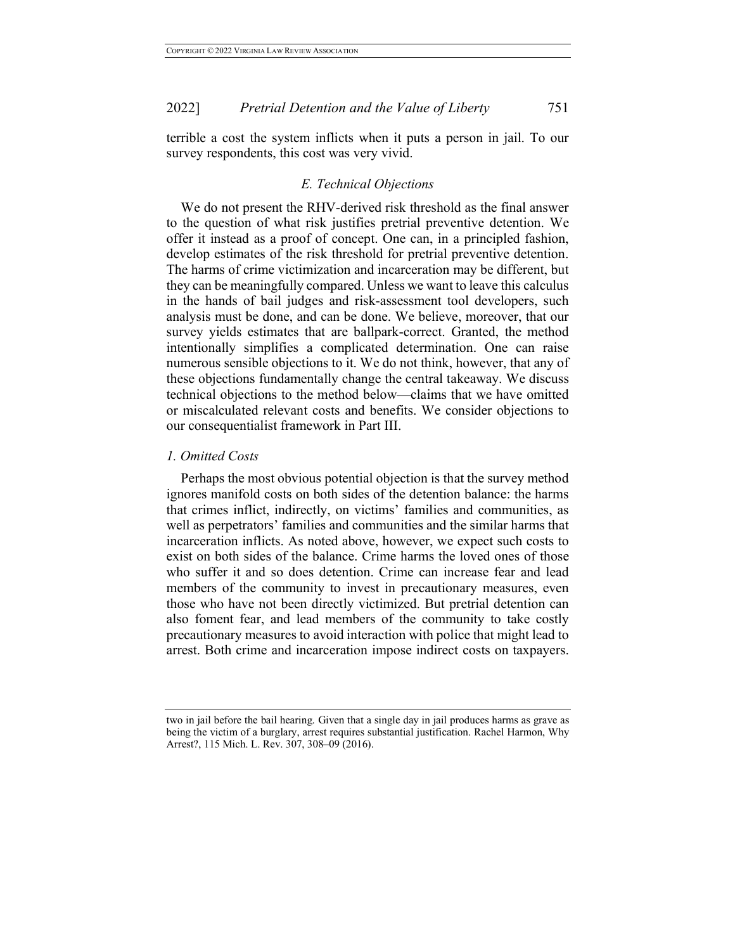terrible a cost the system inflicts when it puts a person in jail. To our survey respondents, this cost was very vivid.

# *E. Technical Objections*

We do not present the RHV-derived risk threshold as the final answer to the question of what risk justifies pretrial preventive detention. We offer it instead as a proof of concept. One can, in a principled fashion, develop estimates of the risk threshold for pretrial preventive detention. The harms of crime victimization and incarceration may be different, but they can be meaningfully compared. Unless we want to leave this calculus in the hands of bail judges and risk-assessment tool developers, such analysis must be done, and can be done. We believe, moreover, that our survey yields estimates that are ballpark-correct. Granted, the method intentionally simplifies a complicated determination. One can raise numerous sensible objections to it. We do not think, however, that any of these objections fundamentally change the central takeaway. We discuss technical objections to the method below—claims that we have omitted or miscalculated relevant costs and benefits. We consider objections to our consequentialist framework in Part III.

#### *1. Omitted Costs*

Perhaps the most obvious potential objection is that the survey method ignores manifold costs on both sides of the detention balance: the harms that crimes inflict, indirectly, on victims' families and communities, as well as perpetrators' families and communities and the similar harms that incarceration inflicts. As noted above, however, we expect such costs to exist on both sides of the balance. Crime harms the loved ones of those who suffer it and so does detention. Crime can increase fear and lead members of the community to invest in precautionary measures, even those who have not been directly victimized. But pretrial detention can also foment fear, and lead members of the community to take costly precautionary measures to avoid interaction with police that might lead to arrest. Both crime and incarceration impose indirect costs on taxpayers.

two in jail before the bail hearing. Given that a single day in jail produces harms as grave as being the victim of a burglary, arrest requires substantial justification. Rachel Harmon, Why Arrest?, 115 Mich. L. Rev. 307, 308–09 (2016).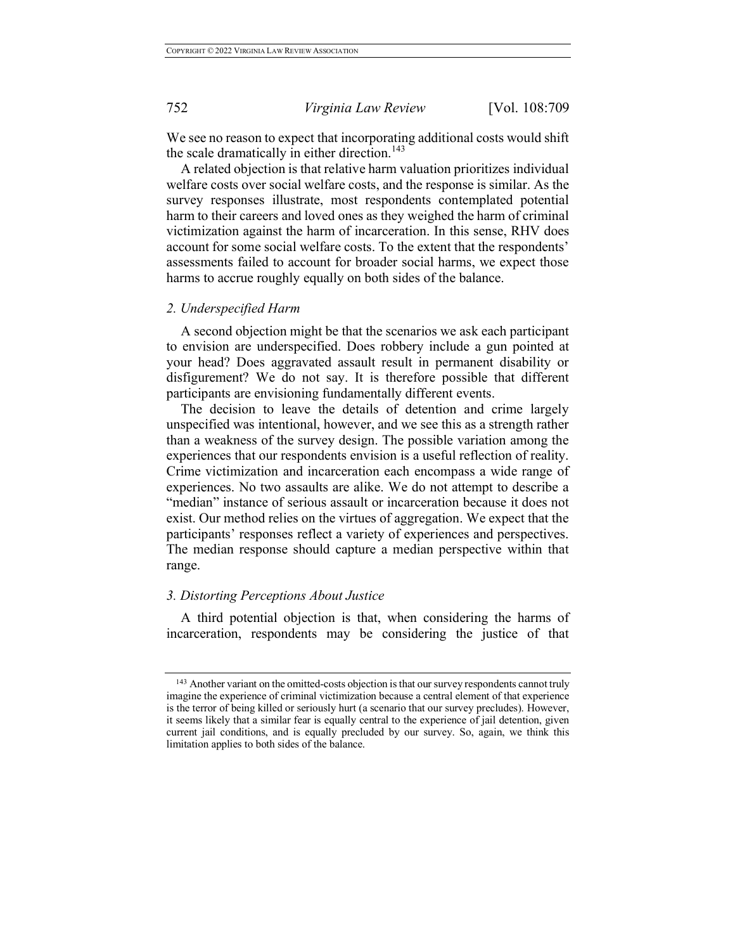We see no reason to expect that incorporating additional costs would shift the scale dramatically in either direction.<sup>143</sup>

A related objection is that relative harm valuation prioritizes individual welfare costs over social welfare costs, and the response is similar. As the survey responses illustrate, most respondents contemplated potential harm to their careers and loved ones as they weighed the harm of criminal victimization against the harm of incarceration. In this sense, RHV does account for some social welfare costs. To the extent that the respondents' assessments failed to account for broader social harms, we expect those harms to accrue roughly equally on both sides of the balance.

#### *2. Underspecified Harm*

A second objection might be that the scenarios we ask each participant to envision are underspecified. Does robbery include a gun pointed at your head? Does aggravated assault result in permanent disability or disfigurement? We do not say. It is therefore possible that different participants are envisioning fundamentally different events.

The decision to leave the details of detention and crime largely unspecified was intentional, however, and we see this as a strength rather than a weakness of the survey design. The possible variation among the experiences that our respondents envision is a useful reflection of reality. Crime victimization and incarceration each encompass a wide range of experiences. No two assaults are alike. We do not attempt to describe a "median" instance of serious assault or incarceration because it does not exist. Our method relies on the virtues of aggregation. We expect that the participants' responses reflect a variety of experiences and perspectives. The median response should capture a median perspective within that range.

## *3. Distorting Perceptions About Justice*

A third potential objection is that, when considering the harms of incarceration, respondents may be considering the justice of that

<sup>&</sup>lt;sup>143</sup> Another variant on the omitted-costs objection is that our survey respondents cannot truly imagine the experience of criminal victimization because a central element of that experience is the terror of being killed or seriously hurt (a scenario that our survey precludes). However, it seems likely that a similar fear is equally central to the experience of jail detention, given current jail conditions, and is equally precluded by our survey. So, again, we think this limitation applies to both sides of the balance.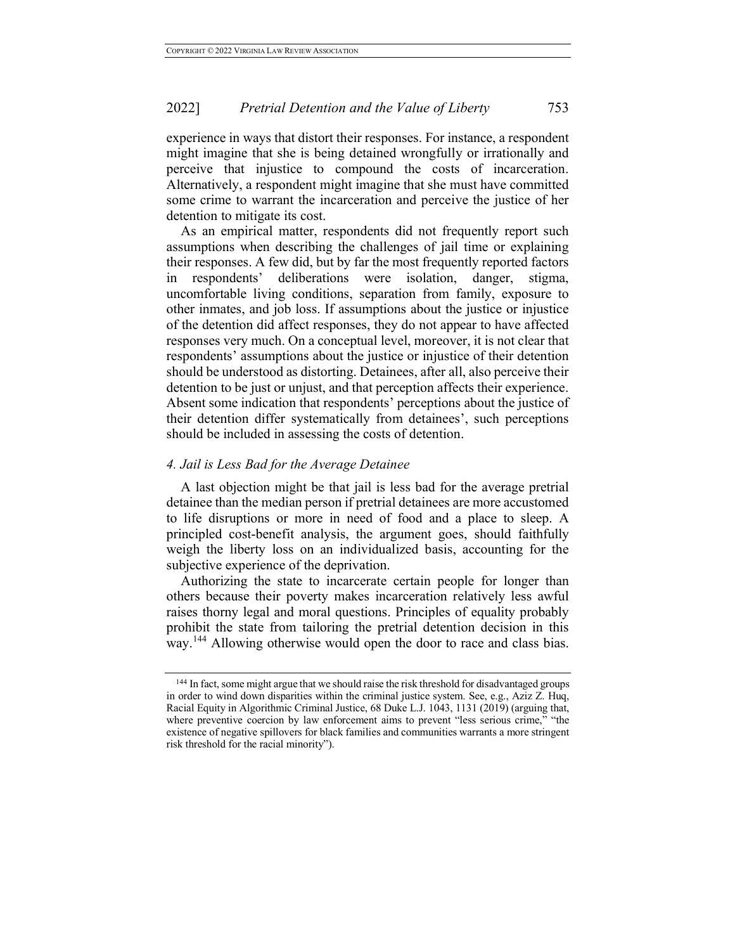experience in ways that distort their responses. For instance, a respondent might imagine that she is being detained wrongfully or irrationally and perceive that injustice to compound the costs of incarceration. Alternatively, a respondent might imagine that she must have committed some crime to warrant the incarceration and perceive the justice of her detention to mitigate its cost.

As an empirical matter, respondents did not frequently report such assumptions when describing the challenges of jail time or explaining their responses. A few did, but by far the most frequently reported factors in respondents' deliberations were isolation, danger, stigma, uncomfortable living conditions, separation from family, exposure to other inmates, and job loss. If assumptions about the justice or injustice of the detention did affect responses, they do not appear to have affected responses very much. On a conceptual level, moreover, it is not clear that respondents' assumptions about the justice or injustice of their detention should be understood as distorting. Detainees, after all, also perceive their detention to be just or unjust, and that perception affects their experience. Absent some indication that respondents' perceptions about the justice of their detention differ systematically from detainees', such perceptions should be included in assessing the costs of detention.

#### *4. Jail is Less Bad for the Average Detainee*

A last objection might be that jail is less bad for the average pretrial detainee than the median person if pretrial detainees are more accustomed to life disruptions or more in need of food and a place to sleep. A principled cost-benefit analysis, the argument goes, should faithfully weigh the liberty loss on an individualized basis, accounting for the subjective experience of the deprivation.

Authorizing the state to incarcerate certain people for longer than others because their poverty makes incarceration relatively less awful raises thorny legal and moral questions. Principles of equality probably prohibit the state from tailoring the pretrial detention decision in this way.<sup>144</sup> Allowing otherwise would open the door to race and class bias.

<sup>&</sup>lt;sup>144</sup> In fact, some might argue that we should raise the risk threshold for disadvantaged groups in order to wind down disparities within the criminal justice system. See, e.g., Aziz Z. Huq, Racial Equity in Algorithmic Criminal Justice, 68 Duke L.J. 1043, 1131 (2019) (arguing that, where preventive coercion by law enforcement aims to prevent "less serious crime," "the existence of negative spillovers for black families and communities warrants a more stringent risk threshold for the racial minority").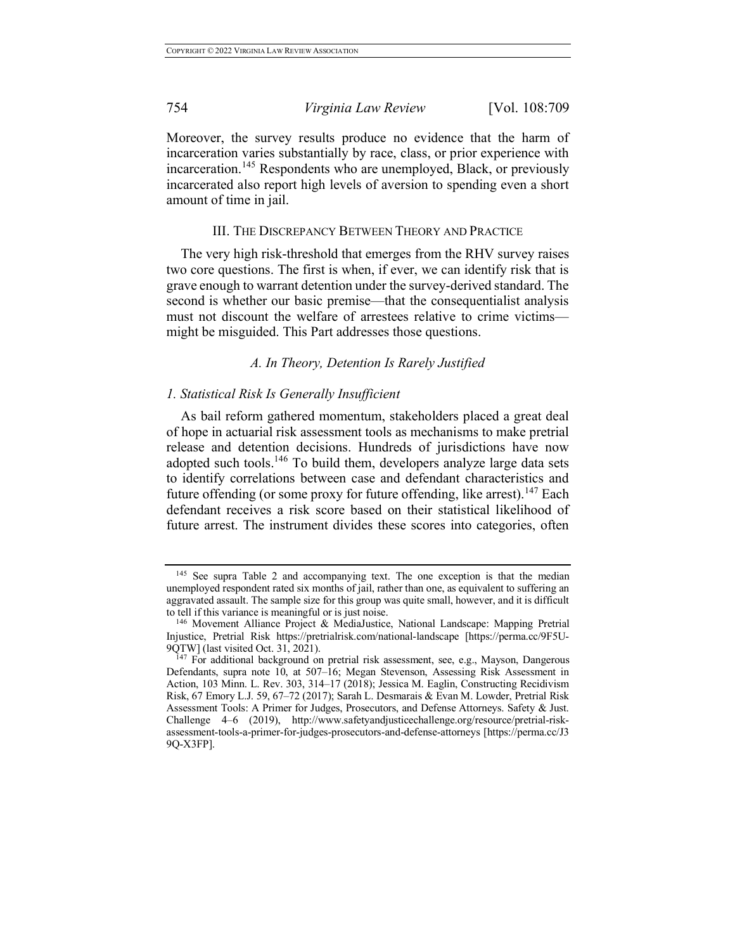Moreover, the survey results produce no evidence that the harm of incarceration varies substantially by race, class, or prior experience with incarceration.<sup>145</sup> Respondents who are unemployed, Black, or previously incarcerated also report high levels of aversion to spending even a short amount of time in jail.

## III. THE DISCREPANCY BETWEEN THEORY AND PRACTICE

The very high risk-threshold that emerges from the RHV survey raises two core questions. The first is when, if ever, we can identify risk that is grave enough to warrant detention under the survey-derived standard. The second is whether our basic premise—that the consequentialist analysis must not discount the welfare of arrestees relative to crime victims might be misguided. This Part addresses those questions.

# *A. In Theory, Detention Is Rarely Justified*

## *1. Statistical Risk Is Generally Insufficient*

As bail reform gathered momentum, stakeholders placed a great deal of hope in actuarial risk assessment tools as mechanisms to make pretrial release and detention decisions. Hundreds of jurisdictions have now adopted such tools.<sup>146</sup> To build them, developers analyze large data sets to identify correlations between case and defendant characteristics and future offending (or some proxy for future offending, like arrest).<sup>147</sup> Each defendant receives a risk score based on their statistical likelihood of future arrest. The instrument divides these scores into categories, often

<sup>145</sup> See supra Table 2 and accompanying text. The one exception is that the median unemployed respondent rated six months of jail, rather than one, as equivalent to suffering an aggravated assault. The sample size for this group was quite small, however, and it is difficult to tell if this variance is meaningful or is just noise.

<sup>146</sup> Movement Alliance Project & MediaJustice, National Landscape: Mapping Pretrial Injustice, Pretrial Risk https://pretrialrisk.com/national-landscape [https://perma.cc/9F5U-9QTW] (last visited Oct. 31, 2021).

<sup>&</sup>lt;sup>147</sup> For additional background on pretrial risk assessment, see, e.g., Mayson, Dangerous Defendants, supra note 10, at 507–16; Megan Stevenson, Assessing Risk Assessment in Action, 103 Minn. L. Rev. 303, 314–17 (2018); Jessica M. Eaglin, Constructing Recidivism Risk, 67 Emory L.J. 59, 67–72 (2017); Sarah L. Desmarais & Evan M. Lowder, Pretrial Risk Assessment Tools: A Primer for Judges, Prosecutors, and Defense Attorneys. Safety & Just. Challenge 4–6 (2019), http://www.safetyandjusticechallenge.org/resource/pretrial-riskassessment-tools-a-primer-for-judges-prosecutors-and-defense-attorneys [https://perma.cc/J3 9Q-X3FP].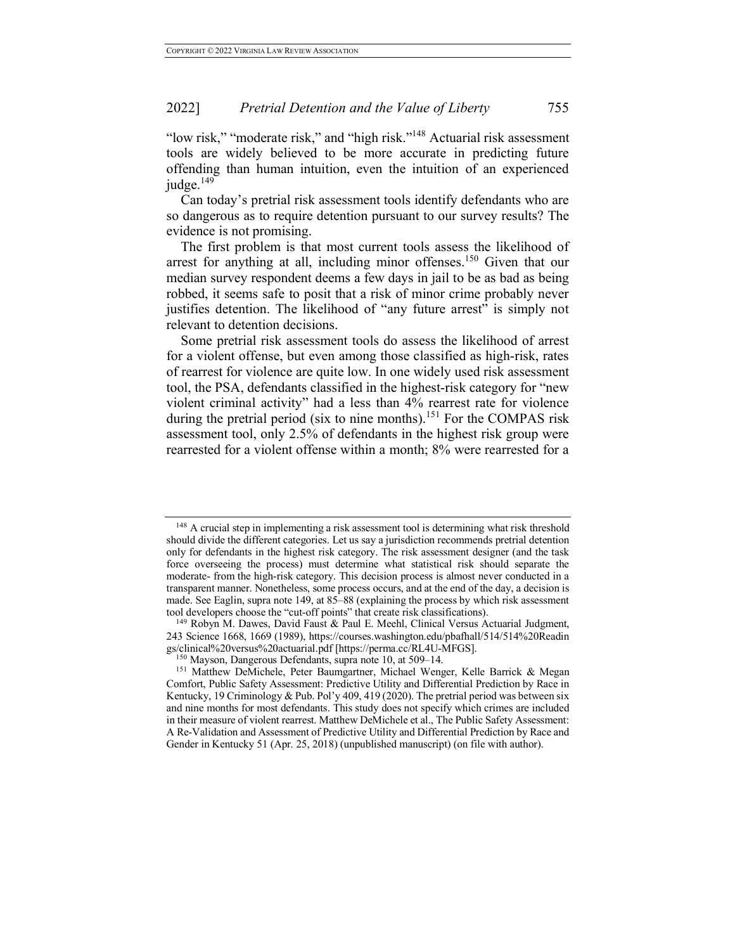"low risk," "moderate risk," and "high risk."148 Actuarial risk assessment tools are widely believed to be more accurate in predicting future offending than human intuition, even the intuition of an experienced judge. $149$ 

Can today's pretrial risk assessment tools identify defendants who are so dangerous as to require detention pursuant to our survey results? The evidence is not promising.

The first problem is that most current tools assess the likelihood of arrest for anything at all, including minor offenses.<sup>150</sup> Given that our median survey respondent deems a few days in jail to be as bad as being robbed, it seems safe to posit that a risk of minor crime probably never justifies detention. The likelihood of "any future arrest" is simply not relevant to detention decisions.

Some pretrial risk assessment tools do assess the likelihood of arrest for a violent offense, but even among those classified as high-risk, rates of rearrest for violence are quite low. In one widely used risk assessment tool, the PSA, defendants classified in the highest-risk category for "new violent criminal activity" had a less than 4% rearrest rate for violence during the pretrial period (six to nine months).<sup>151</sup> For the COMPAS risk assessment tool, only 2.5% of defendants in the highest risk group were rearrested for a violent offense within a month; 8% were rearrested for a

<sup>&</sup>lt;sup>148</sup> A crucial step in implementing a risk assessment tool is determining what risk threshold should divide the different categories. Let us say a jurisdiction recommends pretrial detention only for defendants in the highest risk category. The risk assessment designer (and the task force overseeing the process) must determine what statistical risk should separate the moderate- from the high-risk category. This decision process is almost never conducted in a transparent manner. Nonetheless, some process occurs, and at the end of the day, a decision is made. See Eaglin, supra note 149, at 85–88 (explaining the process by which risk assessment tool developers choose the "cut-off points" that create risk classifications).

<sup>149</sup> Robyn M. Dawes, David Faust & Paul E. Meehl, Clinical Versus Actuarial Judgment, 243 Science 1668, 1669 (1989), https://courses.washington.edu/pbafhall/514/514%20Readin gs/clinical%20versus%20actuarial.pdf [https://perma.cc/RL4U-MFGS].

<sup>150</sup> Mayson, Dangerous Defendants, supra note 10, at 509–14.

<sup>&</sup>lt;sup>151</sup> Matthew DeMichele, Peter Baumgartner, Michael Wenger, Kelle Barrick & Megan Comfort, Public Safety Assessment: Predictive Utility and Differential Prediction by Race in Kentucky, 19 Criminology & Pub. Pol'y 409, 419 (2020). The pretrial period was between six and nine months for most defendants. This study does not specify which crimes are included in their measure of violent rearrest. Matthew DeMichele et al., The Public Safety Assessment: A Re-Validation and Assessment of Predictive Utility and Differential Prediction by Race and Gender in Kentucky 51 (Apr. 25, 2018) (unpublished manuscript) (on file with author).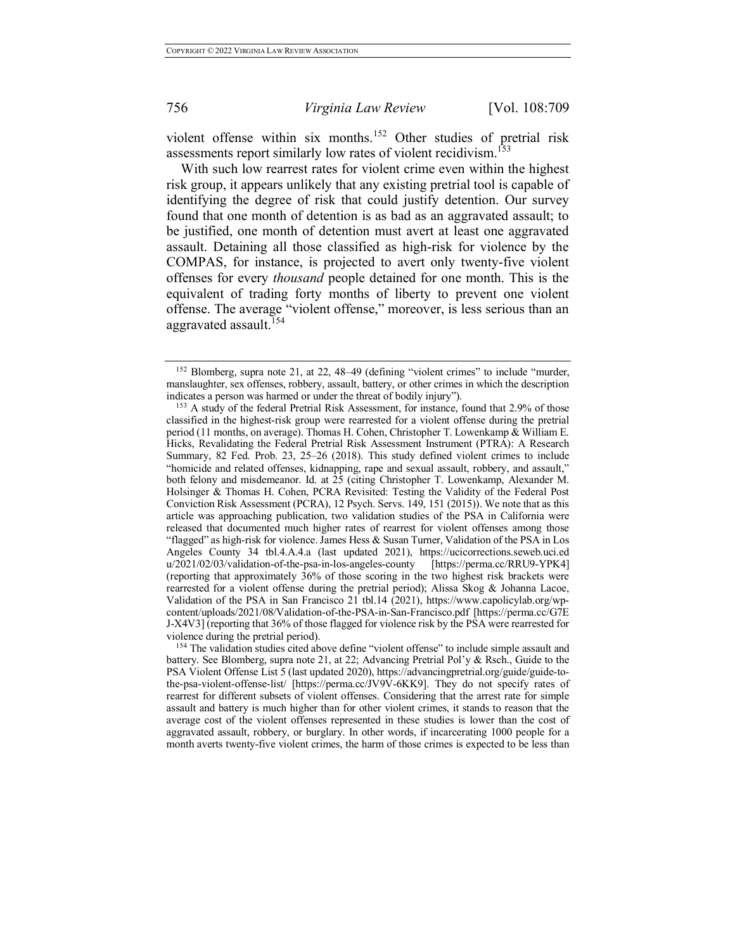violent offense within six months.<sup>152</sup> Other studies of pretrial risk assessments report similarly low rates of violent recidivism.<sup>153</sup>

With such low rearrest rates for violent crime even within the highest risk group, it appears unlikely that any existing pretrial tool is capable of identifying the degree of risk that could justify detention. Our survey found that one month of detention is as bad as an aggravated assault; to be justified, one month of detention must avert at least one aggravated assault. Detaining all those classified as high-risk for violence by the COMPAS, for instance, is projected to avert only twenty-five violent offenses for every *thousand* people detained for one month. This is the equivalent of trading forty months of liberty to prevent one violent offense. The average "violent offense," moreover, is less serious than an aggravated assault.<sup>154</sup>

<sup>152</sup> Blomberg, supra note 21, at 22, 48–49 (defining "violent crimes" to include "murder, manslaughter, sex offenses, robbery, assault, battery, or other crimes in which the description indicates a person was harmed or under the threat of bodily injury").

<sup>&</sup>lt;sup>153</sup> A study of the federal Pretrial Risk Assessment, for instance, found that 2.9% of those classified in the highest-risk group were rearrested for a violent offense during the pretrial period (11 months, on average). Thomas H. Cohen, Christopher T. Lowenkamp & William E. Hicks, Revalidating the Federal Pretrial Risk Assessment Instrument (PTRA): A Research Summary, 82 Fed. Prob. 23, 25–26 (2018). This study defined violent crimes to include "homicide and related offenses, kidnapping, rape and sexual assault, robbery, and assault," both felony and misdemeanor. Id. at  $25$  (citing Christopher T. Lowenkamp, Alexander M. Holsinger & Thomas H. Cohen, PCRA Revisited: Testing the Validity of the Federal Post Conviction Risk Assessment (PCRA), 12 Psych. Servs. 149, 151 (2015)). We note that as this article was approaching publication, two validation studies of the PSA in California were released that documented much higher rates of rearrest for violent offenses among those "flagged" as high-risk for violence. James Hess & Susan Turner, Validation of the PSA in Los Angeles County 34 tbl.4.A.4.a (last updated 2021), https://ucicorrections.seweb.uci.ed u/2021/02/03/validation-of-the-psa-in-los-angeles-county [https://perma.cc/RRU9-YPK4] (reporting that approximately 36% of those scoring in the two highest risk brackets were rearrested for a violent offense during the pretrial period); Alissa Skog & Johanna Lacoe, Validation of the PSA in San Francisco 21 tbl.14 (2021), https://www.capolicylab.org/wpcontent/uploads/2021/08/Validation-of-the-PSA-in-San-Francisco.pdf [https://perma.cc/G7E J-X4V3] (reporting that 36% of those flagged for violence risk by the PSA were rearrested for violence during the pretrial period).<br><sup>154</sup> The validation studies cited above define "violent offense" to include simple assault and

battery. See Blomberg, supra note 21, at 22; Advancing Pretrial Pol'y & Rsch., Guide to the PSA Violent Offense List 5 (last updated 2020), https://advancingpretrial.org/guide/guide-tothe-psa-violent-offense-list/ [https://perma.cc/JV9V-6KK9]. They do not specify rates of rearrest for different subsets of violent offenses. Considering that the arrest rate for simple assault and battery is much higher than for other violent crimes, it stands to reason that the average cost of the violent offenses represented in these studies is lower than the cost of aggravated assault, robbery, or burglary. In other words, if incarcerating 1000 people for a month averts twenty-five violent crimes, the harm of those crimes is expected to be less than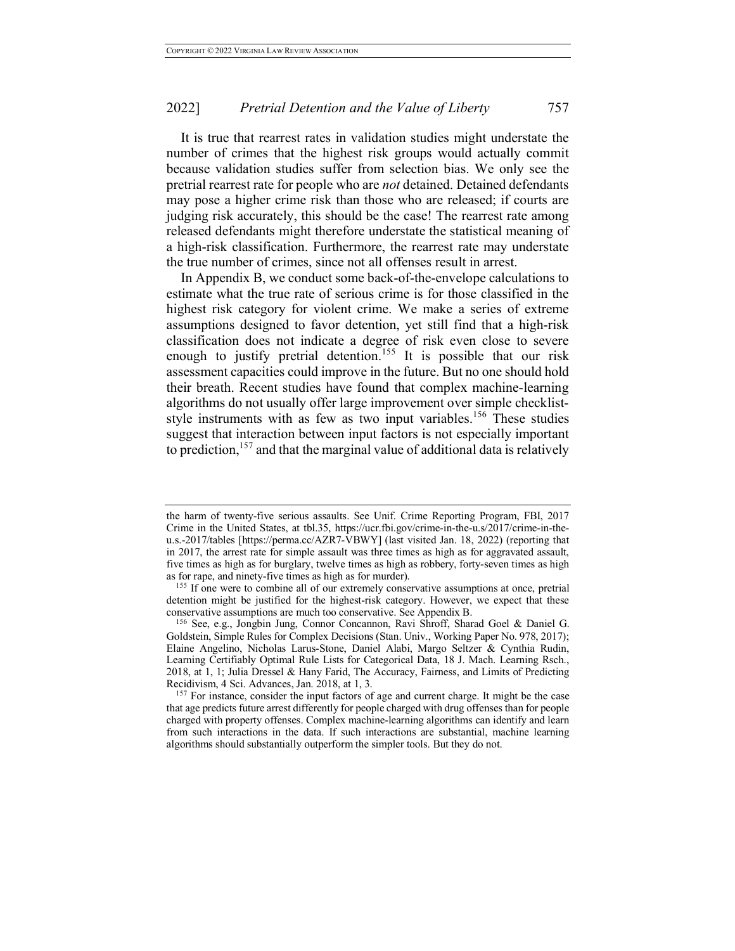It is true that rearrest rates in validation studies might understate the number of crimes that the highest risk groups would actually commit because validation studies suffer from selection bias. We only see the pretrial rearrest rate for people who are *not* detained. Detained defendants may pose a higher crime risk than those who are released; if courts are judging risk accurately, this should be the case! The rearrest rate among released defendants might therefore understate the statistical meaning of a high-risk classification. Furthermore, the rearrest rate may understate the true number of crimes, since not all offenses result in arrest.

In Appendix B, we conduct some back-of-the-envelope calculations to estimate what the true rate of serious crime is for those classified in the highest risk category for violent crime. We make a series of extreme assumptions designed to favor detention, yet still find that a high-risk classification does not indicate a degree of risk even close to severe enough to justify pretrial detention.<sup>155</sup> It is possible that our risk assessment capacities could improve in the future. But no one should hold their breath. Recent studies have found that complex machine-learning algorithms do not usually offer large improvement over simple checkliststyle instruments with as few as two input variables.<sup>156</sup> These studies suggest that interaction between input factors is not especially important to prediction,  $157$  and that the marginal value of additional data is relatively

the harm of twenty-five serious assaults. See Unif. Crime Reporting Program, FBI, 2017 Crime in the United States, at tbl.35, https://ucr.fbi.gov/crime-in-the-u.s/2017/crime-in-theu.s.-2017/tables [https://perma.cc/AZR7-VBWY] (last visited Jan. 18, 2022) (reporting that in 2017, the arrest rate for simple assault was three times as high as for aggravated assault, five times as high as for burglary, twelve times as high as robbery, forty-seven times as high as for rape, and ninety-five times as high as for murder).

<sup>&</sup>lt;sup>155</sup> If one were to combine all of our extremely conservative assumptions at once, pretrial detention might be justified for the highest-risk category. However, we expect that these conservative assumptions are much too conservative. See Appendix B.

<sup>156</sup> See, e.g., Jongbin Jung, Connor Concannon, Ravi Shroff, Sharad Goel & Daniel G. Goldstein, Simple Rules for Complex Decisions (Stan. Univ., Working Paper No. 978, 2017); Elaine Angelino, Nicholas Larus-Stone, Daniel Alabi, Margo Seltzer & Cynthia Rudin, Learning Certifiably Optimal Rule Lists for Categorical Data, 18 J. Mach. Learning Rsch., 2018, at 1, 1; Julia Dressel & Hany Farid, The Accuracy, Fairness, and Limits of Predicting Recidivism, 4 Sci. Advances, Jan. 2018, at 1, 3.

<sup>&</sup>lt;sup>157</sup> For instance, consider the input factors of age and current charge. It might be the case that age predicts future arrest differently for people charged with drug offenses than for people charged with property offenses. Complex machine-learning algorithms can identify and learn from such interactions in the data. If such interactions are substantial, machine learning algorithms should substantially outperform the simpler tools. But they do not.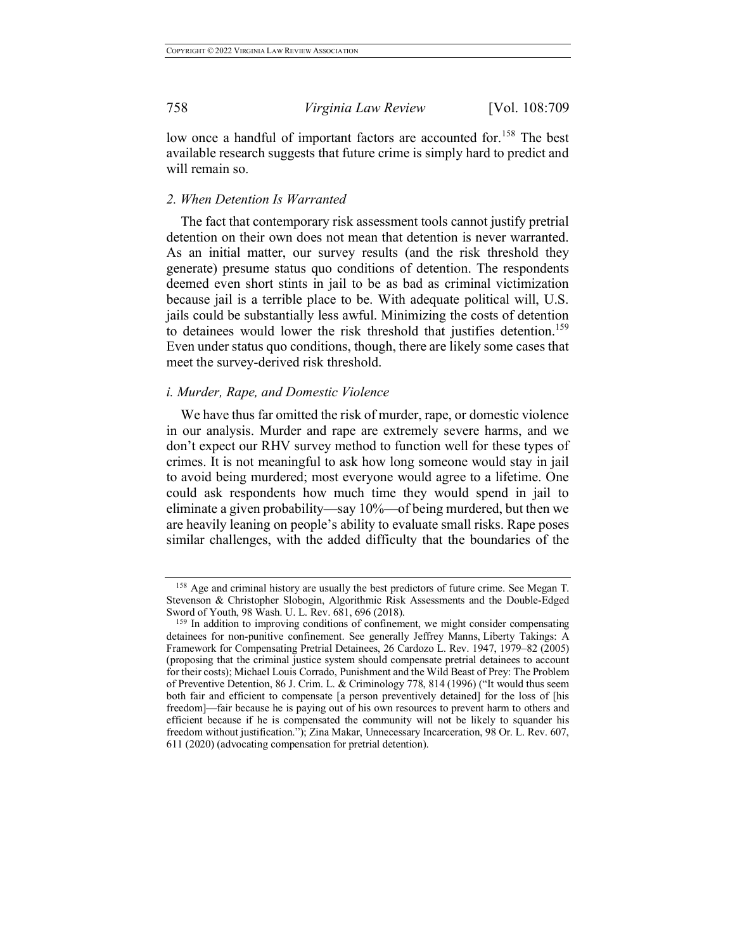low once a handful of important factors are accounted for.<sup>158</sup> The best available research suggests that future crime is simply hard to predict and will remain so.

#### *2. When Detention Is Warranted*

The fact that contemporary risk assessment tools cannot justify pretrial detention on their own does not mean that detention is never warranted. As an initial matter, our survey results (and the risk threshold they generate) presume status quo conditions of detention. The respondents deemed even short stints in jail to be as bad as criminal victimization because jail is a terrible place to be. With adequate political will, U.S. jails could be substantially less awful. Minimizing the costs of detention to detainees would lower the risk threshold that justifies detention.<sup>159</sup> Even under status quo conditions, though, there are likely some cases that meet the survey-derived risk threshold.

# *i. Murder, Rape, and Domestic Violence*

We have thus far omitted the risk of murder, rape, or domestic violence in our analysis. Murder and rape are extremely severe harms, and we don't expect our RHV survey method to function well for these types of crimes. It is not meaningful to ask how long someone would stay in jail to avoid being murdered; most everyone would agree to a lifetime. One could ask respondents how much time they would spend in jail to eliminate a given probability—say 10%—of being murdered, but then we are heavily leaning on people's ability to evaluate small risks. Rape poses similar challenges, with the added difficulty that the boundaries of the

<sup>158</sup> Age and criminal history are usually the best predictors of future crime. See Megan T. Stevenson & Christopher Slobogin, Algorithmic Risk Assessments and the Double-Edged Sword of Youth, 98 Wash. U. L. Rev. 681, 696 (2018).

<sup>&</sup>lt;sup>159</sup> In addition to improving conditions of confinement, we might consider compensating detainees for non-punitive confinement. See generally Jeffrey Manns, Liberty Takings: A Framework for Compensating Pretrial Detainees, 26 Cardozo L. Rev. 1947, 1979–82 (2005) (proposing that the criminal justice system should compensate pretrial detainees to account for their costs); Michael Louis Corrado, Punishment and the Wild Beast of Prey: The Problem of Preventive Detention, 86 J. Crim. L. & Criminology 778, 814 (1996) ("It would thus seem both fair and efficient to compensate [a person preventively detained] for the loss of [his freedom]—fair because he is paying out of his own resources to prevent harm to others and efficient because if he is compensated the community will not be likely to squander his freedom without justification."); Zina Makar, Unnecessary Incarceration, 98 Or. L. Rev. 607, 611 (2020) (advocating compensation for pretrial detention).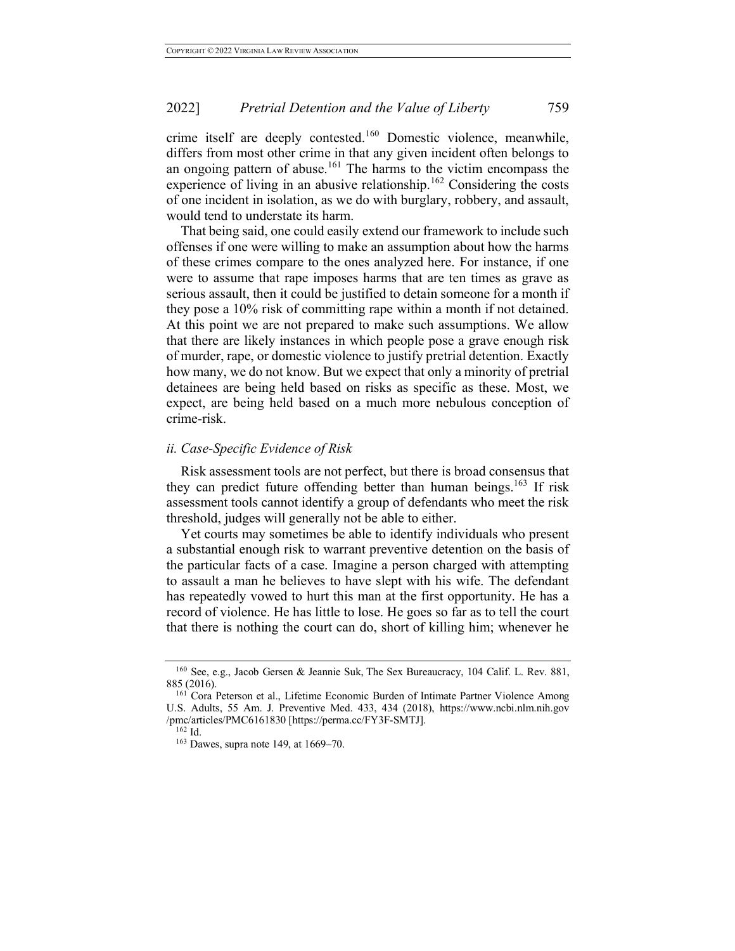crime itself are deeply contested.<sup>160</sup> Domestic violence, meanwhile, differs from most other crime in that any given incident often belongs to an ongoing pattern of abuse.<sup>161</sup> The harms to the victim encompass the experience of living in an abusive relationship.<sup>162</sup> Considering the costs of one incident in isolation, as we do with burglary, robbery, and assault, would tend to understate its harm.

That being said, one could easily extend our framework to include such offenses if one were willing to make an assumption about how the harms of these crimes compare to the ones analyzed here. For instance, if one were to assume that rape imposes harms that are ten times as grave as serious assault, then it could be justified to detain someone for a month if they pose a 10% risk of committing rape within a month if not detained. At this point we are not prepared to make such assumptions. We allow that there are likely instances in which people pose a grave enough risk of murder, rape, or domestic violence to justify pretrial detention. Exactly how many, we do not know. But we expect that only a minority of pretrial detainees are being held based on risks as specific as these. Most, we expect, are being held based on a much more nebulous conception of crime-risk.

#### *ii. Case-Specific Evidence of Risk*

Risk assessment tools are not perfect, but there is broad consensus that they can predict future offending better than human beings.<sup>163</sup> If risk assessment tools cannot identify a group of defendants who meet the risk threshold, judges will generally not be able to either.

Yet courts may sometimes be able to identify individuals who present a substantial enough risk to warrant preventive detention on the basis of the particular facts of a case. Imagine a person charged with attempting to assault a man he believes to have slept with his wife. The defendant has repeatedly vowed to hurt this man at the first opportunity. He has a record of violence. He has little to lose. He goes so far as to tell the court that there is nothing the court can do, short of killing him; whenever he

<sup>160</sup> See, e.g., Jacob Gersen & Jeannie Suk, The Sex Bureaucracy, 104 Calif. L. Rev. 881, 885 (2016).

<sup>&</sup>lt;sup>161</sup> Cora Peterson et al., Lifetime Economic Burden of Intimate Partner Violence Among U.S. Adults, 55 Am. J. Preventive Med. 433, 434 (2018), https://www.ncbi.nlm.nih.gov /pmc/articles/PMC6161830 [https://perma.cc/FY3F-SMTJ]. 162 Id.

<sup>163</sup> Dawes, supra note 149, at 1669–70.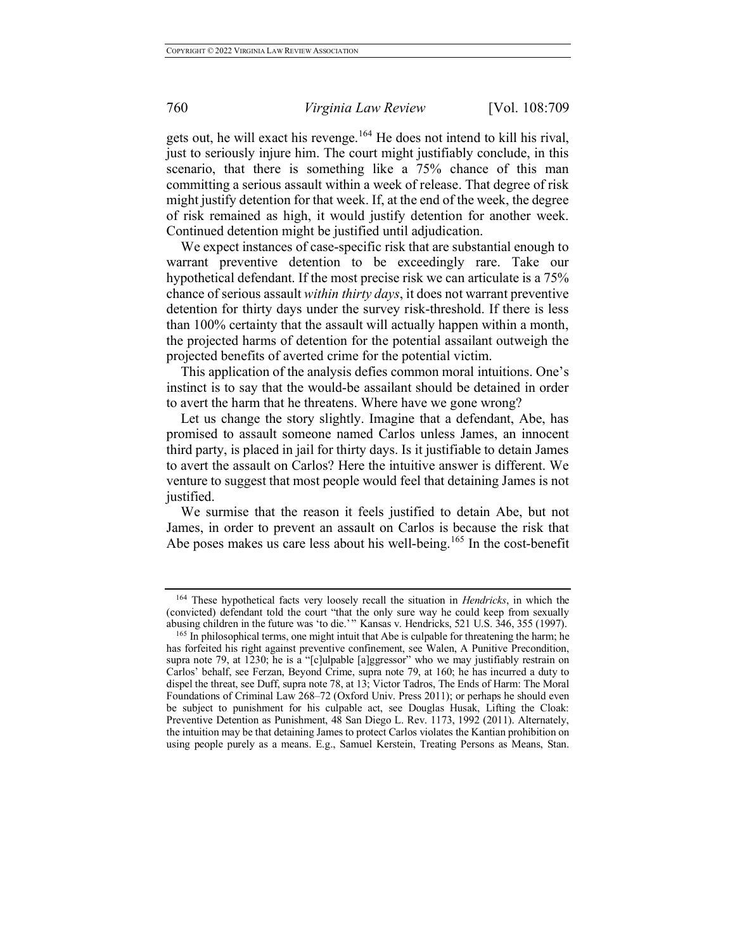gets out, he will exact his revenge.<sup>164</sup> He does not intend to kill his rival, just to seriously injure him. The court might justifiably conclude, in this scenario, that there is something like a 75% chance of this man committing a serious assault within a week of release. That degree of risk might justify detention for that week. If, at the end of the week, the degree of risk remained as high, it would justify detention for another week. Continued detention might be justified until adjudication.

We expect instances of case-specific risk that are substantial enough to warrant preventive detention to be exceedingly rare. Take our hypothetical defendant. If the most precise risk we can articulate is a 75% chance of serious assault *within thirty days*, it does not warrant preventive detention for thirty days under the survey risk-threshold. If there is less than 100% certainty that the assault will actually happen within a month, the projected harms of detention for the potential assailant outweigh the projected benefits of averted crime for the potential victim.

This application of the analysis defies common moral intuitions. One's instinct is to say that the would-be assailant should be detained in order to avert the harm that he threatens. Where have we gone wrong?

Let us change the story slightly. Imagine that a defendant, Abe, has promised to assault someone named Carlos unless James, an innocent third party, is placed in jail for thirty days. Is it justifiable to detain James to avert the assault on Carlos? Here the intuitive answer is different. We venture to suggest that most people would feel that detaining James is not justified.

We surmise that the reason it feels justified to detain Abe, but not James, in order to prevent an assault on Carlos is because the risk that Abe poses makes us care less about his well-being.<sup>165</sup> In the cost-benefit

<sup>164</sup> These hypothetical facts very loosely recall the situation in *Hendricks*, in which the (convicted) defendant told the court "that the only sure way he could keep from sexually abusing children in the future was 'to die.'" Kansas v. Hendricks, 521 U.S. 346, 355 (1997).

<sup>&</sup>lt;sup>165</sup> In philosophical terms, one might intuit that Abe is culpable for threatening the harm; he has forfeited his right against preventive confinement, see Walen, A Punitive Precondition, supra note 79, at 1230; he is a "[c]ulpable [a]ggressor" who we may justifiably restrain on Carlos' behalf, see Ferzan, Beyond Crime, supra note 79, at 160; he has incurred a duty to dispel the threat, see Duff, supra note 78, at 13; Victor Tadros, The Ends of Harm: The Moral Foundations of Criminal Law 268–72 (Oxford Univ. Press 2011); or perhaps he should even be subject to punishment for his culpable act, see Douglas Husak, Lifting the Cloak: Preventive Detention as Punishment, 48 San Diego L. Rev. 1173, 1992 (2011). Alternately, the intuition may be that detaining James to protect Carlos violates the Kantian prohibition on using people purely as a means. E.g., Samuel Kerstein, Treating Persons as Means, Stan.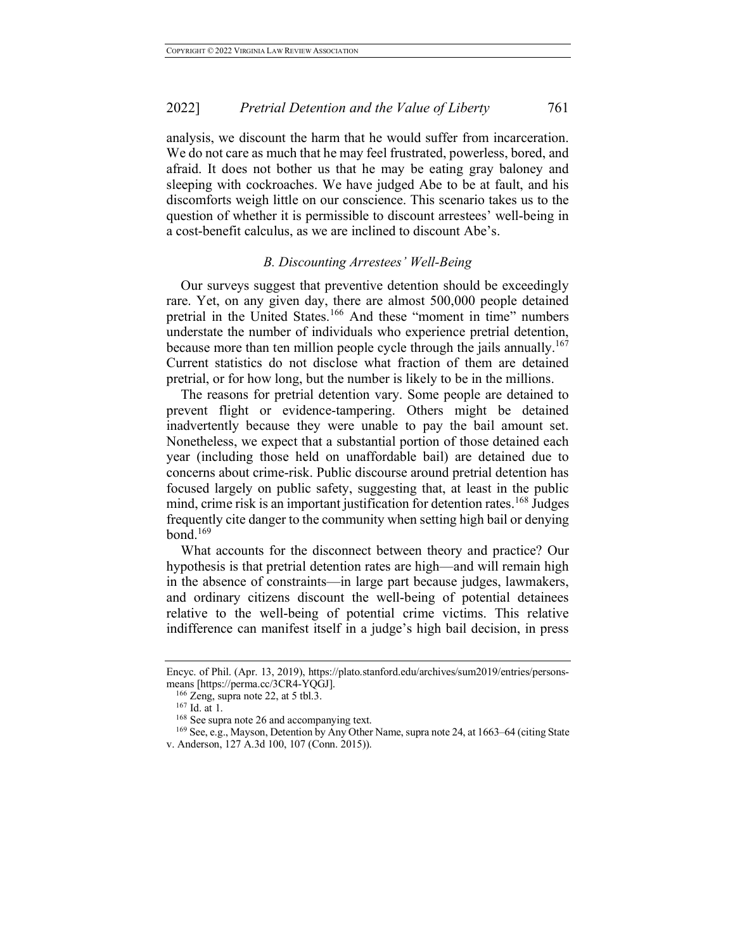analysis, we discount the harm that he would suffer from incarceration. We do not care as much that he may feel frustrated, powerless, bored, and afraid. It does not bother us that he may be eating gray baloney and sleeping with cockroaches. We have judged Abe to be at fault, and his discomforts weigh little on our conscience. This scenario takes us to the question of whether it is permissible to discount arrestees' well-being in a cost-benefit calculus, as we are inclined to discount Abe's.

# *B. Discounting Arrestees' Well-Being*

Our surveys suggest that preventive detention should be exceedingly rare. Yet, on any given day, there are almost 500,000 people detained pretrial in the United States.<sup>166</sup> And these "moment in time" numbers understate the number of individuals who experience pretrial detention, because more than ten million people cycle through the jails annually.<sup>167</sup> Current statistics do not disclose what fraction of them are detained pretrial, or for how long, but the number is likely to be in the millions.

The reasons for pretrial detention vary. Some people are detained to prevent flight or evidence-tampering. Others might be detained inadvertently because they were unable to pay the bail amount set. Nonetheless, we expect that a substantial portion of those detained each year (including those held on unaffordable bail) are detained due to concerns about crime-risk. Public discourse around pretrial detention has focused largely on public safety, suggesting that, at least in the public mind, crime risk is an important justification for detention rates.<sup>168</sup> Judges frequently cite danger to the community when setting high bail or denying bond. $169$ 

What accounts for the disconnect between theory and practice? Our hypothesis is that pretrial detention rates are high—and will remain high in the absence of constraints—in large part because judges, lawmakers, and ordinary citizens discount the well-being of potential detainees relative to the well-being of potential crime victims. This relative indifference can manifest itself in a judge's high bail decision, in press

Encyc. of Phil. (Apr. 13, 2019), https://plato.stanford.edu/archives/sum2019/entries/personsmeans [https://perma.cc/3CR4-YQGJ].

<sup>166</sup> Zeng, supra note 22, at 5 tbl.3.

<sup>167</sup> Id. at 1.

<sup>&</sup>lt;sup>168</sup> See supra note 26 and accompanying text.

<sup>169</sup> See, e.g., Mayson, Detention by Any Other Name, supra note 24, at 1663–64 (citing State v. Anderson, 127 A.3d 100, 107 (Conn. 2015)).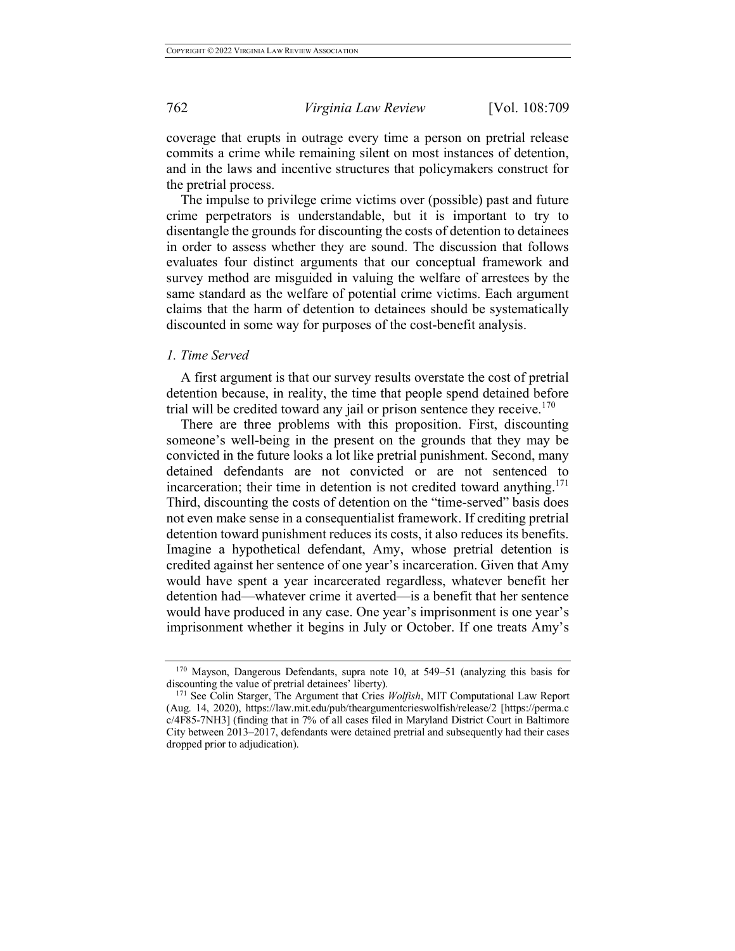coverage that erupts in outrage every time a person on pretrial release commits a crime while remaining silent on most instances of detention, and in the laws and incentive structures that policymakers construct for the pretrial process.

The impulse to privilege crime victims over (possible) past and future crime perpetrators is understandable, but it is important to try to disentangle the grounds for discounting the costs of detention to detainees in order to assess whether they are sound. The discussion that follows evaluates four distinct arguments that our conceptual framework and survey method are misguided in valuing the welfare of arrestees by the same standard as the welfare of potential crime victims. Each argument claims that the harm of detention to detainees should be systematically discounted in some way for purposes of the cost-benefit analysis.

#### *1. Time Served*

A first argument is that our survey results overstate the cost of pretrial detention because, in reality, the time that people spend detained before trial will be credited toward any jail or prison sentence they receive.<sup>170</sup>

There are three problems with this proposition. First, discounting someone's well-being in the present on the grounds that they may be convicted in the future looks a lot like pretrial punishment. Second, many detained defendants are not convicted or are not sentenced to incarceration; their time in detention is not credited toward anything.<sup>171</sup> Third, discounting the costs of detention on the "time-served" basis does not even make sense in a consequentialist framework. If crediting pretrial detention toward punishment reduces its costs, it also reduces its benefits. Imagine a hypothetical defendant, Amy, whose pretrial detention is credited against her sentence of one year's incarceration. Given that Amy would have spent a year incarcerated regardless, whatever benefit her detention had—whatever crime it averted—is a benefit that her sentence would have produced in any case. One year's imprisonment is one year's imprisonment whether it begins in July or October. If one treats Amy's

<sup>170</sup> Mayson, Dangerous Defendants, supra note 10, at 549–51 (analyzing this basis for discounting the value of pretrial detainees' liberty).

<sup>171</sup> See Colin Starger, The Argument that Cries *Wolfish*, MIT Computational Law Report (Aug. 14, 2020), https://law.mit.edu/pub/theargumentcrieswolfish/release/2 [https://perma.c c/4F85-7NH3] (finding that in 7% of all cases filed in Maryland District Court in Baltimore City between 2013–2017, defendants were detained pretrial and subsequently had their cases dropped prior to adjudication).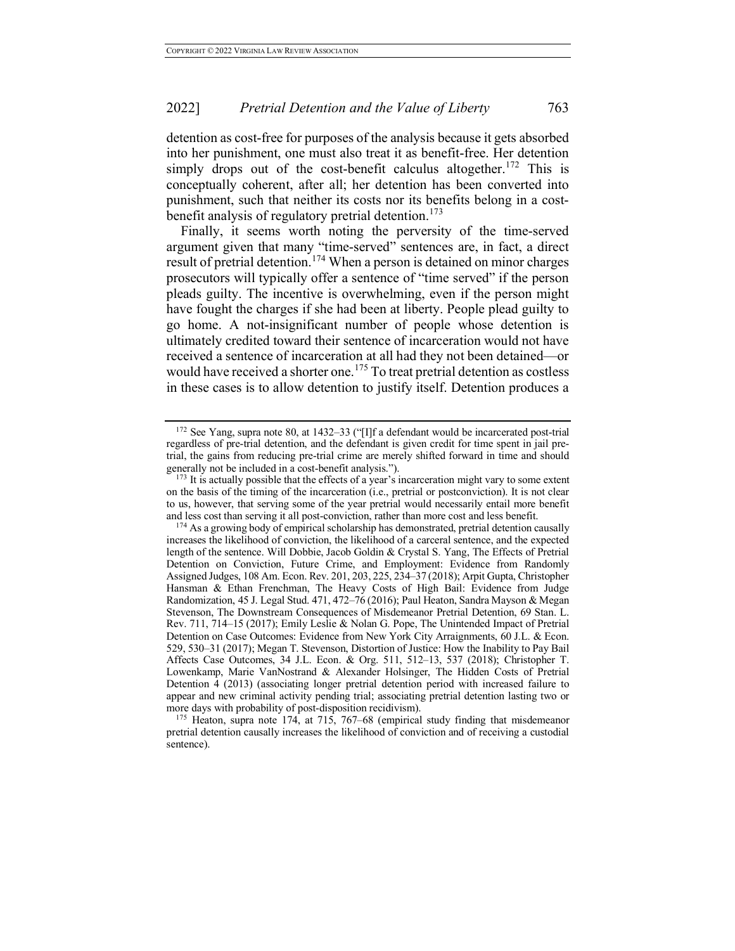detention as cost-free for purposes of the analysis because it gets absorbed into her punishment, one must also treat it as benefit-free. Her detention simply drops out of the cost-benefit calculus altogether.<sup>172</sup> This is conceptually coherent, after all; her detention has been converted into punishment, such that neither its costs nor its benefits belong in a costbenefit analysis of regulatory pretrial detention.<sup>173</sup>

Finally, it seems worth noting the perversity of the time-served argument given that many "time-served" sentences are, in fact, a direct result of pretrial detention.<sup>174</sup> When a person is detained on minor charges prosecutors will typically offer a sentence of "time served" if the person pleads guilty. The incentive is overwhelming, even if the person might have fought the charges if she had been at liberty. People plead guilty to go home. A not-insignificant number of people whose detention is ultimately credited toward their sentence of incarceration would not have received a sentence of incarceration at all had they not been detained—or would have received a shorter one.<sup>175</sup> To treat pretrial detention as costless in these cases is to allow detention to justify itself. Detention produces a

<sup>172</sup> See Yang, supra note 80, at 1432–33 ("[I]f a defendant would be incarcerated post-trial regardless of pre-trial detention, and the defendant is given credit for time spent in jail pretrial, the gains from reducing pre-trial crime are merely shifted forward in time and should generally not be included in a cost-benefit analysis.").

<sup>&</sup>lt;sup>173</sup> It is actually possible that the effects of a year's incarceration might vary to some extent on the basis of the timing of the incarceration (i.e., pretrial or postconviction). It is not clear to us, however, that serving some of the year pretrial would necessarily entail more benefit and less cost than serving it all post-conviction, rather than more cost and less benefit.

<sup>&</sup>lt;sup>174</sup> As a growing body of empirical scholarship has demonstrated, pretrial detention causally increases the likelihood of conviction, the likelihood of a carceral sentence, and the expected length of the sentence. Will Dobbie, Jacob Goldin & Crystal S. Yang, The Effects of Pretrial Detention on Conviction, Future Crime, and Employment: Evidence from Randomly Assigned Judges, 108 Am. Econ. Rev. 201, 203, 225, 234–37 (2018); Arpit Gupta, Christopher Hansman & Ethan Frenchman, The Heavy Costs of High Bail: Evidence from Judge Randomization, 45 J. Legal Stud. 471, 472–76 (2016); Paul Heaton, Sandra Mayson & Megan Stevenson, The Downstream Consequences of Misdemeanor Pretrial Detention, 69 Stan. L. Rev. 711, 714–15 (2017); Emily Leslie & Nolan G. Pope, The Unintended Impact of Pretrial Detention on Case Outcomes: Evidence from New York City Arraignments, 60 J.L. & Econ. 529, 530–31 (2017); Megan T. Stevenson, Distortion of Justice: How the Inability to Pay Bail Affects Case Outcomes, 34 J.L. Econ. & Org. 511, 512–13, 537 (2018); Christopher T. Lowenkamp, Marie VanNostrand & Alexander Holsinger, The Hidden Costs of Pretrial Detention 4 (2013) (associating longer pretrial detention period with increased failure to appear and new criminal activity pending trial; associating pretrial detention lasting two or more days with probability of post-disposition recidivism).

<sup>&</sup>lt;sup>175</sup> Heaton, supra note 174, at 715, 767–68 (empirical study finding that misdemeanor pretrial detention causally increases the likelihood of conviction and of receiving a custodial sentence).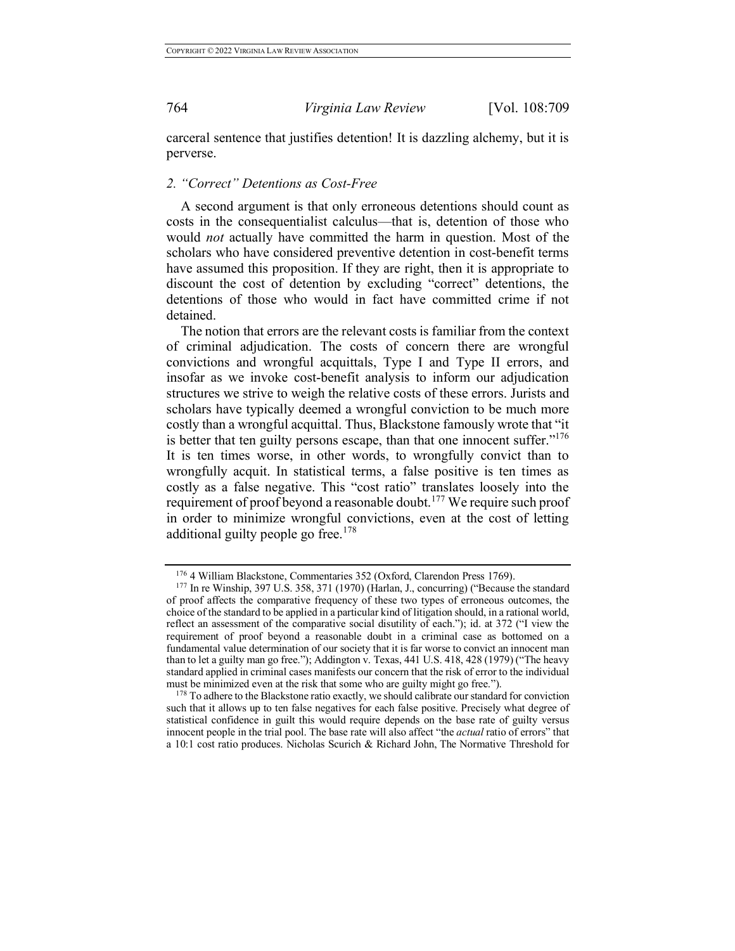carceral sentence that justifies detention! It is dazzling alchemy, but it is perverse.

## *2. "Correct" Detentions as Cost-Free*

A second argument is that only erroneous detentions should count as costs in the consequentialist calculus—that is, detention of those who would *not* actually have committed the harm in question. Most of the scholars who have considered preventive detention in cost-benefit terms have assumed this proposition. If they are right, then it is appropriate to discount the cost of detention by excluding "correct" detentions, the detentions of those who would in fact have committed crime if not detained.

The notion that errors are the relevant costs is familiar from the context of criminal adjudication. The costs of concern there are wrongful convictions and wrongful acquittals, Type I and Type II errors, and insofar as we invoke cost-benefit analysis to inform our adjudication structures we strive to weigh the relative costs of these errors. Jurists and scholars have typically deemed a wrongful conviction to be much more costly than a wrongful acquittal. Thus, Blackstone famously wrote that "it is better that ten guilty persons escape, than that one innocent suffer. $176$ It is ten times worse, in other words, to wrongfully convict than to wrongfully acquit. In statistical terms, a false positive is ten times as costly as a false negative. This "cost ratio" translates loosely into the requirement of proof beyond a reasonable doubt.<sup>177</sup> We require such proof in order to minimize wrongful convictions, even at the cost of letting additional guilty people go free.<sup>178</sup>

<sup>176</sup> 4 William Blackstone, Commentaries 352 (Oxford, Clarendon Press 1769).

<sup>177</sup> In re Winship, 397 U.S. 358, 371 (1970) (Harlan, J., concurring) ("Because the standard of proof affects the comparative frequency of these two types of erroneous outcomes, the choice of the standard to be applied in a particular kind of litigation should, in a rational world, reflect an assessment of the comparative social disutility of each."); id. at 372 ("I view the requirement of proof beyond a reasonable doubt in a criminal case as bottomed on a fundamental value determination of our society that it is far worse to convict an innocent man than to let a guilty man go free."); Addington v. Texas, 441 U.S. 418, 428 (1979) ("The heavy standard applied in criminal cases manifests our concern that the risk of error to the individual must be minimized even at the risk that some who are guilty might go free.").

<sup>&</sup>lt;sup>178</sup> To adhere to the Blackstone ratio exactly, we should calibrate our standard for conviction such that it allows up to ten false negatives for each false positive. Precisely what degree of statistical confidence in guilt this would require depends on the base rate of guilty versus innocent people in the trial pool. The base rate will also affect "the *actual* ratio of errors" that a 10:1 cost ratio produces. Nicholas Scurich & Richard John, The Normative Threshold for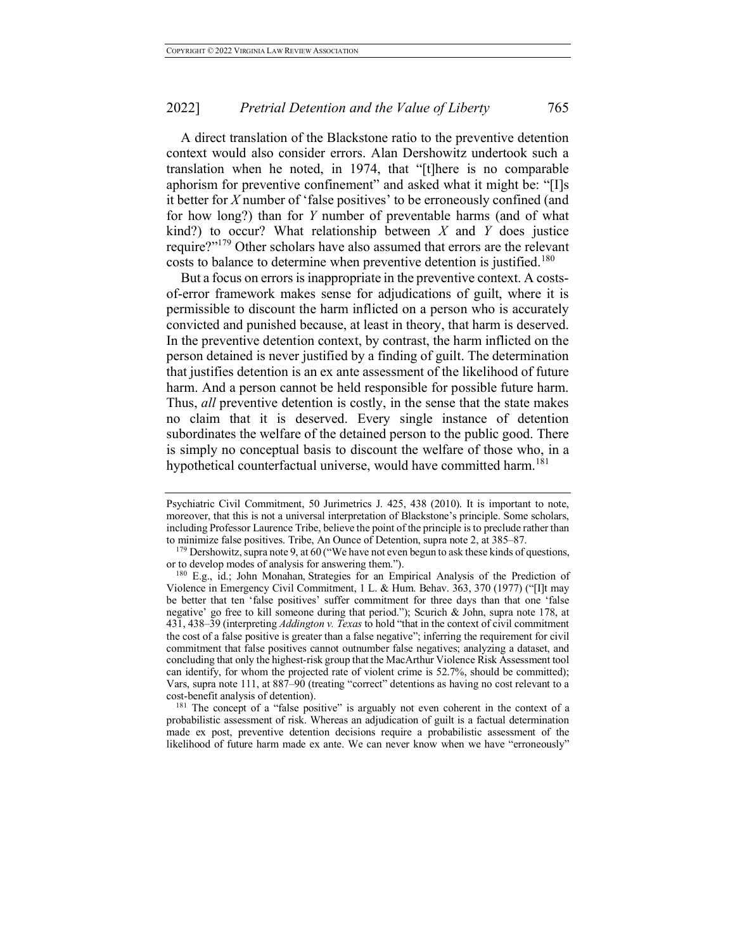A direct translation of the Blackstone ratio to the preventive detention context would also consider errors. Alan Dershowitz undertook such a translation when he noted, in 1974, that "[t]here is no comparable aphorism for preventive confinement" and asked what it might be: "[I]s it better for *X* number of 'false positives' to be erroneously confined (and for how long?) than for *Y* number of preventable harms (and of what kind?) to occur? What relationship between *X* and *Y* does justice require?"<sup>179</sup> Other scholars have also assumed that errors are the relevant costs to balance to determine when preventive detention is justified.<sup>180</sup>

But a focus on errors is inappropriate in the preventive context. A costsof-error framework makes sense for adjudications of guilt, where it is permissible to discount the harm inflicted on a person who is accurately convicted and punished because, at least in theory, that harm is deserved. In the preventive detention context, by contrast, the harm inflicted on the person detained is never justified by a finding of guilt. The determination that justifies detention is an ex ante assessment of the likelihood of future harm. And a person cannot be held responsible for possible future harm. Thus, *all* preventive detention is costly, in the sense that the state makes no claim that it is deserved. Every single instance of detention subordinates the welfare of the detained person to the public good. There is simply no conceptual basis to discount the welfare of those who, in a hypothetical counterfactual universe, would have committed harm.<sup>181</sup>

<sup>181</sup> The concept of a "false positive" is arguably not even coherent in the context of a probabilistic assessment of risk. Whereas an adjudication of guilt is a factual determination made ex post, preventive detention decisions require a probabilistic assessment of the likelihood of future harm made ex ante. We can never know when we have "erroneously"

Psychiatric Civil Commitment, 50 Jurimetrics J. 425, 438 (2010). It is important to note, moreover, that this is not a universal interpretation of Blackstone's principle. Some scholars, including Professor Laurence Tribe, believe the point of the principle is to preclude rather than to minimize false positives. Tribe, An Ounce of Detention, supra note 2, at 385–87.

<sup>&</sup>lt;sup>179</sup> Dershowitz, supra note 9, at 60 ("We have not even begun to ask these kinds of questions, or to develop modes of analysis for answering them.").

<sup>180</sup> E.g., id.; John Monahan, Strategies for an Empirical Analysis of the Prediction of Violence in Emergency Civil Commitment, 1 L. & Hum. Behav. 363, 370 (1977) ("[I]t may be better that ten 'false positives' suffer commitment for three days than that one 'false negative' go free to kill someone during that period."); Scurich & John, supra note 178, at 431, 438–39 (interpreting *Addington v. Texas* to hold "that in the context of civil commitment the cost of a false positive is greater than a false negative"; inferring the requirement for civil commitment that false positives cannot outnumber false negatives; analyzing a dataset, and concluding that only the highest-risk group that the MacArthur Violence Risk Assessment tool can identify, for whom the projected rate of violent crime is 52.7%, should be committed); Vars, supra note 111, at 887–90 (treating "correct" detentions as having no cost relevant to a cost-benefit analysis of detention).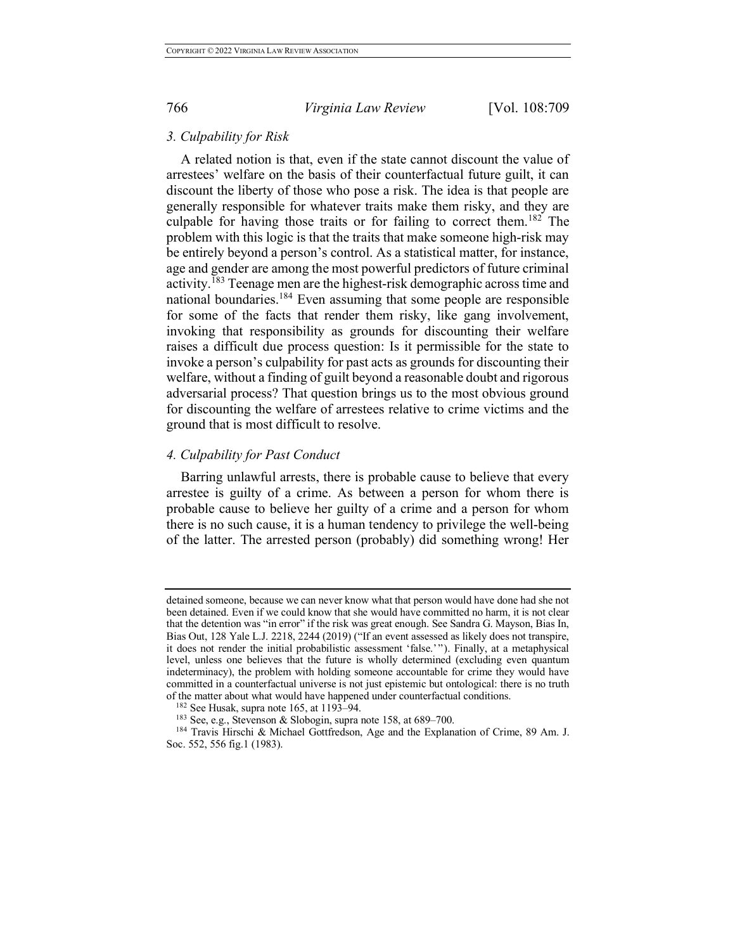## *3. Culpability for Risk*

A related notion is that, even if the state cannot discount the value of arrestees' welfare on the basis of their counterfactual future guilt, it can discount the liberty of those who pose a risk. The idea is that people are generally responsible for whatever traits make them risky, and they are culpable for having those traits or for failing to correct them.<sup>182</sup> The problem with this logic is that the traits that make someone high-risk may be entirely beyond a person's control. As a statistical matter, for instance, age and gender are among the most powerful predictors of future criminal activity.<sup>183</sup> Teenage men are the highest-risk demographic across time and national boundaries.<sup>184</sup> Even assuming that some people are responsible for some of the facts that render them risky, like gang involvement, invoking that responsibility as grounds for discounting their welfare raises a difficult due process question: Is it permissible for the state to invoke a person's culpability for past acts as grounds for discounting their welfare, without a finding of guilt beyond a reasonable doubt and rigorous adversarial process? That question brings us to the most obvious ground for discounting the welfare of arrestees relative to crime victims and the ground that is most difficult to resolve.

# *4. Culpability for Past Conduct*

Barring unlawful arrests, there is probable cause to believe that every arrestee is guilty of a crime. As between a person for whom there is probable cause to believe her guilty of a crime and a person for whom there is no such cause, it is a human tendency to privilege the well-being of the latter. The arrested person (probably) did something wrong! Her

detained someone, because we can never know what that person would have done had she not been detained. Even if we could know that she would have committed no harm, it is not clear that the detention was "in error" if the risk was great enough. See Sandra G. Mayson, Bias In, Bias Out, 128 Yale L.J. 2218, 2244 (2019) ("If an event assessed as likely does not transpire, it does not render the initial probabilistic assessment 'false.'"). Finally, at a metaphysical level, unless one believes that the future is wholly determined (excluding even quantum indeterminacy), the problem with holding someone accountable for crime they would have committed in a counterfactual universe is not just epistemic but ontological: there is no truth of the matter about what would have happened under counterfactual conditions. 182 See Husak, supra note 165, at 1193–94.

<sup>183</sup> See, e.g., Stevenson & Slobogin, supra note 158, at 689–700.

<sup>184</sup> Travis Hirschi & Michael Gottfredson, Age and the Explanation of Crime, 89 Am. J. Soc. 552, 556 fig.1 (1983).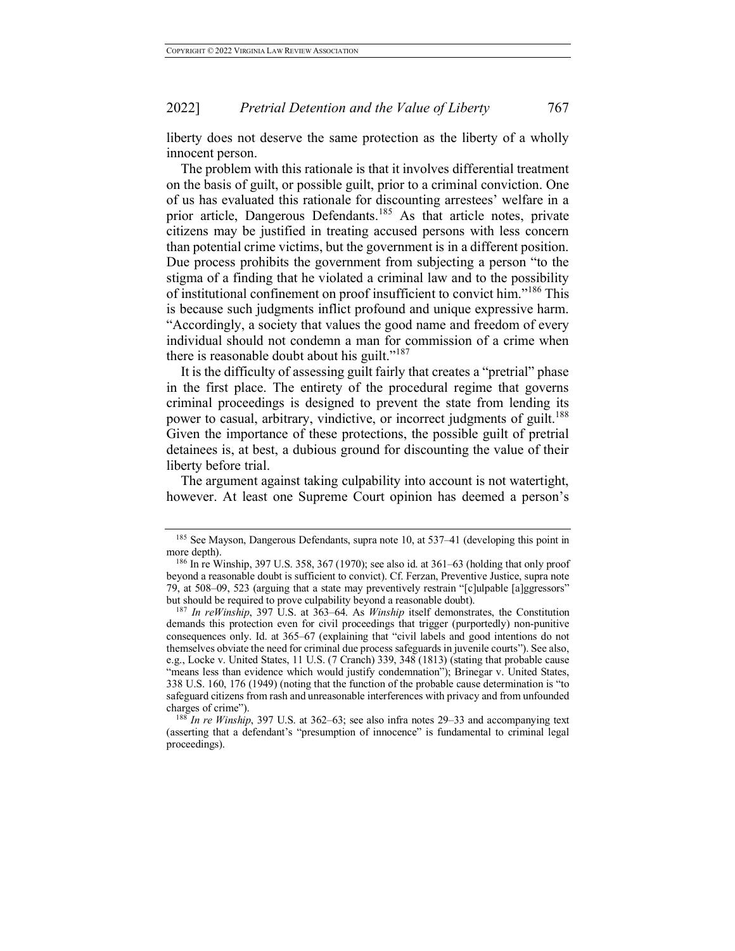liberty does not deserve the same protection as the liberty of a wholly innocent person.

The problem with this rationale is that it involves differential treatment on the basis of guilt, or possible guilt, prior to a criminal conviction. One of us has evaluated this rationale for discounting arrestees' welfare in a prior article, Dangerous Defendants.<sup>185</sup> As that article notes, private citizens may be justified in treating accused persons with less concern than potential crime victims, but the government is in a different position. Due process prohibits the government from subjecting a person "to the stigma of a finding that he violated a criminal law and to the possibility of institutional confinement on proof insufficient to convict him."<sup>186</sup> This is because such judgments inflict profound and unique expressive harm. "Accordingly, a society that values the good name and freedom of every individual should not condemn a man for commission of a crime when there is reasonable doubt about his guilt."<sup>187</sup>

It is the difficulty of assessing guilt fairly that creates a "pretrial" phase in the first place. The entirety of the procedural regime that governs criminal proceedings is designed to prevent the state from lending its power to casual, arbitrary, vindictive, or incorrect judgments of guilt.<sup>188</sup> Given the importance of these protections, the possible guilt of pretrial detainees is, at best, a dubious ground for discounting the value of their liberty before trial.

The argument against taking culpability into account is not watertight, however. At least one Supreme Court opinion has deemed a person's

<sup>&</sup>lt;sup>185</sup> See Mayson, Dangerous Defendants, supra note 10, at 537–41 (developing this point in more depth).<br><sup>186</sup> In re Winship, 397 U.S. 358, 367 (1970); see also id. at 361–63 (holding that only proof

beyond a reasonable doubt is sufficient to convict). Cf. Ferzan, Preventive Justice, supra note 79, at 508–09, 523 (arguing that a state may preventively restrain "[c]ulpable [a]ggressors" but should be required to prove culpability beyond a reasonable doubt).

<sup>187</sup> *In reWinship*, 397 U.S. at 363–64. As *Winship* itself demonstrates, the Constitution demands this protection even for civil proceedings that trigger (purportedly) non-punitive consequences only. Id. at 365–67 (explaining that "civil labels and good intentions do not themselves obviate the need for criminal due process safeguards in juvenile courts"). See also, e.g., Locke v. United States, 11 U.S. (7 Cranch) 339, 348 (1813) (stating that probable cause "means less than evidence which would justify condemnation"); Brinegar v. United States, 338 U.S. 160, 176 (1949) (noting that the function of the probable cause determination is "to safeguard citizens from rash and unreasonable interferences with privacy and from unfounded charges of crime").

<sup>188</sup> *In re Winship*, 397 U.S. at 362–63; see also infra notes 29–33 and accompanying text (asserting that a defendant's "presumption of innocence" is fundamental to criminal legal proceedings).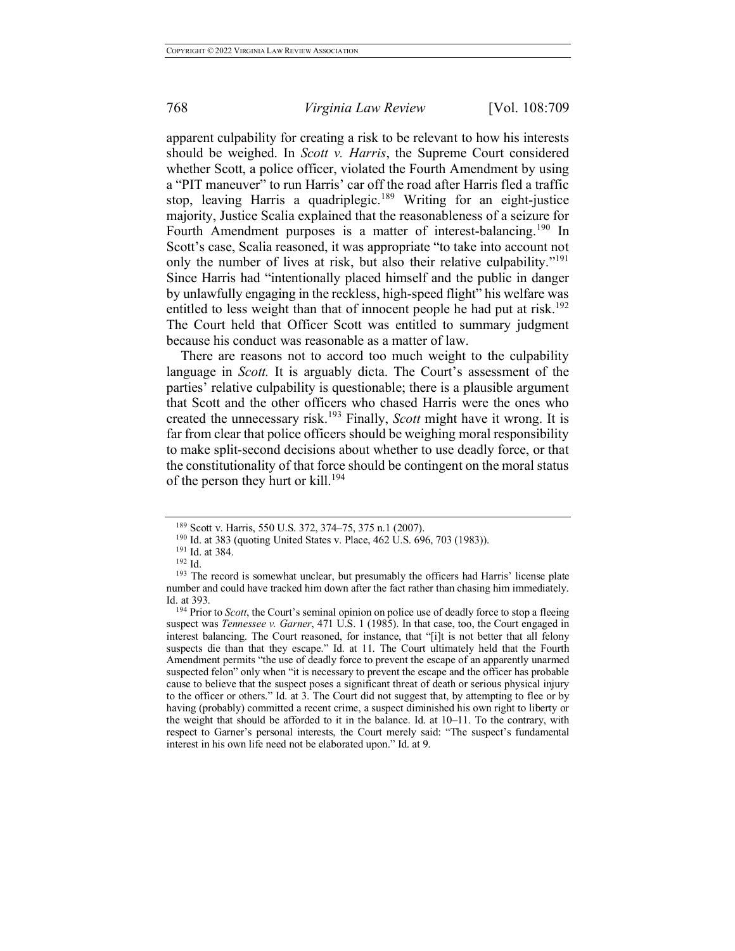apparent culpability for creating a risk to be relevant to how his interests should be weighed. In *Scott v. Harris*, the Supreme Court considered whether Scott, a police officer, violated the Fourth Amendment by using a "PIT maneuver" to run Harris' car off the road after Harris fled a traffic stop, leaving Harris a quadriplegic.<sup>189</sup> Writing for an eight-justice majority, Justice Scalia explained that the reasonableness of a seizure for Fourth Amendment purposes is a matter of interest-balancing.<sup>190</sup> In Scott's case, Scalia reasoned, it was appropriate "to take into account not only the number of lives at risk, but also their relative culpability."<sup>191</sup> Since Harris had "intentionally placed himself and the public in danger by unlawfully engaging in the reckless, high-speed flight" his welfare was entitled to less weight than that of innocent people he had put at risk.<sup>192</sup> The Court held that Officer Scott was entitled to summary judgment because his conduct was reasonable as a matter of law.

There are reasons not to accord too much weight to the culpability language in *Scott*. It is arguably dicta. The Court's assessment of the parties' relative culpability is questionable; there is a plausible argument that Scott and the other officers who chased Harris were the ones who created the unnecessary risk. <sup>193</sup> Finally, *Scott* might have it wrong. It is far from clear that police officers should be weighing moral responsibility to make split-second decisions about whether to use deadly force, or that the constitutionality of that force should be contingent on the moral status of the person they hurt or kill. 194

<sup>189</sup> Scott v. Harris, 550 U.S. 372, 374–75, 375 n.1 (2007).

<sup>&</sup>lt;sup>190</sup> Id. at 383 (quoting United States v. Place, 462 U.S. 696, 703 (1983)).

 $^{191}$  Id. at 384.<br> $^{192}$  Id.

<sup>&</sup>lt;sup>193</sup> The record is somewhat unclear, but presumably the officers had Harris' license plate number and could have tracked him down after the fact rather than chasing him immediately. Id. at 393.

<sup>194</sup> Prior to *Scott*, the Court's seminal opinion on police use of deadly force to stop a fleeing suspect was *Tennessee v. Garner*, 471 U.S. 1 (1985). In that case, too, the Court engaged in interest balancing. The Court reasoned, for instance, that "[i]t is not better that all felony suspects die than that they escape." Id. at 11. The Court ultimately held that the Fourth Amendment permits "the use of deadly force to prevent the escape of an apparently unarmed suspected felon" only when "it is necessary to prevent the escape and the officer has probable cause to believe that the suspect poses a significant threat of death or serious physical injury to the officer or others." Id. at 3. The Court did not suggest that, by attempting to flee or by having (probably) committed a recent crime, a suspect diminished his own right to liberty or the weight that should be afforded to it in the balance. Id. at 10–11. To the contrary, with respect to Garner's personal interests, the Court merely said: "The suspect's fundamental interest in his own life need not be elaborated upon." Id. at 9.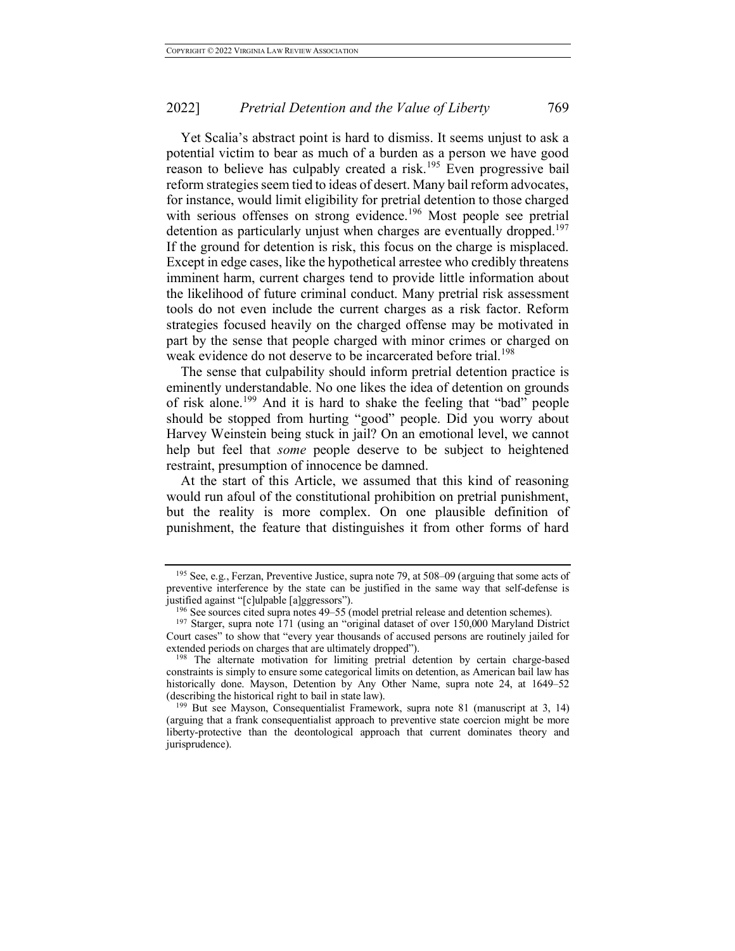Yet Scalia's abstract point is hard to dismiss. It seems unjust to ask a potential victim to bear as much of a burden as a person we have good reason to believe has culpably created a risk.<sup>195</sup> Even progressive bail reform strategies seem tied to ideas of desert. Many bail reform advocates, for instance, would limit eligibility for pretrial detention to those charged with serious offenses on strong evidence.<sup>196</sup> Most people see pretrial detention as particularly unjust when charges are eventually dropped.<sup>197</sup> If the ground for detention is risk, this focus on the charge is misplaced. Except in edge cases, like the hypothetical arrestee who credibly threatens imminent harm, current charges tend to provide little information about the likelihood of future criminal conduct. Many pretrial risk assessment tools do not even include the current charges as a risk factor. Reform strategies focused heavily on the charged offense may be motivated in part by the sense that people charged with minor crimes or charged on weak evidence do not deserve to be incarcerated before trial.<sup>198</sup>

The sense that culpability should inform pretrial detention practice is eminently understandable. No one likes the idea of detention on grounds of risk alone.<sup>199</sup> And it is hard to shake the feeling that "bad" people should be stopped from hurting "good" people. Did you worry about Harvey Weinstein being stuck in jail? On an emotional level, we cannot help but feel that *some* people deserve to be subject to heightened restraint, presumption of innocence be damned.

At the start of this Article, we assumed that this kind of reasoning would run afoul of the constitutional prohibition on pretrial punishment, but the reality is more complex. On one plausible definition of punishment, the feature that distinguishes it from other forms of hard

<sup>195</sup> See, e.g., Ferzan, Preventive Justice, supra note 79, at 508–09 (arguing that some acts of preventive interference by the state can be justified in the same way that self-defense is justified against "[c]ulpable [a]ggressors").

<sup>196</sup> See sources cited supra notes 49–55 (model pretrial release and detention schemes).

<sup>197</sup> Starger, supra note 171 (using an "original dataset of over 150,000 Maryland District Court cases" to show that "every year thousands of accused persons are routinely jailed for extended periods on charges that are ultimately dropped").

<sup>&</sup>lt;sup>198</sup> The alternate motivation for limiting pretrial detention by certain charge-based constraints is simply to ensure some categorical limits on detention, as American bail law has historically done. Mayson, Detention by Any Other Name, supra note 24, at 1649–52 (describing the historical right to bail in state law).

<sup>199</sup> But see Mayson, Consequentialist Framework, supra note 81 (manuscript at 3, 14) (arguing that a frank consequentialist approach to preventive state coercion might be more liberty-protective than the deontological approach that current dominates theory and jurisprudence).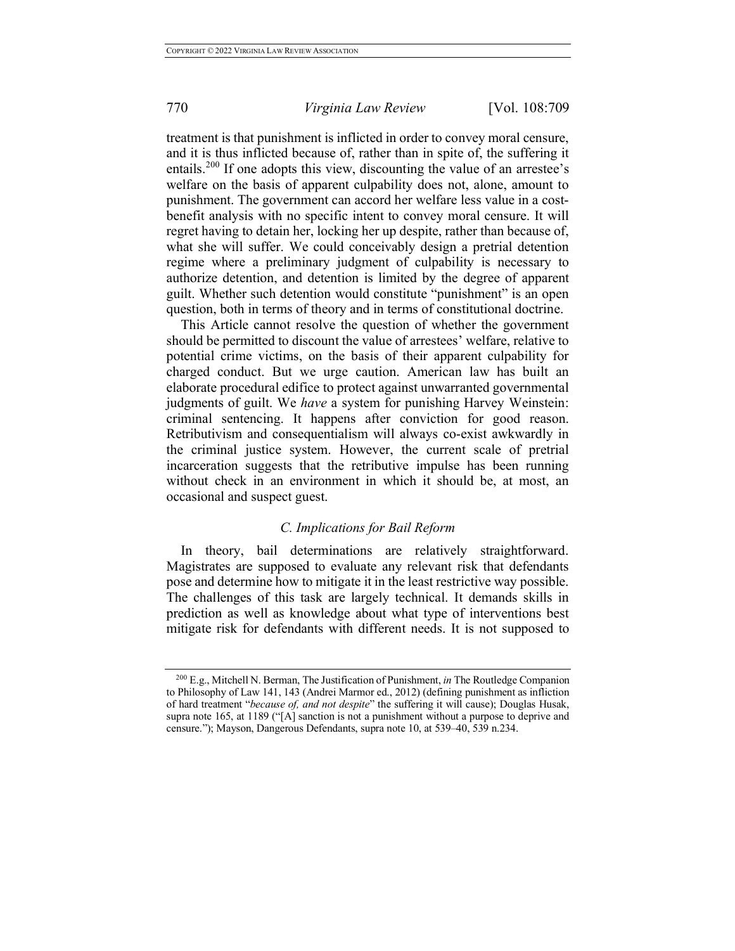treatment is that punishment is inflicted in order to convey moral censure, and it is thus inflicted because of, rather than in spite of, the suffering it entails.<sup>200</sup> If one adopts this view, discounting the value of an arrestee's welfare on the basis of apparent culpability does not, alone, amount to punishment. The government can accord her welfare less value in a costbenefit analysis with no specific intent to convey moral censure. It will regret having to detain her, locking her up despite, rather than because of, what she will suffer. We could conceivably design a pretrial detention regime where a preliminary judgment of culpability is necessary to authorize detention, and detention is limited by the degree of apparent guilt. Whether such detention would constitute "punishment" is an open question, both in terms of theory and in terms of constitutional doctrine.

This Article cannot resolve the question of whether the government should be permitted to discount the value of arrestees' welfare, relative to potential crime victims, on the basis of their apparent culpability for charged conduct. But we urge caution. American law has built an elaborate procedural edifice to protect against unwarranted governmental judgments of guilt. We *have* a system for punishing Harvey Weinstein: criminal sentencing. It happens after conviction for good reason. Retributivism and consequentialism will always co-exist awkwardly in the criminal justice system. However, the current scale of pretrial incarceration suggests that the retributive impulse has been running without check in an environment in which it should be, at most, an occasional and suspect guest.

# *C. Implications for Bail Reform*

In theory, bail determinations are relatively straightforward. Magistrates are supposed to evaluate any relevant risk that defendants pose and determine how to mitigate it in the least restrictive way possible. The challenges of this task are largely technical. It demands skills in prediction as well as knowledge about what type of interventions best mitigate risk for defendants with different needs. It is not supposed to

<sup>200</sup> E.g., Mitchell N. Berman, The Justification of Punishment, *in* The Routledge Companion to Philosophy of Law 141, 143 (Andrei Marmor ed., 2012) (defining punishment as infliction of hard treatment "*because of, and not despite*" the suffering it will cause); Douglas Husak, supra note 165, at 1189 ("[A] sanction is not a punishment without a purpose to deprive and censure."); Mayson, Dangerous Defendants, supra note 10, at 539–40, 539 n.234.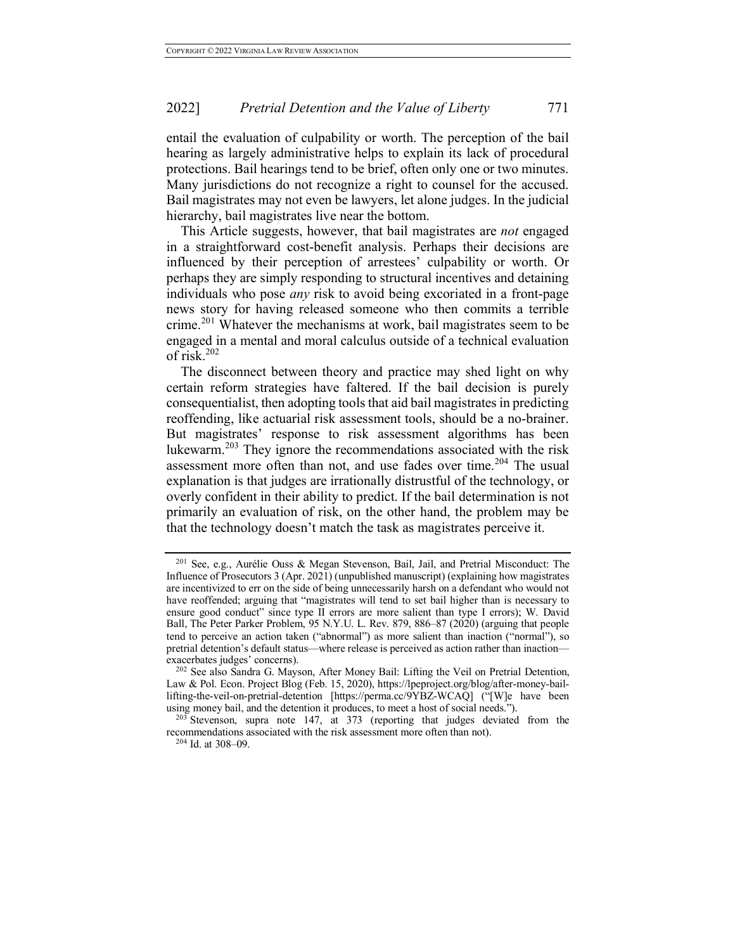entail the evaluation of culpability or worth. The perception of the bail hearing as largely administrative helps to explain its lack of procedural protections. Bail hearings tend to be brief, often only one or two minutes. Many jurisdictions do not recognize a right to counsel for the accused. Bail magistrates may not even be lawyers, let alone judges. In the judicial hierarchy, bail magistrates live near the bottom.

This Article suggests, however, that bail magistrates are *not* engaged in a straightforward cost-benefit analysis. Perhaps their decisions are influenced by their perception of arrestees' culpability or worth. Or perhaps they are simply responding to structural incentives and detaining individuals who pose *any* risk to avoid being excoriated in a front-page news story for having released someone who then commits a terrible crime.<sup>201</sup> Whatever the mechanisms at work, bail magistrates seem to be engaged in a mental and moral calculus outside of a technical evaluation of risk. $202$ 

The disconnect between theory and practice may shed light on why certain reform strategies have faltered. If the bail decision is purely consequentialist, then adopting tools that aid bail magistrates in predicting reoffending, like actuarial risk assessment tools, should be a no-brainer. But magistrates' response to risk assessment algorithms has been lukewarm. <sup>203</sup> They ignore the recommendations associated with the risk assessment more often than not, and use fades over time.<sup>204</sup> The usual explanation is that judges are irrationally distrustful of the technology, or overly confident in their ability to predict. If the bail determination is not primarily an evaluation of risk, on the other hand, the problem may be that the technology doesn't match the task as magistrates perceive it.

<sup>201</sup> See, e.g., Aurélie Ouss & Megan Stevenson, Bail, Jail, and Pretrial Misconduct: The Influence of Prosecutors 3 (Apr. 2021) (unpublished manuscript) (explaining how magistrates are incentivized to err on the side of being unnecessarily harsh on a defendant who would not have reoffended; arguing that "magistrates will tend to set bail higher than is necessary to ensure good conduct" since type II errors are more salient than type I errors); W. David Ball, The Peter Parker Problem, 95 N.Y.U. L. Rev. 879, 886–87 (2020) (arguing that people tend to perceive an action taken ("abnormal") as more salient than inaction ("normal"), so pretrial detention's default status—where release is perceived as action rather than inaction exacerbates judges' concerns).

<sup>202</sup> See also Sandra G. Mayson, After Money Bail: Lifting the Veil on Pretrial Detention, Law & Pol. Econ. Project Blog (Feb. 15, 2020), https://lpeproject.org/blog/after-money-baillifting-the-veil-on-pretrial-detention [https://perma.cc/9YBZ-WCAQ] ("[W]e have been using money bail, and the detention it produces, to meet a host of social needs.").

 $203$  Stevenson, supra note 147, at 373 (reporting that judges deviated from the recommendations associated with the risk assessment more often than not).

<sup>204</sup> Id. at 308–09.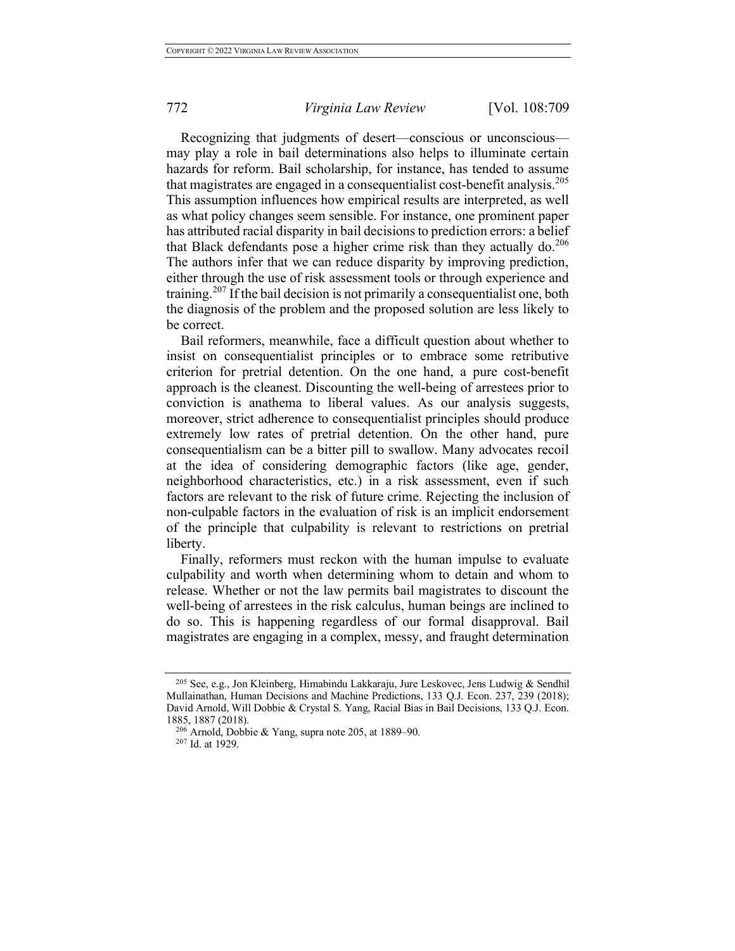Recognizing that judgments of desert—conscious or unconscious may play a role in bail determinations also helps to illuminate certain hazards for reform. Bail scholarship, for instance, has tended to assume that magistrates are engaged in a consequentialist cost-benefit analysis.<sup>205</sup> This assumption influences how empirical results are interpreted, as well as what policy changes seem sensible. For instance, one prominent paper has attributed racial disparity in bail decisions to prediction errors: a belief that Black defendants pose a higher crime risk than they actually do. 206 The authors infer that we can reduce disparity by improving prediction, either through the use of risk assessment tools or through experience and training.<sup>207</sup> If the bail decision is not primarily a consequentialist one, both the diagnosis of the problem and the proposed solution are less likely to be correct.

Bail reformers, meanwhile, face a difficult question about whether to insist on consequentialist principles or to embrace some retributive criterion for pretrial detention. On the one hand, a pure cost-benefit approach is the cleanest. Discounting the well-being of arrestees prior to conviction is anathema to liberal values. As our analysis suggests, moreover, strict adherence to consequentialist principles should produce extremely low rates of pretrial detention. On the other hand, pure consequentialism can be a bitter pill to swallow. Many advocates recoil at the idea of considering demographic factors (like age, gender, neighborhood characteristics, etc.) in a risk assessment, even if such factors are relevant to the risk of future crime. Rejecting the inclusion of non-culpable factors in the evaluation of risk is an implicit endorsement of the principle that culpability is relevant to restrictions on pretrial liberty.

Finally, reformers must reckon with the human impulse to evaluate culpability and worth when determining whom to detain and whom to release. Whether or not the law permits bail magistrates to discount the well-being of arrestees in the risk calculus, human beings are inclined to do so. This is happening regardless of our formal disapproval. Bail magistrates are engaging in a complex, messy, and fraught determination

<sup>205</sup> See, e.g., Jon Kleinberg, Himabindu Lakkaraju, Jure Leskovec, Jens Ludwig & Sendhil Mullainathan, Human Decisions and Machine Predictions, 133 Q.J. Econ. 237, 239 (2018); David Arnold, Will Dobbie & Crystal S. Yang, Racial Bias in Bail Decisions, 133 Q.J. Econ. 1885, 1887 (2018).

 $206$  Arnold, Dobbie & Yang, supra note 205, at 1889–90.

<sup>207</sup> Id. at 1929.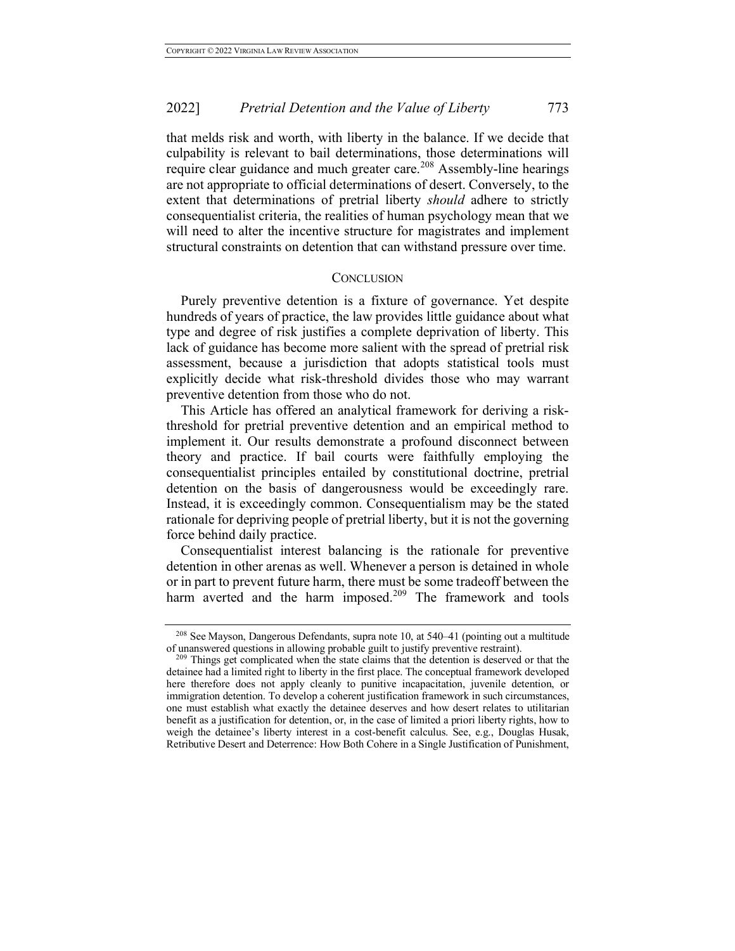that melds risk and worth, with liberty in the balance. If we decide that culpability is relevant to bail determinations, those determinations will require clear guidance and much greater care. <sup>208</sup> Assembly-line hearings are not appropriate to official determinations of desert. Conversely, to the extent that determinations of pretrial liberty *should* adhere to strictly consequentialist criteria, the realities of human psychology mean that we will need to alter the incentive structure for magistrates and implement structural constraints on detention that can withstand pressure over time.

#### **CONCLUSION**

Purely preventive detention is a fixture of governance. Yet despite hundreds of years of practice, the law provides little guidance about what type and degree of risk justifies a complete deprivation of liberty. This lack of guidance has become more salient with the spread of pretrial risk assessment, because a jurisdiction that adopts statistical tools must explicitly decide what risk-threshold divides those who may warrant preventive detention from those who do not.

This Article has offered an analytical framework for deriving a riskthreshold for pretrial preventive detention and an empirical method to implement it. Our results demonstrate a profound disconnect between theory and practice. If bail courts were faithfully employing the consequentialist principles entailed by constitutional doctrine, pretrial detention on the basis of dangerousness would be exceedingly rare. Instead, it is exceedingly common. Consequentialism may be the stated rationale for depriving people of pretrial liberty, but it is not the governing force behind daily practice.

Consequentialist interest balancing is the rationale for preventive detention in other arenas as well. Whenever a person is detained in whole or in part to prevent future harm, there must be some tradeoff between the harm averted and the harm imposed.<sup>209</sup> The framework and tools

<sup>208</sup> See Mayson, Dangerous Defendants, supra note 10, at 540–41 (pointing out a multitude of unanswered questions in allowing probable guilt to justify preventive restraint).

<sup>&</sup>lt;sup>209</sup> Things get complicated when the state claims that the detention is deserved or that the detainee had a limited right to liberty in the first place. The conceptual framework developed here therefore does not apply cleanly to punitive incapacitation, juvenile detention, or immigration detention. To develop a coherent justification framework in such circumstances, one must establish what exactly the detainee deserves and how desert relates to utilitarian benefit as a justification for detention, or, in the case of limited a priori liberty rights, how to weigh the detainee's liberty interest in a cost-benefit calculus. See, e.g., Douglas Husak, Retributive Desert and Deterrence: How Both Cohere in a Single Justification of Punishment,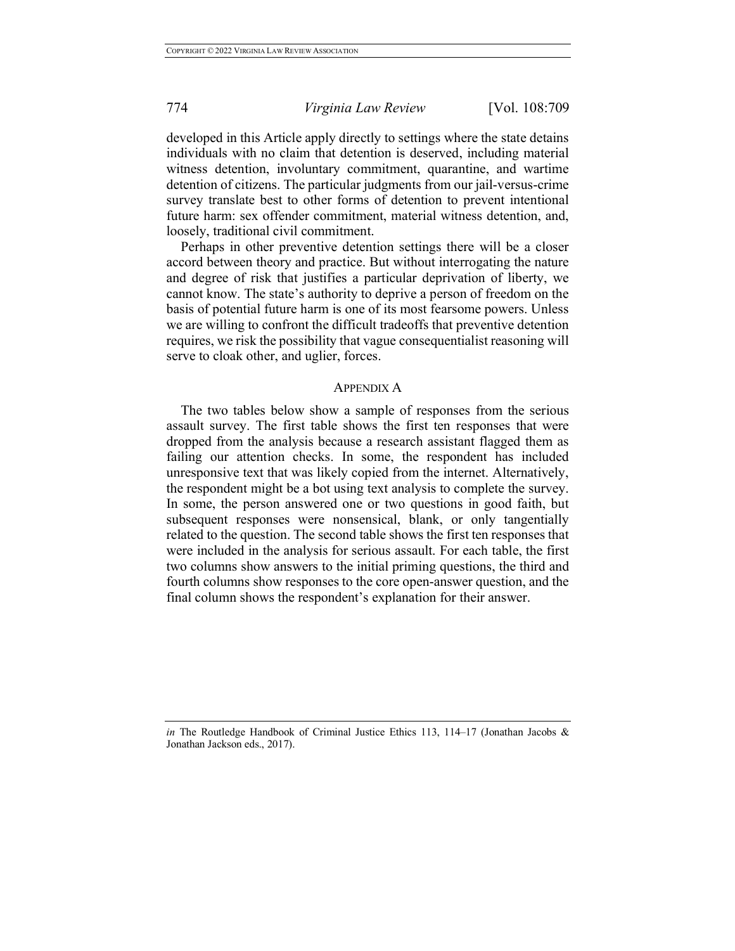developed in this Article apply directly to settings where the state detains individuals with no claim that detention is deserved, including material witness detention, involuntary commitment, quarantine, and wartime detention of citizens. The particular judgments from our jail-versus-crime survey translate best to other forms of detention to prevent intentional future harm: sex offender commitment, material witness detention, and, loosely, traditional civil commitment.

Perhaps in other preventive detention settings there will be a closer accord between theory and practice. But without interrogating the nature and degree of risk that justifies a particular deprivation of liberty, we cannot know. The state's authority to deprive a person of freedom on the basis of potential future harm is one of its most fearsome powers. Unless we are willing to confront the difficult tradeoffs that preventive detention requires, we risk the possibility that vague consequentialist reasoning will serve to cloak other, and uglier, forces.

#### APPENDIX A

The two tables below show a sample of responses from the serious assault survey. The first table shows the first ten responses that were dropped from the analysis because a research assistant flagged them as failing our attention checks. In some, the respondent has included unresponsive text that was likely copied from the internet. Alternatively, the respondent might be a bot using text analysis to complete the survey. In some, the person answered one or two questions in good faith, but subsequent responses were nonsensical, blank, or only tangentially related to the question. The second table shows the first ten responses that were included in the analysis for serious assault. For each table, the first two columns show answers to the initial priming questions, the third and fourth columns show responses to the core open-answer question, and the final column shows the respondent's explanation for their answer.

*in* The Routledge Handbook of Criminal Justice Ethics 113, 114–17 (Jonathan Jacobs & Jonathan Jackson eds., 2017).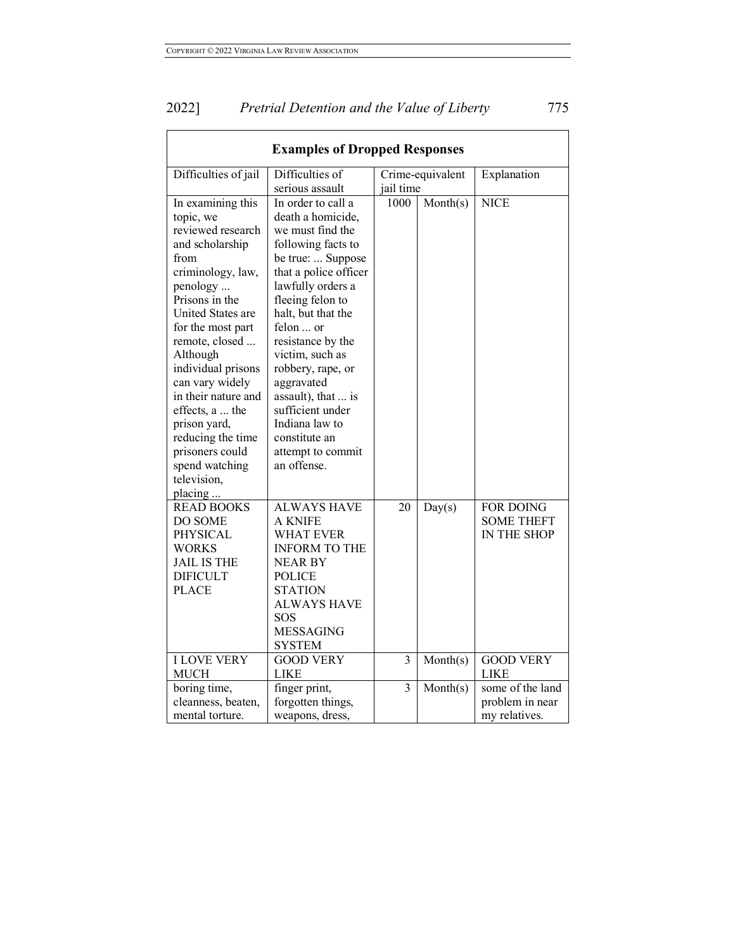| 2022] | Pretrial Detention and the Value of Liberty | 775 |
|-------|---------------------------------------------|-----|
|       |                                             |     |

| <b>Examples of Dropped Responses</b>                                                                                                                                                                                                                                                                                                                                                             |                                                                                                                                                                                                                                                                                                                                                                                                         |                |                  |                                                      |
|--------------------------------------------------------------------------------------------------------------------------------------------------------------------------------------------------------------------------------------------------------------------------------------------------------------------------------------------------------------------------------------------------|---------------------------------------------------------------------------------------------------------------------------------------------------------------------------------------------------------------------------------------------------------------------------------------------------------------------------------------------------------------------------------------------------------|----------------|------------------|------------------------------------------------------|
| Difficulties of jail                                                                                                                                                                                                                                                                                                                                                                             | Difficulties of<br>serious assault                                                                                                                                                                                                                                                                                                                                                                      | jail time      | Crime-equivalent | Explanation                                          |
| In examining this<br>topic, we<br>reviewed research<br>and scholarship<br>from<br>criminology, law,<br>penology<br>Prisons in the<br>United States are<br>for the most part<br>remote, closed<br>Although<br>individual prisons<br>can vary widely<br>in their nature and<br>effects, a  the<br>prison yard,<br>reducing the time<br>prisoners could<br>spend watching<br>television,<br>placing | In order to call a<br>death a homicide,<br>we must find the<br>following facts to<br>be true:  Suppose<br>that a police officer<br>lawfully orders a<br>fleeing felon to<br>halt, but that the<br>felon  or<br>resistance by the<br>victim, such as<br>robbery, rape, or<br>aggravated<br>assault), that  is<br>sufficient under<br>Indiana law to<br>constitute an<br>attempt to commit<br>an offense. | 1000           | Month(s)         | <b>NICE</b>                                          |
| <b>READ BOOKS</b><br>DO SOME<br>PHYSICAL<br>WORKS<br><b>JAIL IS THE</b><br><b>DIFICULT</b><br><b>PLACE</b>                                                                                                                                                                                                                                                                                       | <b>ALWAYS HAVE</b><br><b>A KNIFE</b><br><b>WHAT EVER</b><br><b>INFORM TO THE</b><br><b>NEAR BY</b><br><b>POLICE</b><br><b>STATION</b><br><b>ALWAYS HAVE</b><br>SOS<br><b>MESSAGING</b><br><b>SYSTEM</b>                                                                                                                                                                                                 | 20             | Day(s)           | FOR DOING<br><b>SOME THEFT</b><br>IN THE SHOP        |
| <b>I LOVE VERY</b><br><b>MUCH</b>                                                                                                                                                                                                                                                                                                                                                                | <b>GOOD VERY</b><br><b>LIKE</b>                                                                                                                                                                                                                                                                                                                                                                         | $\overline{3}$ | Month(s)         | <b>GOOD VERY</b><br><b>LIKE</b>                      |
| boring time,<br>cleanness, beaten,<br>mental torture.                                                                                                                                                                                                                                                                                                                                            | finger print,<br>forgotten things,<br>weapons, dress,                                                                                                                                                                                                                                                                                                                                                   | 3              | Month(s)         | some of the land<br>problem in near<br>my relatives. |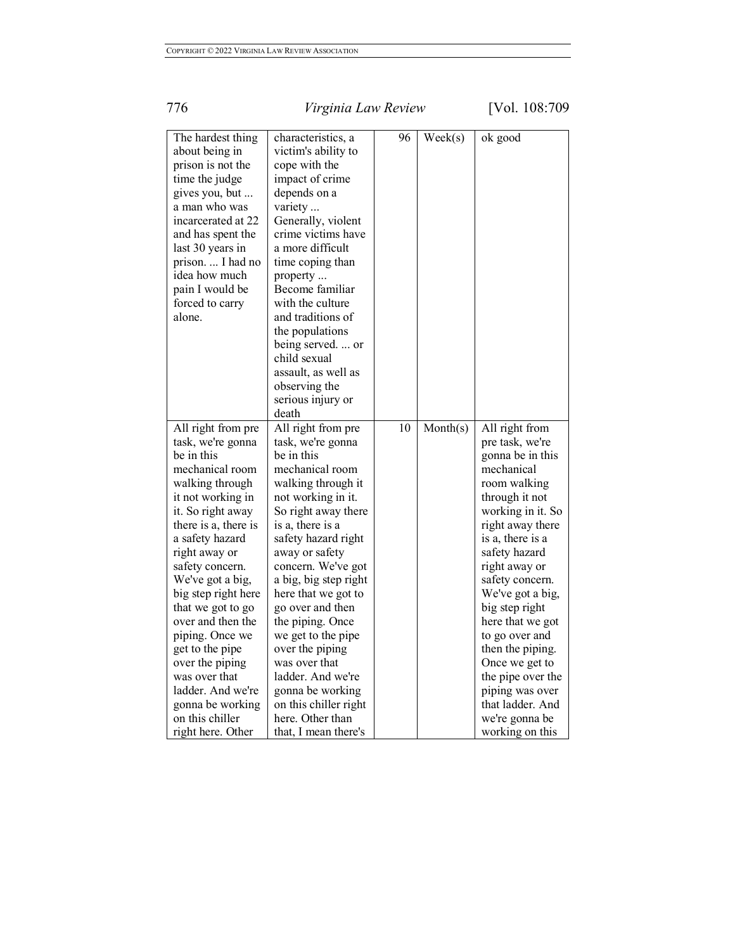| The hardest thing    | characteristics, a    | 96 | $\text{Week}(s)$ | ok good           |
|----------------------|-----------------------|----|------------------|-------------------|
| about being in       | victim's ability to   |    |                  |                   |
| prison is not the    | cope with the         |    |                  |                   |
| time the judge       | impact of crime       |    |                  |                   |
| gives you, but       | depends on a          |    |                  |                   |
| a man who was        | variety               |    |                  |                   |
| incarcerated at 22   | Generally, violent    |    |                  |                   |
| and has spent the    | crime victims have    |    |                  |                   |
| last 30 years in     | a more difficult      |    |                  |                   |
| prison I had no      | time coping than      |    |                  |                   |
| idea how much        | property              |    |                  |                   |
| pain I would be      | Become familiar       |    |                  |                   |
| forced to carry      | with the culture      |    |                  |                   |
| alone.               | and traditions of     |    |                  |                   |
|                      | the populations       |    |                  |                   |
|                      | being served.  or     |    |                  |                   |
|                      | child sexual          |    |                  |                   |
|                      | assault, as well as   |    |                  |                   |
|                      | observing the         |    |                  |                   |
|                      | serious injury or     |    |                  |                   |
|                      | death                 |    |                  |                   |
| All right from pre   | All right from pre    | 10 | Month(s)         | All right from    |
| task, we're gonna    | task, we're gonna     |    |                  | pre task, we're   |
| be in this           | be in this            |    |                  | gonna be in this  |
| mechanical room      | mechanical room       |    |                  | mechanical        |
| walking through      | walking through it    |    |                  | room walking      |
| it not working in    | not working in it.    |    |                  | through it not    |
| it. So right away    | So right away there   |    |                  | working in it. So |
| there is a, there is | is a, there is a      |    |                  | right away there  |
| a safety hazard      | safety hazard right   |    |                  | is a, there is a  |
| right away or        | away or safety        |    |                  | safety hazard     |
| safety concern.      | concern. We've got    |    |                  | right away or     |
| We've got a big,     | a big, big step right |    |                  | safety concern.   |
| big step right here  | here that we got to   |    |                  | We've got a big,  |
| that we got to go    | go over and then      |    |                  | big step right    |
| over and then the    | the piping. Once      |    |                  | here that we got  |
| piping. Once we      | we get to the pipe    |    |                  | to go over and    |
| get to the pipe      | over the piping       |    |                  | then the piping.  |
| over the piping      | was over that         |    |                  | Once we get to    |
| was over that        | ladder. And we're     |    |                  | the pipe over the |
| ladder. And we're    | gonna be working      |    |                  | piping was over   |
| gonna be working     | on this chiller right |    |                  | that ladder. And  |
| on this chiller      | here. Other than      |    |                  | we're gonna be    |
| right here. Other    | that, I mean there's  |    |                  | working on this   |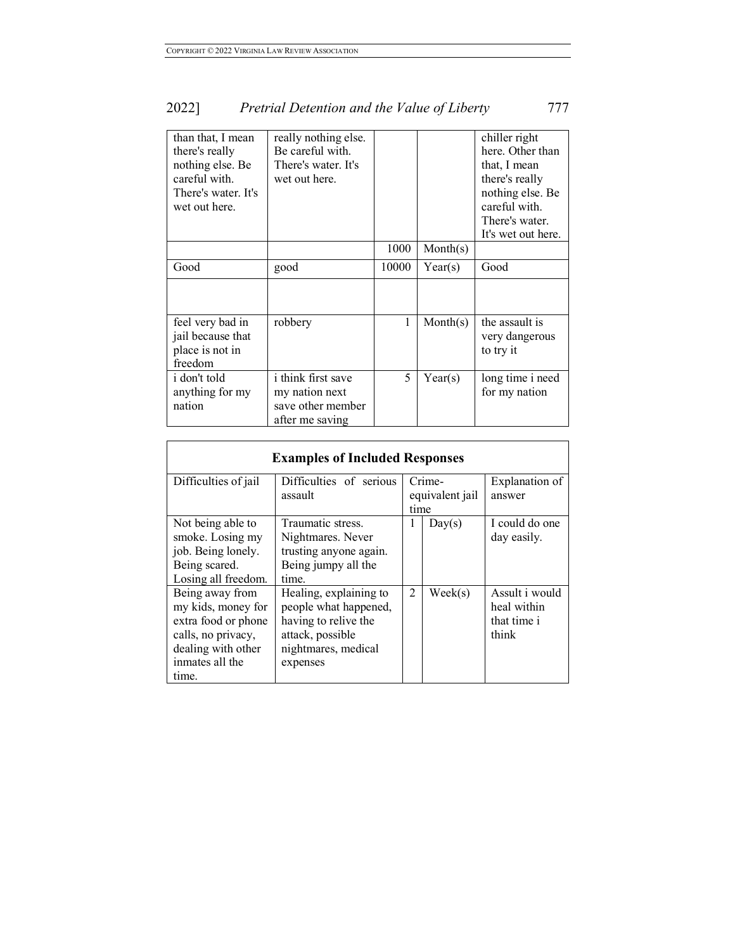| than that, I mean<br>there's really<br>nothing else. Be<br>careful with.<br>There's water. It's<br>wet out here. | really nothing else.<br>Be careful with.<br>There's water. It's<br>wet out here.    |       |          | chiller right<br>here. Other than<br>that, I mean<br>there's really<br>nothing else. Be<br>careful with.<br>There's water.<br>It's wet out here. |
|------------------------------------------------------------------------------------------------------------------|-------------------------------------------------------------------------------------|-------|----------|--------------------------------------------------------------------------------------------------------------------------------------------------|
|                                                                                                                  |                                                                                     | 1000  | Month(s) |                                                                                                                                                  |
| Good                                                                                                             | good                                                                                | 10000 | Year(s)  | Good                                                                                                                                             |
|                                                                                                                  |                                                                                     |       |          |                                                                                                                                                  |
| feel very bad in<br>jail because that<br>place is not in<br>freedom                                              | robbery                                                                             | 1     | Month(s) | the assault is<br>very dangerous<br>to try it                                                                                                    |
| <i>i</i> don't told<br>anything for my<br>nation                                                                 | <i>i</i> think first save<br>my nation next<br>save other member<br>after me saving | 5     | Year(s)  | long time i need<br>for my nation                                                                                                                |

| <b>Examples of Included Responses</b> |                                    |                           |                  |                          |  |
|---------------------------------------|------------------------------------|---------------------------|------------------|--------------------------|--|
| Difficulties of jail                  | Difficulties of serious<br>assault | Crime-<br>equivalent jail |                  | Explanation of<br>answer |  |
|                                       |                                    | time                      |                  |                          |  |
| Not being able to                     | Traumatic stress.                  | 1                         | Day(s)           | I could do one           |  |
| smoke. Losing my                      | Nightmares. Never                  |                           |                  | day easily.              |  |
| job. Being lonely.                    | trusting anyone again.             |                           |                  |                          |  |
| Being scared.                         | Being jumpy all the                |                           |                  |                          |  |
| Losing all freedom.                   | time.                              |                           |                  |                          |  |
| Being away from                       | Healing, explaining to             | 2                         | $\text{Week}(s)$ | Assult i would           |  |
| my kids, money for                    | people what happened,              |                           |                  | heal within              |  |
| extra food or phone                   | having to relive the               |                           |                  | that time i              |  |
| calls, no privacy,                    | attack, possible                   |                           |                  | think                    |  |
| dealing with other                    | nightmares, medical                |                           |                  |                          |  |
| inmates all the                       | expenses                           |                           |                  |                          |  |
| time.                                 |                                    |                           |                  |                          |  |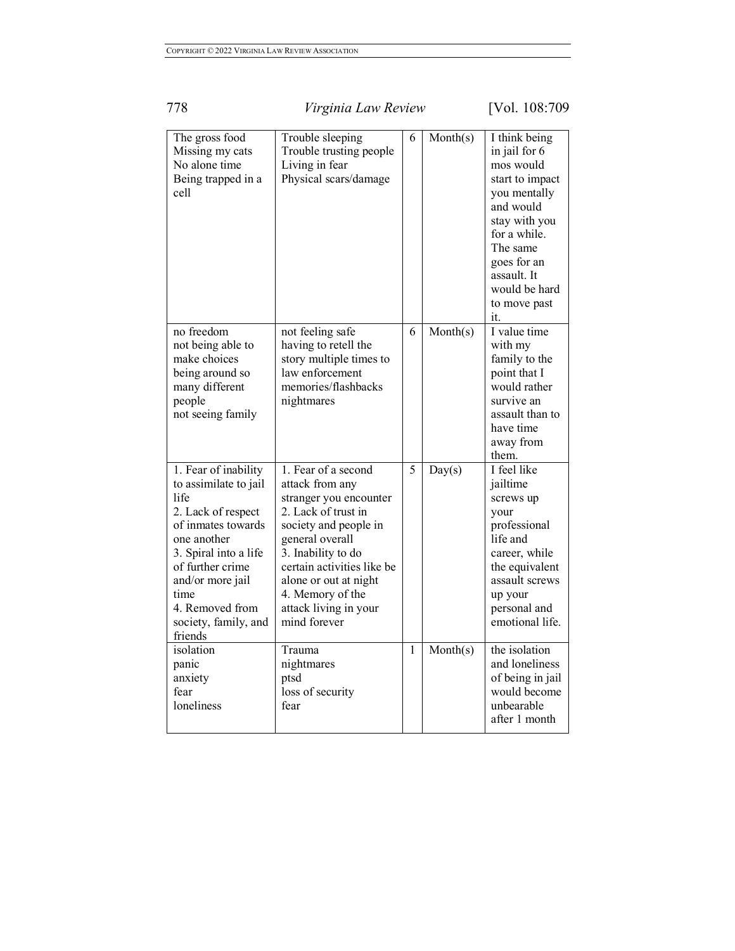| The gross food<br>Missing my cats<br>No alone time<br>Being trapped in a<br>cell                                                                                                                                                                | Trouble sleeping<br>Trouble trusting people<br>Living in fear<br>Physical scars/damage                                                                                                                                                                                        | 6 | Month(s) | I think being<br>in jail for 6<br>mos would<br>start to impact<br>you mentally<br>and would<br>stay with you<br>for a while.<br>The same<br>goes for an<br>assault. It<br>would be hard<br>to move past<br>it. |
|-------------------------------------------------------------------------------------------------------------------------------------------------------------------------------------------------------------------------------------------------|-------------------------------------------------------------------------------------------------------------------------------------------------------------------------------------------------------------------------------------------------------------------------------|---|----------|----------------------------------------------------------------------------------------------------------------------------------------------------------------------------------------------------------------|
| no freedom<br>not being able to<br>make choices<br>being around so<br>many different<br>people<br>not seeing family                                                                                                                             | not feeling safe<br>having to retell the<br>story multiple times to<br>law enforcement<br>memories/flashbacks<br>nightmares                                                                                                                                                   | 6 | Month(s) | I value time<br>with my<br>family to the<br>point that I<br>would rather<br>survive an<br>assault than to<br>have time<br>away from<br>them.                                                                   |
| 1. Fear of inability<br>to assimilate to jail<br>life<br>2. Lack of respect<br>of inmates towards<br>one another<br>3. Spiral into a life<br>of further crime<br>and/or more jail<br>time<br>4. Removed from<br>society, family, and<br>friends | 1. Fear of a second<br>attack from any<br>stranger you encounter<br>2. Lack of trust in<br>society and people in<br>general overall<br>3. Inability to do<br>certain activities like be<br>alone or out at night<br>4. Memory of the<br>attack living in your<br>mind forever | 5 | Day(s)   | I feel like<br>jailtime<br>screws up<br>your<br>professional<br>life and<br>career, while<br>the equivalent<br>assault screws<br>up your<br>personal and<br>emotional life.                                    |
| isolation<br>panic<br>anxiety<br>fear<br>loneliness                                                                                                                                                                                             | Trauma<br>nightmares<br>ptsd<br>loss of security<br>fear                                                                                                                                                                                                                      | 1 | Month(s) | the isolation<br>and loneliness<br>of being in jail<br>would become<br>unbearable<br>after 1 month                                                                                                             |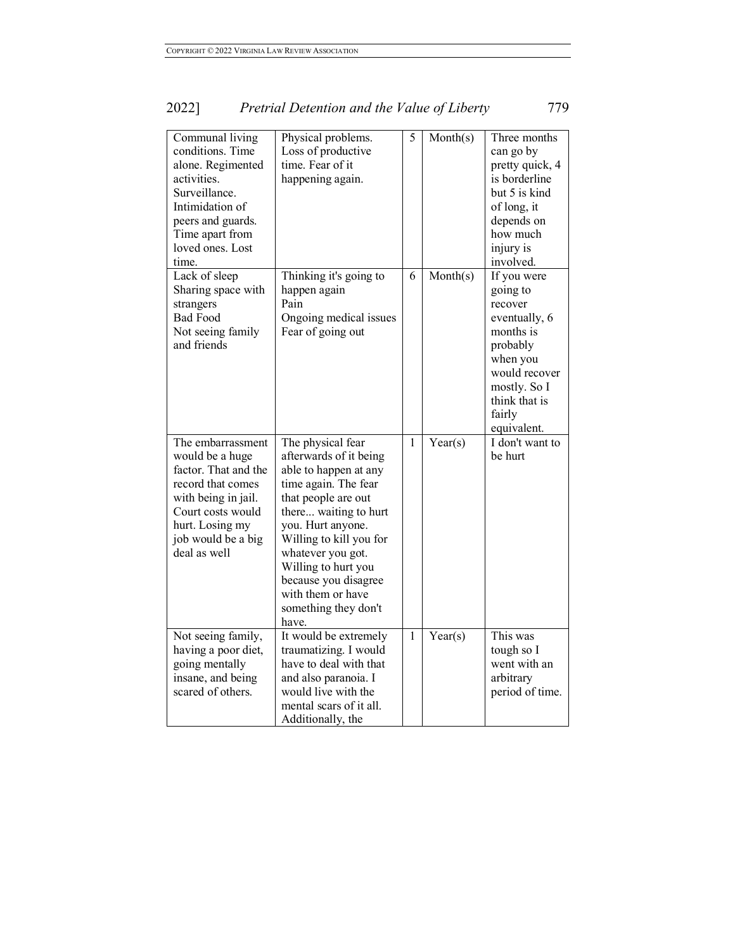| Communal living<br>conditions. Time<br>alone. Regimented<br>activities.<br>Surveillance.<br>Intimidation of<br>peers and guards.<br>Time apart from<br>loved ones. Lost<br>time.       | Physical problems.<br>Loss of productive<br>time. Fear of it<br>happening again.                                                                                                                                                                                                                                       | 5 | Month(s) | Three months<br>can go by<br>pretty quick, 4<br>is borderline<br>but 5 is kind<br>of long, it<br>depends on<br>how much<br>injury is<br>involved.                   |
|----------------------------------------------------------------------------------------------------------------------------------------------------------------------------------------|------------------------------------------------------------------------------------------------------------------------------------------------------------------------------------------------------------------------------------------------------------------------------------------------------------------------|---|----------|---------------------------------------------------------------------------------------------------------------------------------------------------------------------|
| Lack of sleep<br>Sharing space with<br>strangers<br><b>Bad Food</b><br>Not seeing family<br>and friends                                                                                | Thinking it's going to<br>happen again<br>Pain<br>Ongoing medical issues<br>Fear of going out                                                                                                                                                                                                                          | 6 | Month(s) | If you were<br>going to<br>recover<br>eventually, 6<br>months is<br>probably<br>when you<br>would recover<br>mostly. So I<br>think that is<br>fairly<br>equivalent. |
| The embarrassment<br>would be a huge<br>factor. That and the<br>record that comes<br>with being in jail.<br>Court costs would<br>hurt. Losing my<br>job would be a big<br>deal as well | The physical fear<br>afterwards of it being<br>able to happen at any<br>time again. The fear<br>that people are out<br>there waiting to hurt<br>you. Hurt anyone.<br>Willing to kill you for<br>whatever you got.<br>Willing to hurt you<br>because you disagree<br>with them or have<br>something they don't<br>have. | 1 | Year(s)  | I don't want to<br>be hurt                                                                                                                                          |
| Not seeing family,<br>having a poor diet,<br>going mentally<br>insane, and being<br>scared of others.                                                                                  | It would be extremely<br>traumatizing. I would<br>have to deal with that<br>and also paranoia. I<br>would live with the<br>mental scars of it all.<br>Additionally, the                                                                                                                                                | 1 | Year(s)  | This was<br>tough so I<br>went with an<br>arbitrary<br>period of time.                                                                                              |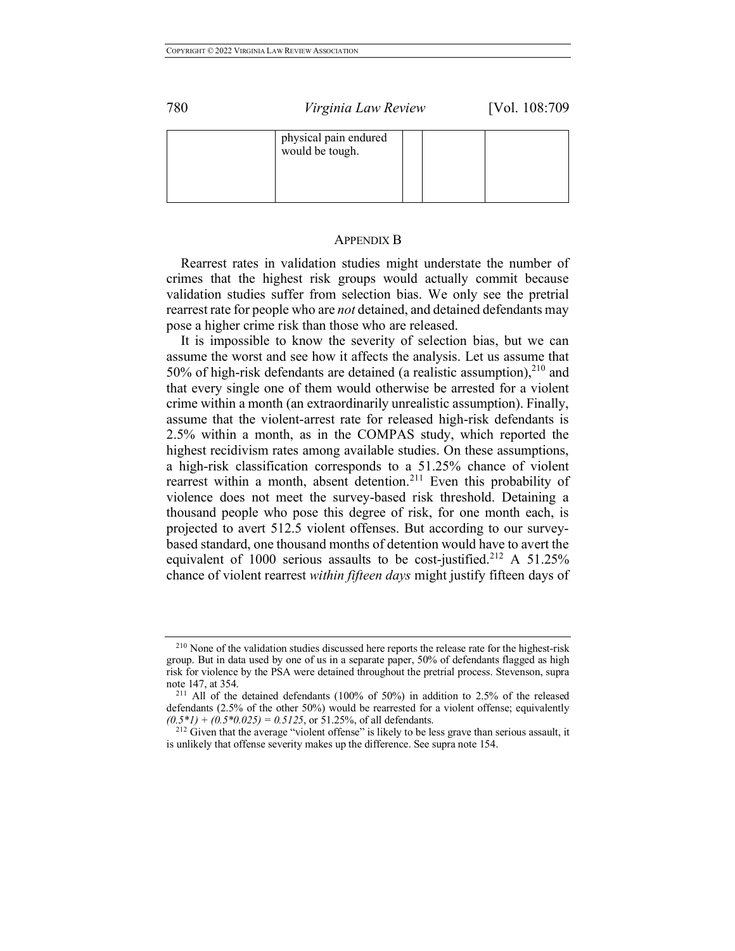| physical pain endured<br>would be tough. |  |  |
|------------------------------------------|--|--|
|                                          |  |  |

#### APPENDIX B

Rearrest rates in validation studies might understate the number of crimes that the highest risk groups would actually commit because validation studies suffer from selection bias. We only see the pretrial rearrest rate for people who are *not* detained, and detained defendants may pose a higher crime risk than those who are released.

It is impossible to know the severity of selection bias, but we can assume the worst and see how it affects the analysis. Let us assume that 50% of high-risk defendants are detained (a realistic assumption), $^{210}$  and that every single one of them would otherwise be arrested for a violent crime within a month (an extraordinarily unrealistic assumption). Finally, assume that the violent-arrest rate for released high-risk defendants is 2.5% within a month, as in the COMPAS study, which reported the highest recidivism rates among available studies. On these assumptions, a high-risk classification corresponds to a 51.25% chance of violent rearrest within a month, absent detention.<sup>211</sup> Even this probability of violence does not meet the survey-based risk threshold. Detaining a thousand people who pose this degree of risk, for one month each, is projected to avert 512.5 violent offenses. But according to our surveybased standard, one thousand months of detention would have to avert the equivalent of 1000 serious assaults to be cost-justified.<sup>212</sup> A 51.25% chance of violent rearrest *within fifteen days* might justify fifteen days of

<sup>&</sup>lt;sup>210</sup> None of the validation studies discussed here reports the release rate for the highest-risk group. But in data used by one of us in a separate paper, 50% of defendants flagged as high risk for violence by the PSA were detained throughout the pretrial process. Stevenson, supra note 147, at 354.

<sup>211</sup> All of the detained defendants (100% of 50%) in addition to 2.5% of the released defendants (2.5% of the other 50%) would be rearrested for a violent offense; equivalently  $(0.5*1) + (0.5*0.025) = 0.5125$ , or 51.25%, of all defendants.

<sup>&</sup>lt;sup>212</sup> Given that the average "violent offense" is likely to be less grave than serious assault, it is unlikely that offense severity makes up the difference. See supra note 154.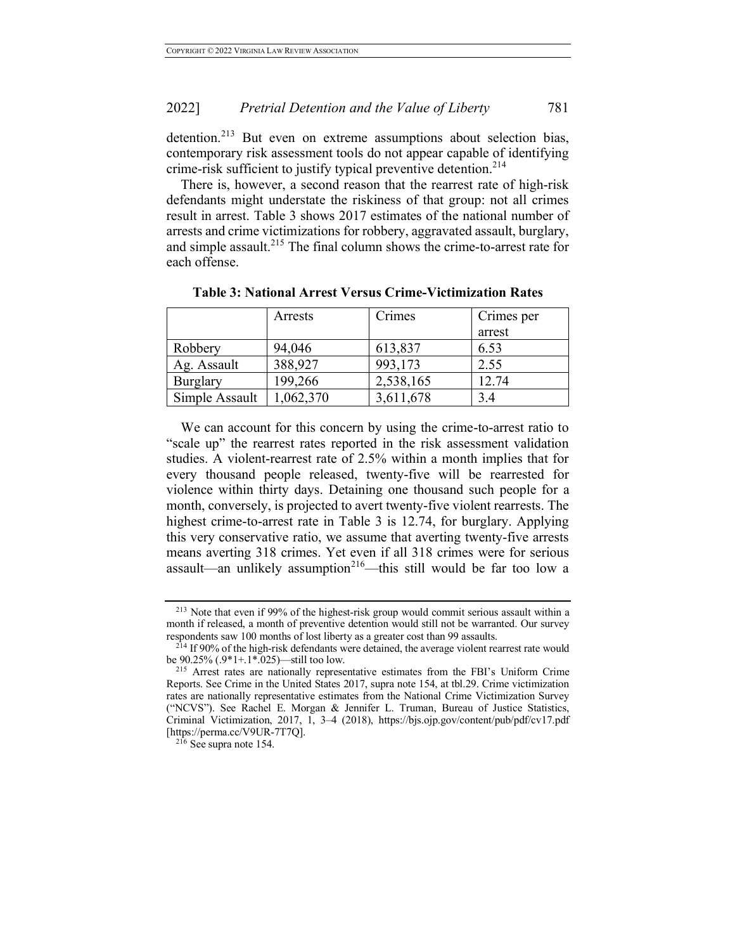## 2022] *Pretrial Detention and the Value of Liberty* 781

detention.<sup>213</sup> But even on extreme assumptions about selection bias, contemporary risk assessment tools do not appear capable of identifying crime-risk sufficient to justify typical preventive detention.<sup>214</sup>

There is, however, a second reason that the rearrest rate of high-risk defendants might understate the riskiness of that group: not all crimes result in arrest. Table 3 shows 2017 estimates of the national number of arrests and crime victimizations for robbery, aggravated assault, burglary, and simple assault.<sup>215</sup> The final column shows the crime-to-arrest rate for each offense.

|                 | Arrests  | Crimes    | Crimes per |
|-----------------|----------|-----------|------------|
|                 |          |           | arrest     |
| Robbery         | 94,046   | 613,837   | 6.53       |
| Ag. Assault     | 388,927  | 993,173   | 2.55       |
| <b>Burglary</b> | 199,266  | 2,538,165 | 12.74      |
| Simple Assault  | .062,370 | 3,611,678 | 3.4        |

**Table 3: National Arrest Versus Crime-Victimization Rates**

We can account for this concern by using the crime-to-arrest ratio to "scale up" the rearrest rates reported in the risk assessment validation studies. A violent-rearrest rate of 2.5% within a month implies that for every thousand people released, twenty-five will be rearrested for violence within thirty days. Detaining one thousand such people for a month, conversely, is projected to avert twenty-five violent rearrests. The highest crime-to-arrest rate in Table 3 is 12.74, for burglary. Applying this very conservative ratio, we assume that averting twenty-five arrests means averting 318 crimes. Yet even if all 318 crimes were for serious assault—an unlikely assumption<sup>216</sup>—this still would be far too low a

<sup>213</sup> Note that even if 99% of the highest-risk group would commit serious assault within a month if released, a month of preventive detention would still not be warranted. Our survey respondents saw 100 months of lost liberty as a greater cost than 99 assaults.

<sup>&</sup>lt;sup>214</sup> If 90% of the high-risk defendants were detained, the average violent rearrest rate would be 90.25% (.9\*1+.1\*.025)—still too low.

<sup>215</sup> Arrest rates are nationally representative estimates from the FBI's Uniform Crime Reports. See Crime in the United States 2017, supra note 154, at tbl.29. Crime victimization rates are nationally representative estimates from the National Crime Victimization Survey ("NCVS"). See Rachel E. Morgan & Jennifer L. Truman, Bureau of Justice Statistics, Criminal Victimization, 2017, 1, 3–4 (2018), https://bjs.ojp.gov/content/pub/pdf/cv17.pdf

 $216$  See supra note 154.